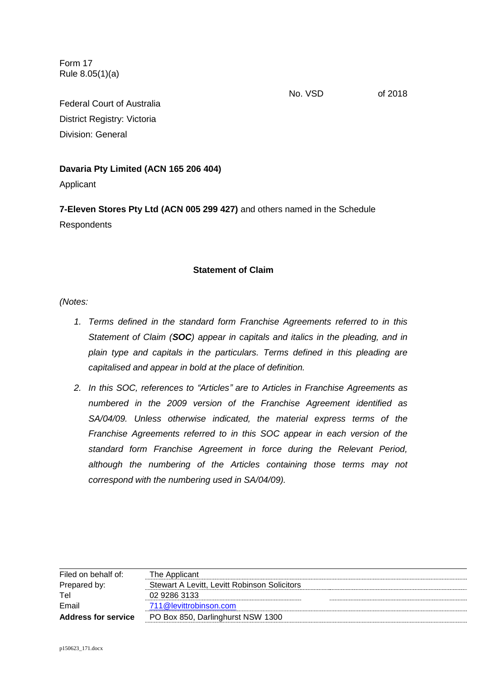Form 17 Rule 8.05(1)(a)

No. VSD of 2018

Federal Court of Australia District Registry: Victoria Division: General

# **Davaria Pty Limited (ACN 165 206 404)**

Applicant

**7-Eleven Stores Pty Ltd (ACN 005 299 427)** and others named in the Schedule **Respondents** 

# **Statement of Claim**

*(Notes:* 

- *1. Terms defined in the standard form Franchise Agreements referred to in this Statement of Claim (SOC) appear in capitals and italics in the pleading, and in plain type and capitals in the particulars. Terms defined in this pleading are capitalised and appear in bold at the place of definition.*
- *2. In this SOC, references to "Articles" are to Articles in Franchise Agreements as numbered in the 2009 version of the Franchise Agreement identified as SA/04/09. Unless otherwise indicated, the material express terms of the Franchise Agreements referred to in this SOC appear in each version of the standard form Franchise Agreement in force during the Relevant Period, although the numbering of the Articles containing those terms may not correspond with the numbering used in SA/04/09).*

| Filed on behalf of:        | The Applicant                                |
|----------------------------|----------------------------------------------|
| Prepared by:               | Stewart A Levitt, Levitt Robinson Solicitors |
| Tel                        | 02 9286 3133                                 |
| Email                      | 711@levittrobinson.com                       |
| <b>Address for service</b> | PO Box 850, Darlinghurst NSW 1300            |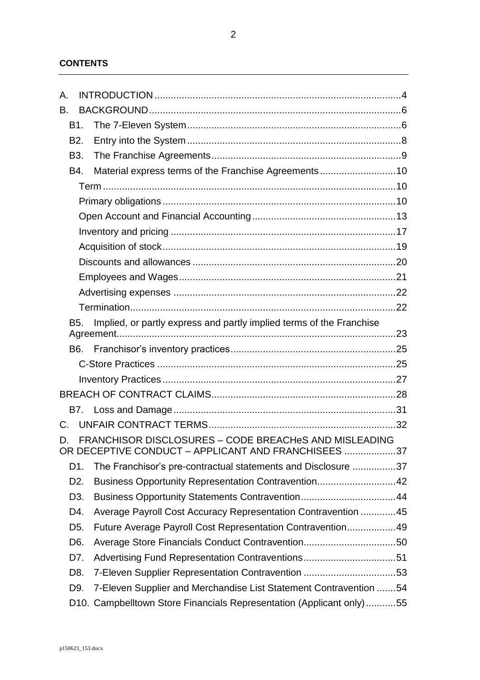# **CONTENTS**

| $\mathsf{A}_{\cdot}$                                                                     |                  |                                                                                                              |  |
|------------------------------------------------------------------------------------------|------------------|--------------------------------------------------------------------------------------------------------------|--|
| В.                                                                                       |                  |                                                                                                              |  |
|                                                                                          | <b>B1.</b>       |                                                                                                              |  |
|                                                                                          | B <sub>2</sub> . |                                                                                                              |  |
|                                                                                          | B <sub>3</sub> . |                                                                                                              |  |
|                                                                                          | B4.              | Material express terms of the Franchise Agreements10                                                         |  |
|                                                                                          |                  |                                                                                                              |  |
|                                                                                          |                  |                                                                                                              |  |
|                                                                                          |                  |                                                                                                              |  |
|                                                                                          |                  |                                                                                                              |  |
|                                                                                          |                  |                                                                                                              |  |
|                                                                                          |                  |                                                                                                              |  |
|                                                                                          |                  |                                                                                                              |  |
|                                                                                          |                  |                                                                                                              |  |
|                                                                                          |                  |                                                                                                              |  |
| Implied, or partly express and partly implied terms of the Franchise<br>B <sub>5</sub> . |                  |                                                                                                              |  |
|                                                                                          |                  |                                                                                                              |  |
|                                                                                          | B6.              |                                                                                                              |  |
|                                                                                          |                  |                                                                                                              |  |
|                                                                                          |                  |                                                                                                              |  |
|                                                                                          |                  |                                                                                                              |  |
|                                                                                          |                  |                                                                                                              |  |
| C.                                                                                       |                  |                                                                                                              |  |
| D.                                                                                       |                  | FRANCHISOR DISCLOSURES - CODE BREACHeS AND MISLEADING<br>OR DECEPTIVE CONDUCT - APPLICANT AND FRANCHISEES 37 |  |
|                                                                                          | D1.              | The Franchisor's pre-contractual statements and Disclosure 37                                                |  |
|                                                                                          | D <sub>2</sub> . | Business Opportunity Representation Contravention42                                                          |  |
|                                                                                          | D <sub>3</sub> . |                                                                                                              |  |
|                                                                                          | D4.              | Average Payroll Cost Accuracy Representation Contravention 45                                                |  |
|                                                                                          | D <sub>5</sub> . | Future Average Payroll Cost Representation Contravention49                                                   |  |
|                                                                                          | D <sub>6</sub> . |                                                                                                              |  |
|                                                                                          | D7.              | Advertising Fund Representation Contraventions51                                                             |  |
|                                                                                          | D8.              | 7-Eleven Supplier Representation Contravention 53                                                            |  |
|                                                                                          | D9.              | 7-Eleven Supplier and Merchandise List Statement Contravention 54                                            |  |
|                                                                                          |                  | D10. Campbelltown Store Financials Representation (Applicant only)55                                         |  |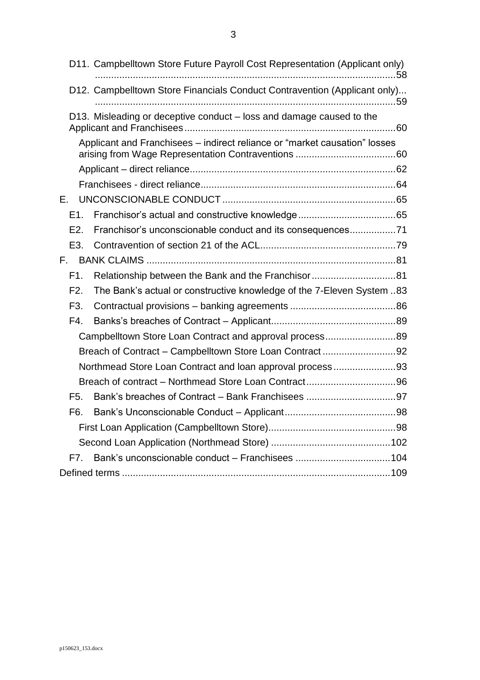D11. [Campbelltown Store Future Payroll Cost Representation \(Applicant only\)](#page-57-0) [...............................................................................................................58](#page-57-0) D12. [Campbelltown Store Financials Conduct Contravention \(Applicant only\)...](#page-58-0) [...............................................................................................................59](#page-58-0) D13. [Misleading or deceptive conduct –](#page-59-0) loss and damage caused to the [Applicant and Franchisees..............................................................................60](#page-59-0) Applicant and Franchisees – [indirect reliance or "market causation" losses](#page-59-1)  [arising from Wage Representation Contraventions](#page-59-1) .....................................60 Applicant – [direct reliance............................................................................62](#page-61-0) Franchisees - [direct reliance........................................................................64](#page-63-0) E. UNCONSCIONABLE CONDUCT [................................................................65](#page-64-0) E1. [Franchisor's actual and constructive knowledge....................................65](#page-64-1) E2. [Franchisor's unconscionable conduct and its consequences.................71](#page-70-0) E3. [Contravention of section 21 of the ACL..................................................79](#page-78-0) F. BANK CLAIMS [............................................................................................81](#page-80-0) F1. [Relationship between the Bank and the Franchisor...............................81](#page-80-1) F2. [The Bank's actual or constructive knowledge of the 7-Eleven System](#page-82-0) ..83 F3. Contractual provisions – banking agreements [.......................................86](#page-85-0) F4. Banks's breaches of Contract – [Applicant..............................................89](#page-88-0) [Campbelltown Store Loan Contract and approval process..........................89](#page-88-1) Breach of Contract – [Campbelltown Store Loan Contract](#page-91-0) ...........................92 [Northmead Store Loan Contract and loan approval process](#page-92-0) .......................93 Breach of contract – [Northmead Store Loan Contract.................................96](#page-95-0) F5. [Bank's breaches of Contract –](#page-96-0) Bank Franchisees .................................97 F6. Bank's Unconscionable Conduct – [Applicant.........................................98](#page-97-0) [First Loan Application \(Campbelltown Store\)...............................................98](#page-97-1) [Second Loan Application \(Northmead Store\)](#page-101-0) ............................................102 F7. [Bank's unconscionable conduct –](#page-103-0) Franchisees ...................................104 Defined terms [...................................................................................................109](#page-108-0)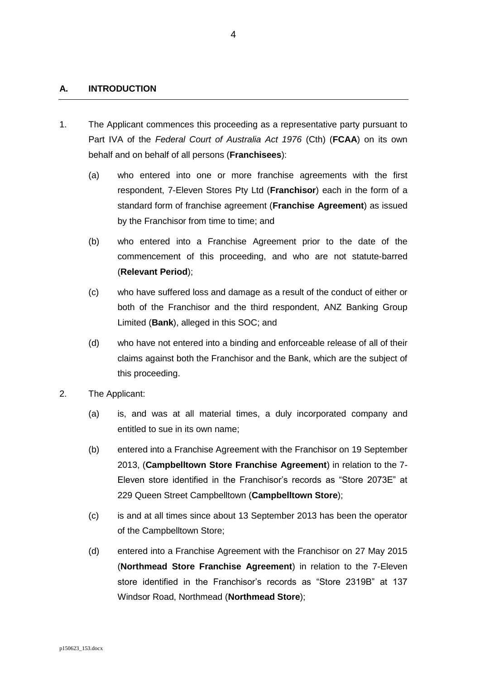## <span id="page-3-0"></span>**A. INTRODUCTION**

- 1. The Applicant commences this proceeding as a representative party pursuant to Part IVA of the *Federal Court of Australia Act 1976* (Cth) (**FCAA**) on its own behalf and on behalf of all persons (**Franchisees**):
	- (a) who entered into one or more franchise agreements with the first respondent, 7-Eleven Stores Pty Ltd (**Franchisor**) each in the form of a standard form of franchise agreement (**Franchise Agreement**) as issued by the Franchisor from time to time; and
	- (b) who entered into a Franchise Agreement prior to the date of the commencement of this proceeding, and who are not statute-barred (**Relevant Period**);
	- (c) who have suffered loss and damage as a result of the conduct of either or both of the Franchisor and the third respondent, ANZ Banking Group Limited (**Bank**), alleged in this SOC; and
	- (d) who have not entered into a binding and enforceable release of all of their claims against both the Franchisor and the Bank, which are the subject of this proceeding.
- 2. The Applicant:
	- (a) is, and was at all material times, a duly incorporated company and entitled to sue in its own name;
	- (b) entered into a Franchise Agreement with the Franchisor on 19 September 2013, (**Campbelltown Store Franchise Agreement**) in relation to the 7- Eleven store identified in the Franchisor's records as "Store 2073E" at 229 Queen Street Campbelltown (**Campbelltown Store**);
	- (c) is and at all times since about 13 September 2013 has been the operator of the Campbelltown Store;
	- (d) entered into a Franchise Agreement with the Franchisor on 27 May 2015 (**Northmead Store Franchise Agreement**) in relation to the 7-Eleven store identified in the Franchisor's records as "Store 2319B" at 137 Windsor Road, Northmead (**Northmead Store**);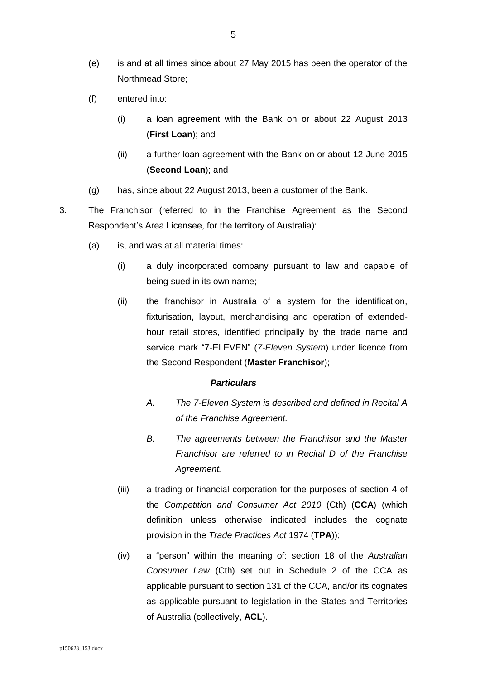- (e) is and at all times since about 27 May 2015 has been the operator of the Northmead Store;
- (f) entered into:
	- (i) a loan agreement with the Bank on or about 22 August 2013 (**First Loan**); and
	- (ii) a further loan agreement with the Bank on or about 12 June 2015 (**Second Loan**); and
- (g) has, since about 22 August 2013, been a customer of the Bank.
- 3. The Franchisor (referred to in the Franchise Agreement as the Second Respondent's Area Licensee, for the territory of Australia):
	- (a) is, and was at all material times:
		- (i) a duly incorporated company pursuant to law and capable of being sued in its own name;
		- (ii) the franchisor in Australia of a system for the identification, fixturisation, layout, merchandising and operation of extendedhour retail stores, identified principally by the trade name and service mark "7-ELEVEN" (*7-Eleven System*) under licence from the Second Respondent (**Master Franchisor**);

- *A. The 7-Eleven System is described and defined in Recital A of the Franchise Agreement.*
- *B. The agreements between the Franchisor and the Master Franchisor are referred to in Recital D of the Franchise Agreement.*
- (iii) a trading or financial corporation for the purposes of section 4 of the *Competition and Consumer Act 2010* (Cth) (**CCA**) (which definition unless otherwise indicated includes the cognate provision in the *Trade Practices Act* 1974 (**TPA**));
- (iv) a "person" within the meaning of: section 18 of the *Australian Consumer Law* (Cth) set out in Schedule 2 of the CCA as applicable pursuant to section 131 of the CCA, and/or its cognates as applicable pursuant to legislation in the States and Territories of Australia (collectively, **ACL**).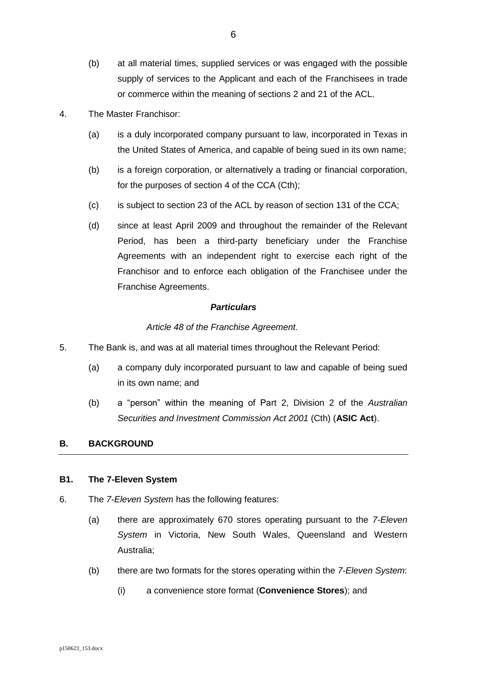- (b) at all material times, supplied services or was engaged with the possible supply of services to the Applicant and each of the Franchisees in trade or commerce within the meaning of sections 2 and 21 of the ACL.
- 4. The Master Franchisor:
	- (a) is a duly incorporated company pursuant to law, incorporated in Texas in the United States of America, and capable of being sued in its own name;
	- (b) is a foreign corporation, or alternatively a trading or financial corporation, for the purposes of section 4 of the CCA (Cth);
	- (c) is subject to section 23 of the ACL by reason of section 131 of the CCA;
	- (d) since at least April 2009 and throughout the remainder of the Relevant Period, has been a third-party beneficiary under the Franchise Agreements with an independent right to exercise each right of the Franchisor and to enforce each obligation of the Franchisee under the Franchise Agreements.

#### *Article 48 of the Franchise Agreement.*

- 5. The Bank is, and was at all material times throughout the Relevant Period:
	- (a) a company duly incorporated pursuant to law and capable of being sued in its own name; and
	- (b) a "person" within the meaning of Part 2, Division 2 of the *Australian Securities and Investment Commission Act 2001* (Cth) (**ASIC Act**).

#### <span id="page-5-0"></span>**B. BACKGROUND**

#### <span id="page-5-1"></span>**B1. The 7-Eleven System**

- <span id="page-5-2"></span>6. The *7-Eleven System* has the following features:
	- (a) there are approximately 670 stores operating pursuant to the *7-Eleven System* in Victoria, New South Wales, Queensland and Western Australia;
	- (b) there are two formats for the stores operating within the *7-Eleven System*:
		- (i) a convenience store format (**Convenience Stores**); and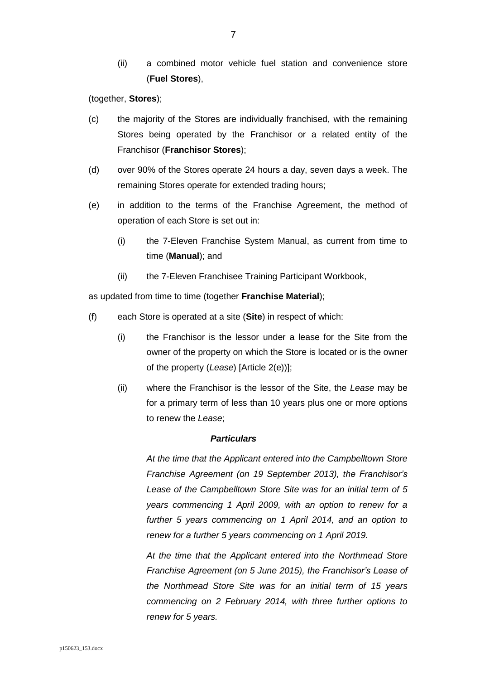(ii) a combined motor vehicle fuel station and convenience store (**Fuel Stores**),

(together, **Stores**);

- (c) the majority of the Stores are individually franchised, with the remaining Stores being operated by the Franchisor or a related entity of the Franchisor (**Franchisor Stores**);
- (d) over 90% of the Stores operate 24 hours a day, seven days a week. The remaining Stores operate for extended trading hours;
- (e) in addition to the terms of the Franchise Agreement, the method of operation of each Store is set out in:
	- (i) the 7-Eleven Franchise System Manual, as current from time to time (**Manual**); and
	- (ii) the 7-Eleven Franchisee Training Participant Workbook,

as updated from time to time (together **Franchise Material**);

- (f) each Store is operated at a site (**Site**) in respect of which:
	- (i) the Franchisor is the lessor under a lease for the Site from the owner of the property on which the Store is located or is the owner of the property (*Lease*) [Article 2(e))];
	- (ii) where the Franchisor is the lessor of the Site, the *Lease* may be for a primary term of less than 10 years plus one or more options to renew the *Lease*;

## *Particulars*

*At the time that the Applicant entered into the Campbelltown Store Franchise Agreement (on 19 September 2013), the Franchisor's Lease of the Campbelltown Store Site was for an initial term of 5 years commencing 1 April 2009, with an option to renew for a further 5 years commencing on 1 April 2014, and an option to renew for a further 5 years commencing on 1 April 2019.*

*At the time that the Applicant entered into the Northmead Store Franchise Agreement (on 5 June 2015), the Franchisor's Lease of the Northmead Store Site was for an initial term of 15 years commencing on 2 February 2014, with three further options to renew for 5 years.*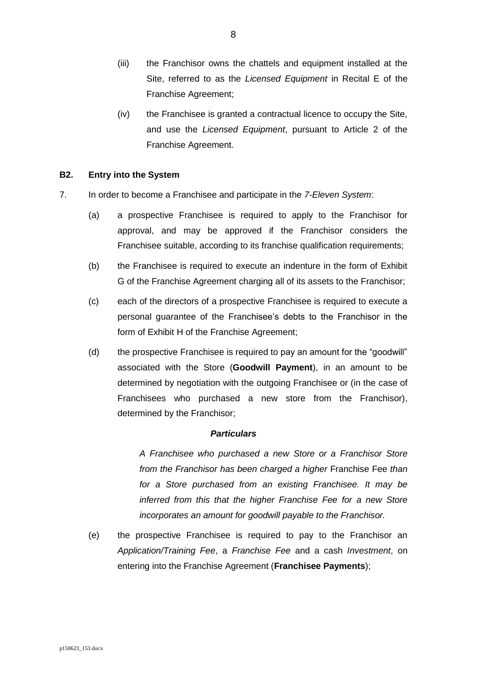- (iii) the Franchisor owns the chattels and equipment installed at the Site, referred to as the *Licensed Equipment* in Recital E of the Franchise Agreement;
- (iv) the Franchisee is granted a contractual licence to occupy the Site, and use the *Licensed Equipment*, pursuant to Article 2 of the Franchise Agreement.

## <span id="page-7-0"></span>**B2. Entry into the System**

- <span id="page-7-2"></span><span id="page-7-1"></span>7. In order to become a Franchisee and participate in the *7-Eleven System*:
	- (a) a prospective Franchisee is required to apply to the Franchisor for approval, and may be approved if the Franchisor considers the Franchisee suitable, according to its franchise qualification requirements;
	- (b) the Franchisee is required to execute an indenture in the form of Exhibit G of the Franchise Agreement charging all of its assets to the Franchisor;
	- (c) each of the directors of a prospective Franchisee is required to execute a personal guarantee of the Franchisee's debts to the Franchisor in the form of Exhibit H of the Franchise Agreement;
	- (d) the prospective Franchisee is required to pay an amount for the "goodwill" associated with the Store (**Goodwill Payment**), in an amount to be determined by negotiation with the outgoing Franchisee or (in the case of Franchisees who purchased a new store from the Franchisor), determined by the Franchisor;

#### *Particulars*

*A Franchisee who purchased a new Store or a Franchisor Store from the Franchisor has been charged a higher* Franchise Fee *than for a Store purchased from an existing Franchisee. It may be inferred from this that the higher Franchise Fee for a new Store incorporates an amount for goodwill payable to the Franchisor.*

(e) the prospective Franchisee is required to pay to the Franchisor an *Application/Training Fee*, a *Franchise Fee* and a cash *Investment*, on entering into the Franchise Agreement (**Franchisee Payments**);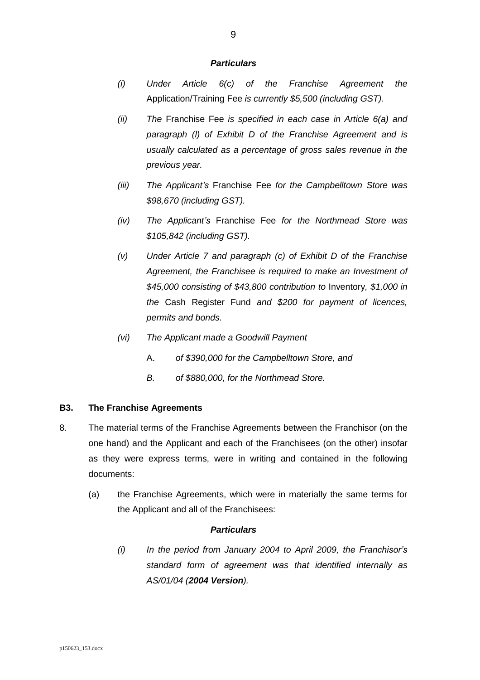- *(i) Under Article 6(c) of the Franchise Agreement the*  Application/Training Fee *is currently \$5,500 (including GST).*
- *(ii) The* Franchise Fee *is specified in each case in Article 6(a) and paragraph (l) of Exhibit D of the Franchise Agreement and is usually calculated as a percentage of gross sales revenue in the previous year.*
- *(iii) The Applicant's* Franchise Fee *for the Campbelltown Store was \$98,670 (including GST).*
- *(iv) The Applicant's* Franchise Fee *for the Northmead Store was \$105,842 (including GST).*
- *(v) Under Article 7 and paragraph (c) of Exhibit D of the Franchise Agreement, the Franchisee is required to make an Investment of \$45,000 consisting of \$43,800 contribution to* Inventory*, \$1,000 in the* Cash Register Fund *and \$200 for payment of licences, permits and bonds.*
- *(vi) The Applicant made a Goodwill Payment* 
	- A. *of \$390,000 for the Campbelltown Store, and*
	- *B. of \$880,000, for the Northmead Store.*

#### <span id="page-8-0"></span>**B3. The Franchise Agreements**

- <span id="page-8-1"></span>8. The material terms of the Franchise Agreements between the Franchisor (on the one hand) and the Applicant and each of the Franchisees (on the other) insofar as they were express terms, were in writing and contained in the following documents:
	- (a) the Franchise Agreements, which were in materially the same terms for the Applicant and all of the Franchisees:

## *Particulars*

*(i) In the period from January 2004 to April 2009, the Franchisor's standard form of agreement was that identified internally as AS/01/04 (2004 Version).*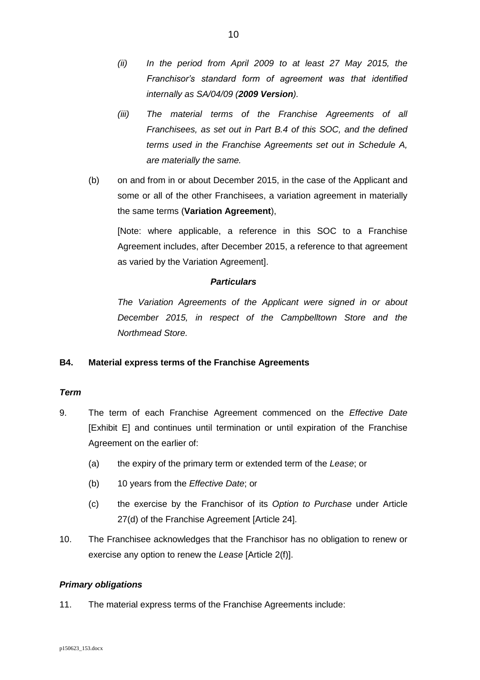- *(ii) In the period from April 2009 to at least 27 May 2015, the Franchisor's standard form of agreement was that identified internally as SA/04/09 (2009 Version).*
- *(iii) The material terms of the Franchise Agreements of all Franchisees, as set out in Part B.4 of this SOC, and the defined terms used in the Franchise Agreements set out in Schedule A, are materially the same.*
- (b) on and from in or about December 2015, in the case of the Applicant and some or all of the other Franchisees, a variation agreement in materially the same terms (**Variation Agreement**),

[Note: where applicable, a reference in this SOC to a Franchise Agreement includes, after December 2015, a reference to that agreement as varied by the Variation Agreement].

## *Particulars*

*The Variation Agreements of the Applicant were signed in or about December 2015, in respect of the Campbelltown Store and the Northmead Store.*

# <span id="page-9-0"></span>**B4. Material express terms of the Franchise Agreements**

## <span id="page-9-1"></span>*Term*

- 9. The term of each Franchise Agreement commenced on the *Effective Date* [Exhibit E] and continues until termination or until expiration of the Franchise Agreement on the earlier of:
	- (a) the expiry of the primary term or extended term of the *Lease*; or
	- (b) 10 years from the *Effective Date*; or
	- (c) the exercise by the Franchisor of its *Option to Purchase* under Article 27(d) of the Franchise Agreement [Article 24].
- 10. The Franchisee acknowledges that the Franchisor has no obligation to renew or exercise any option to renew the *Lease* [Article 2(f)].

## <span id="page-9-2"></span>*Primary obligations*

11. The material express terms of the Franchise Agreements include: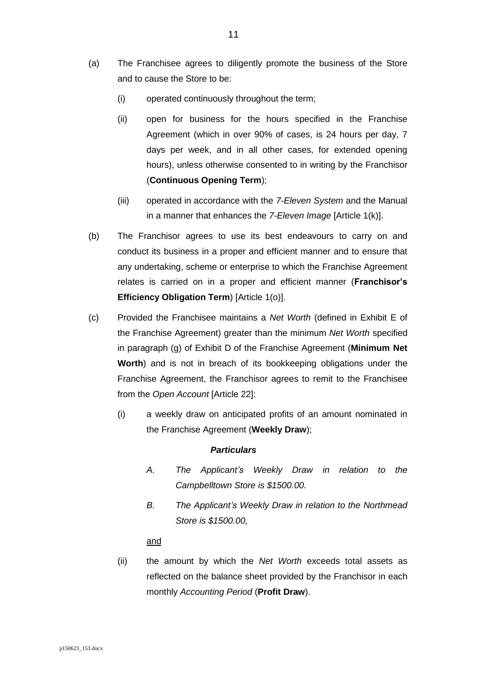- (a) The Franchisee agrees to diligently promote the business of the Store and to cause the Store to be:
	- (i) operated continuously throughout the term;
	- (ii) open for business for the hours specified in the Franchise Agreement (which in over 90% of cases, is 24 hours per day, 7 days per week, and in all other cases, for extended opening hours), unless otherwise consented to in writing by the Franchisor (**Continuous Opening Term**);
	- (iii) operated in accordance with the *7-Eleven System* and the Manual in a manner that enhances the *7-Eleven Image* [Article 1(k)].
- (b) The Franchisor agrees to use its best endeavours to carry on and conduct its business in a proper and efficient manner and to ensure that any undertaking, scheme or enterprise to which the Franchise Agreement relates is carried on in a proper and efficient manner (**Franchisor's Efficiency Obligation Term**) [Article 1(o)].
- (c) Provided the Franchisee maintains a *Net Worth* (defined in Exhibit E of the Franchise Agreement) greater than the minimum *Net Worth* specified in paragraph (g) of Exhibit D of the Franchise Agreement (**Minimum Net Worth**) and is not in breach of its bookkeeping obligations under the Franchise Agreement, the Franchisor agrees to remit to the Franchisee from the *Open Account* [Article 22]:
	- (i) a weekly draw on anticipated profits of an amount nominated in the Franchise Agreement (**Weekly Draw**);

- *A. The Applicant's Weekly Draw in relation to the Campbelltown Store is \$1500.00.*
- *B. The Applicant's Weekly Draw in relation to the Northmead Store is \$1500.00,*

#### and

(ii) the amount by which the *Net Worth* exceeds total assets as reflected on the balance sheet provided by the Franchisor in each monthly *Accounting Period* (**Profit Draw**).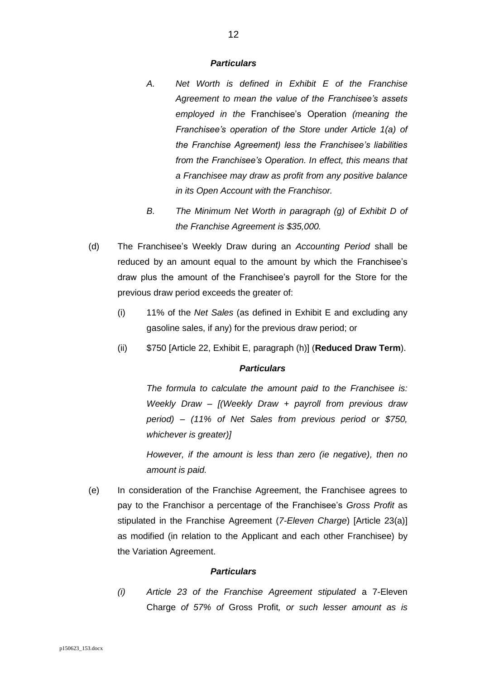- *A. Net Worth is defined in Exhibit E of the Franchise Agreement to mean the value of the Franchisee's assets employed in the* Franchisee's Operation *(meaning the Franchisee's operation of the Store under Article 1(a) of the Franchise Agreement) less the Franchisee's liabilities from the Franchisee's Operation. In effect, this means that a Franchisee may draw as profit from any positive balance in its Open Account with the Franchisor.*
	- *B. The Minimum Net Worth in paragraph (g) of Exhibit D of the Franchise Agreement is \$35,000.*
- (d) The Franchisee's Weekly Draw during an *Accounting Period* shall be reduced by an amount equal to the amount by which the Franchisee's draw plus the amount of the Franchisee's payroll for the Store for the previous draw period exceeds the greater of:
	- (i) 11% of the *Net Sales* (as defined in Exhibit E and excluding any gasoline sales, if any) for the previous draw period; or
	- (ii) \$750 [Article 22, Exhibit E, paragraph (h)] (**Reduced Draw Term**).

## *Particulars*

*The formula to calculate the amount paid to the Franchisee is: Weekly Draw – [(Weekly Draw + payroll from previous draw period) – (11% of Net Sales from previous period or \$750, whichever is greater)]* 

*However, if the amount is less than zero (ie negative), then no amount is paid.* 

<span id="page-11-0"></span>(e) In consideration of the Franchise Agreement, the Franchisee agrees to pay to the Franchisor a percentage of the Franchisee's *Gross Profit* as stipulated in the Franchise Agreement (*7-Eleven Charge*) [Article 23(a)] as modified (in relation to the Applicant and each other Franchisee) by the Variation Agreement.

#### *Particulars*

*(i) Article 23 of the Franchise Agreement stipulated* a 7-Eleven Charge *of 57% of* Gross Profit*, or such lesser amount as is*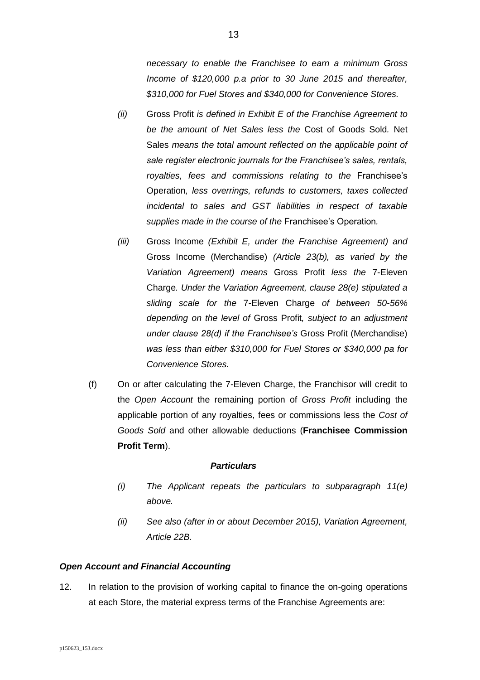*necessary to enable the Franchisee to earn a minimum Gross Income of \$120,000 p.a prior to 30 June 2015 and thereafter, \$310,000 for Fuel Stores and \$340,000 for Convenience Stores.*

- *(ii)* Gross Profit *is defined in Exhibit E of the Franchise Agreement to be the amount of Net Sales less the* Cost of Goods Sold*.* Net Sales *means the total amount reflected on the applicable point of sale register electronic journals for the Franchisee's sales, rentals, royalties, fees and commissions relating to the* Franchisee's Operation*, less overrings, refunds to customers, taxes collected incidental to sales and GST liabilities in respect of taxable supplies made in the course of the* Franchisee's Operation*.*
- *(iii)* Gross Income *(Exhibit E, under the Franchise Agreement) and*  Gross Income (Merchandise) *(Article 23(b), as varied by the Variation Agreement) means* Gross Profit *less the* 7-Eleven Charge*. Under the Variation Agreement, clause 28(e) stipulated a sliding scale for the* 7-Eleven Charge *of between 50-56% depending on the level of* Gross Profit*, subject to an adjustment under clause 28(d) if the Franchisee's* Gross Profit (Merchandise) *was less than either \$310,000 for Fuel Stores or \$340,000 pa for Convenience Stores.*
- (f) On or after calculating the 7-Eleven Charge, the Franchisor will credit to the *Open Account* the remaining portion of *Gross Profit* including the applicable portion of any royalties, fees or commissions less the *Cost of Goods Sold* and other allowable deductions (**Franchisee Commission Profit Term**).

#### *Particulars*

- *(i) The Applicant repeats the particulars to subparagraph [11\(e\)](#page-11-0) above.*
- *(ii) See also (after in or about December 2015), Variation Agreement, Article 22B.*

## <span id="page-12-0"></span>*Open Account and Financial Accounting*

12. In relation to the provision of working capital to finance the on-going operations at each Store, the material express terms of the Franchise Agreements are: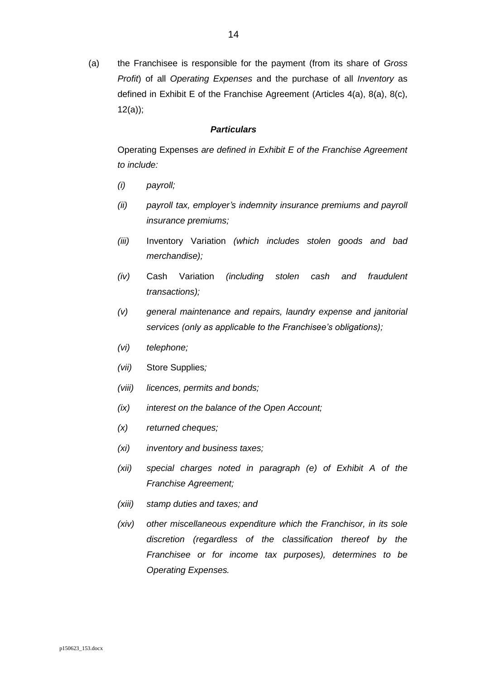(a) the Franchisee is responsible for the payment (from its share of *Gross Profit*) of all *Operating Expenses* and the purchase of all *Inventory* as defined in Exhibit E of the Franchise Agreement (Articles 4(a), 8(a), 8(c), 12(a));

#### *Particulars*

Operating Expenses *are defined in Exhibit E of the Franchise Agreement to include:*

- *(i) payroll;*
- *(ii) payroll tax, employer's indemnity insurance premiums and payroll insurance premiums;*
- *(iii)* Inventory Variation *(which includes stolen goods and bad merchandise);*
- *(iv)* Cash Variation *(including stolen cash and fraudulent transactions);*
- *(v) general maintenance and repairs, laundry expense and janitorial services (only as applicable to the Franchisee's obligations);*
- *(vi) telephone;*
- *(vii)* Store Supplies*;*
- *(viii) licences, permits and bonds;*
- *(ix) interest on the balance of the Open Account;*
- *(x) returned cheques;*
- *(xi) inventory and business taxes;*
- *(xii) special charges noted in paragraph (e) of Exhibit A of the Franchise Agreement;*
- *(xiii) stamp duties and taxes; and*
- *(xiv) other miscellaneous expenditure which the Franchisor, in its sole discretion (regardless of the classification thereof by the Franchisee or for income tax purposes), determines to be Operating Expenses.*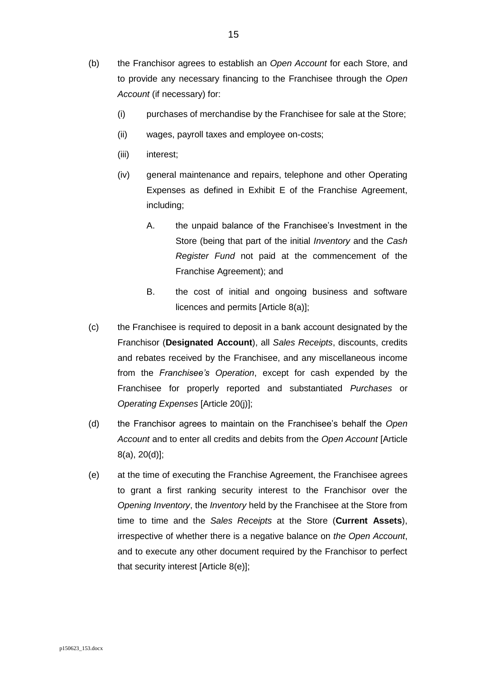- (b) the Franchisor agrees to establish an *Open Account* for each Store, and to provide any necessary financing to the Franchisee through the *Open Account* (if necessary) for:
	- (i) purchases of merchandise by the Franchisee for sale at the Store;
	- (ii) wages, payroll taxes and employee on-costs;
	- (iii) interest;
	- (iv) general maintenance and repairs, telephone and other Operating Expenses as defined in Exhibit E of the Franchise Agreement, including;
		- A. the unpaid balance of the Franchisee's Investment in the Store (being that part of the initial *Inventory* and the *Cash Register Fund* not paid at the commencement of the Franchise Agreement); and
		- B. the cost of initial and ongoing business and software licences and permits [Article 8(a)];
- (c) the Franchisee is required to deposit in a bank account designated by the Franchisor (**Designated Account**), all *Sales Receipts*, discounts, credits and rebates received by the Franchisee, and any miscellaneous income from the *Franchisee's Operation*, except for cash expended by the Franchisee for properly reported and substantiated *Purchases* or *Operating Expenses* [Article 20(j)];
- (d) the Franchisor agrees to maintain on the Franchisee's behalf the *Open Account* and to enter all credits and debits from the *Open Account* [Article 8(a), 20(d)];
- <span id="page-14-0"></span>(e) at the time of executing the Franchise Agreement, the Franchisee agrees to grant a first ranking security interest to the Franchisor over the *Opening Inventory*, the *Inventory* held by the Franchisee at the Store from time to time and the *Sales Receipts* at the Store (**Current Assets**), irrespective of whether there is a negative balance on *the Open Account*, and to execute any other document required by the Franchisor to perfect that security interest [Article 8(e)];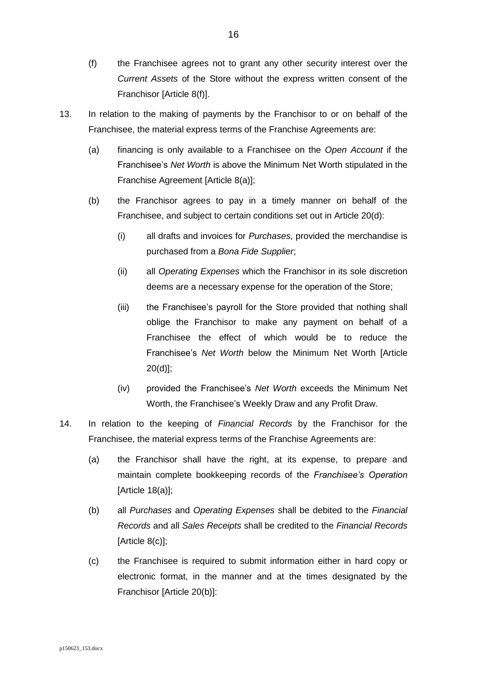- (f) the Franchisee agrees not to grant any other security interest over the *Current Assets* of the Store without the express written consent of the Franchisor [Article 8(f)].
- 13. In relation to the making of payments by the Franchisor to or on behalf of the Franchisee, the material express terms of the Franchise Agreements are:
	- (a) financing is only available to a Franchisee on the *Open Account* if the Franchisee's *Net Worth* is above the Minimum Net Worth stipulated in the Franchise Agreement [Article 8(a)];
	- (b) the Franchisor agrees to pay in a timely manner on behalf of the Franchisee, and subject to certain conditions set out in Article 20(d):
		- (i) all drafts and invoices for *Purchases*, provided the merchandise is purchased from a *Bona Fide Supplier*;
		- (ii) all *Operating Expenses* which the Franchisor in its sole discretion deems are a necessary expense for the operation of the Store;
		- (iii) the Franchisee's payroll for the Store provided that nothing shall oblige the Franchisor to make any payment on behalf of a Franchisee the effect of which would be to reduce the Franchisee's *Net Worth* below the Minimum Net Worth [Article 20(d)];
		- (iv) provided the Franchisee's *Net Worth* exceeds the Minimum Net Worth, the Franchisee's Weekly Draw and any Profit Draw.
- 14. In relation to the keeping of *Financial Records* by the Franchisor for the Franchisee, the material express terms of the Franchise Agreements are:
	- (a) the Franchisor shall have the right, at its expense, to prepare and maintain complete bookkeeping records of the *Franchisee's Operation* [Article 18(a)];
	- (b) all *Purchases* and *Operating Expenses* shall be debited to the *Financial Records* and all *Sales Receipts* shall be credited to the *Financial Records*  [Article 8(c)];
	- (c) the Franchisee is required to submit information either in hard copy or electronic format, in the manner and at the times designated by the Franchisor [Article 20(b)]: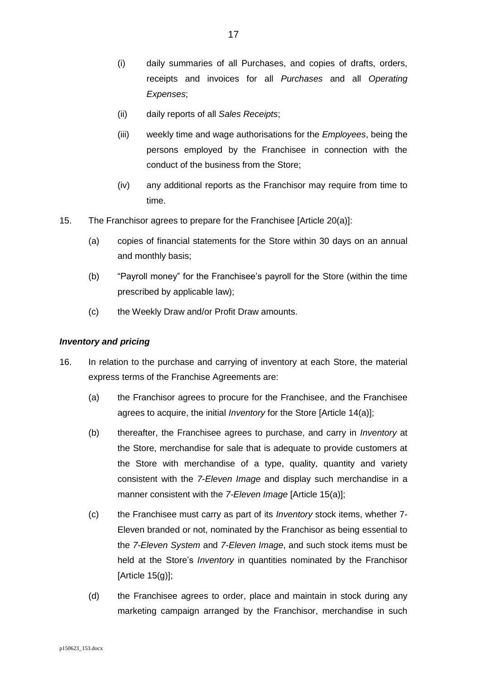- (i) daily summaries of all Purchases, and copies of drafts, orders, receipts and invoices for all *Purchases* and all *Operating Expenses*;
- (ii) daily reports of all *Sales Receipts*;
- (iii) weekly time and wage authorisations for the *Employees*, being the persons employed by the Franchisee in connection with the conduct of the business from the Store;
- (iv) any additional reports as the Franchisor may require from time to time.
- 15. The Franchisor agrees to prepare for the Franchisee [Article 20(a)]:
	- (a) copies of financial statements for the Store within 30 days on an annual and monthly basis;
	- (b) "Payroll money" for the Franchisee's payroll for the Store (within the time prescribed by applicable law);
	- (c) the Weekly Draw and/or Profit Draw amounts.

## <span id="page-16-0"></span>*Inventory and pricing*

- <span id="page-16-1"></span>16. In relation to the purchase and carrying of inventory at each Store, the material express terms of the Franchise Agreements are:
	- (a) the Franchisor agrees to procure for the Franchisee, and the Franchisee agrees to acquire, the initial *Inventory* for the Store [Article 14(a)];
	- (b) thereafter, the Franchisee agrees to purchase, and carry in *Inventory* at the Store, merchandise for sale that is adequate to provide customers at the Store with merchandise of a type, quality, quantity and variety consistent with the *7-Eleven Image* and display such merchandise in a manner consistent with the *7-Eleven Image* [Article 15(a)];
	- (c) the Franchisee must carry as part of its *Inventory* stock items, whether 7- Eleven branded or not, nominated by the Franchisor as being essential to the *7-Eleven System* and *7-Eleven Image*, and such stock items must be held at the Store's *Inventory* in quantities nominated by the Franchisor [Article  $15(g)$ ];
	- (d) the Franchisee agrees to order, place and maintain in stock during any marketing campaign arranged by the Franchisor, merchandise in such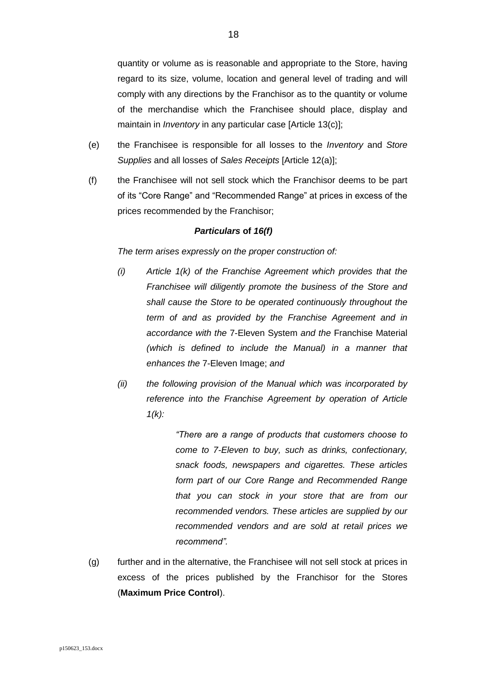quantity or volume as is reasonable and appropriate to the Store, having regard to its size, volume, location and general level of trading and will comply with any directions by the Franchisor as to the quantity or volume of the merchandise which the Franchisee should place, display and maintain in *Inventory* in any particular case [Article 13(c)];

- (e) the Franchisee is responsible for all losses to the *Inventory* and *Store Supplies* and all losses of *Sales Receipts* [Article 12(a)];
- <span id="page-17-0"></span>(f) the Franchisee will not sell stock which the Franchisor deems to be part of its "Core Range" and "Recommended Range" at prices in excess of the prices recommended by the Franchisor;

#### *Particulars* **of** *[16\(f\)](#page-17-0)*

*The term arises expressly on the proper construction of:*

- *(i) Article 1(k) of the Franchise Agreement which provides that the Franchisee will diligently promote the business of the Store and shall cause the Store to be operated continuously throughout the term of and as provided by the Franchise Agreement and in accordance with the* 7-Eleven System *and the* Franchise Material *(which is defined to include the Manual) in a manner that enhances the* 7-Eleven Image; *and*
- *(ii) the following provision of the Manual which was incorporated by reference into the Franchise Agreement by operation of Article 1(k):*

*"There are a range of products that customers choose to come to 7-Eleven to buy, such as drinks, confectionary, snack foods, newspapers and cigarettes. These articles form part of our Core Range and Recommended Range that you can stock in your store that are from our recommended vendors. These articles are supplied by our recommended vendors and are sold at retail prices we recommend".*

<span id="page-17-1"></span>(g) further and in the alternative, the Franchisee will not sell stock at prices in excess of the prices published by the Franchisor for the Stores (**Maximum Price Control**).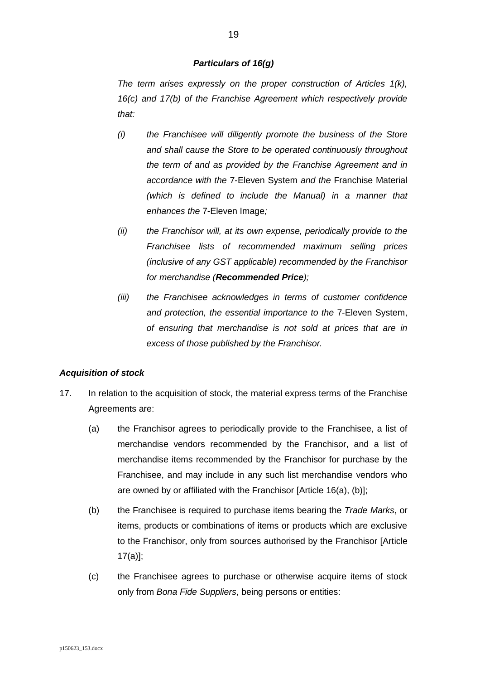#### *Particulars of 1[6\(g\)](#page-17-1)*

*The term arises expressly on the proper construction of Articles 1(k), 16(c) and 17(b) of the Franchise Agreement which respectively provide that:*

- *(i) the Franchisee will diligently promote the business of the Store and shall cause the Store to be operated continuously throughout the term of and as provided by the Franchise Agreement and in accordance with the* 7-Eleven System *and the* Franchise Material *(which is defined to include the Manual) in a manner that enhances the* 7-Eleven Image*;*
- *(ii) the Franchisor will, at its own expense, periodically provide to the Franchisee lists of recommended maximum selling prices (inclusive of any GST applicable) recommended by the Franchisor for merchandise (Recommended Price);*
- *(iii) the Franchisee acknowledges in terms of customer confidence and protection, the essential importance to the* 7-Eleven System, *of ensuring that merchandise is not sold at prices that are in excess of those published by the Franchisor.*

#### <span id="page-18-0"></span>*Acquisition of stock*

- <span id="page-18-1"></span>17. In relation to the acquisition of stock, the material express terms of the Franchise Agreements are:
	- (a) the Franchisor agrees to periodically provide to the Franchisee, a list of merchandise vendors recommended by the Franchisor, and a list of merchandise items recommended by the Franchisor for purchase by the Franchisee, and may include in any such list merchandise vendors who are owned by or affiliated with the Franchisor [Article 16(a), (b)];
	- (b) the Franchisee is required to purchase items bearing the *Trade Marks*, or items, products or combinations of items or products which are exclusive to the Franchisor, only from sources authorised by the Franchisor [Article 17(a)];
	- (c) the Franchisee agrees to purchase or otherwise acquire items of stock only from *Bona Fide Suppliers*, being persons or entities: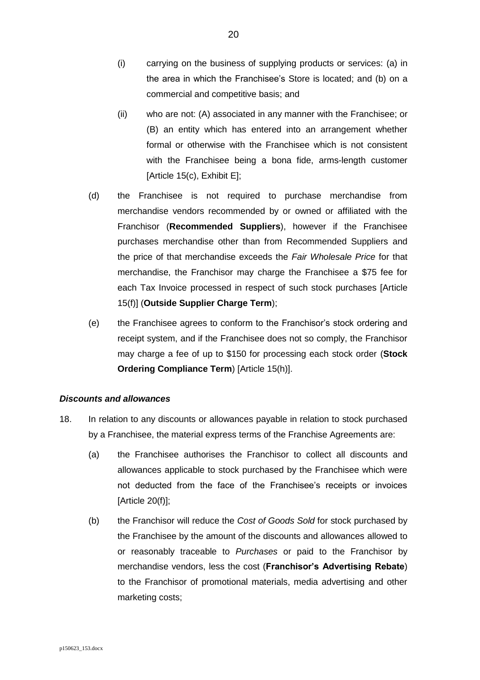- (i) carrying on the business of supplying products or services: (a) in the area in which the Franchisee's Store is located; and (b) on a commercial and competitive basis; and
- (ii) who are not: (A) associated in any manner with the Franchisee; or (B) an entity which has entered into an arrangement whether formal or otherwise with the Franchisee which is not consistent with the Franchisee being a bona fide, arms-length customer [Article 15(c), Exhibit E];
- <span id="page-19-1"></span>(d) the Franchisee is not required to purchase merchandise from merchandise vendors recommended by or owned or affiliated with the Franchisor (**Recommended Suppliers**), however if the Franchisee purchases merchandise other than from Recommended Suppliers and the price of that merchandise exceeds the *Fair Wholesale Price* for that merchandise, the Franchisor may charge the Franchisee a \$75 fee for each Tax Invoice processed in respect of such stock purchases [Article 15(f)] (**Outside Supplier Charge Term**);
- <span id="page-19-2"></span>(e) the Franchisee agrees to conform to the Franchisor's stock ordering and receipt system, and if the Franchisee does not so comply, the Franchisor may charge a fee of up to \$150 for processing each stock order (**Stock Ordering Compliance Term**) [Article 15(h)].

#### <span id="page-19-0"></span>*Discounts and allowances*

- <span id="page-19-3"></span>18. In relation to any discounts or allowances payable in relation to stock purchased by a Franchisee, the material express terms of the Franchise Agreements are:
	- (a) the Franchisee authorises the Franchisor to collect all discounts and allowances applicable to stock purchased by the Franchisee which were not deducted from the face of the Franchisee's receipts or invoices  $[Article 20(f)];$
	- (b) the Franchisor will reduce the *Cost of Goods Sold* for stock purchased by the Franchisee by the amount of the discounts and allowances allowed to or reasonably traceable to *Purchases* or paid to the Franchisor by merchandise vendors, less the cost (**Franchisor's Advertising Rebate**) to the Franchisor of promotional materials, media advertising and other marketing costs;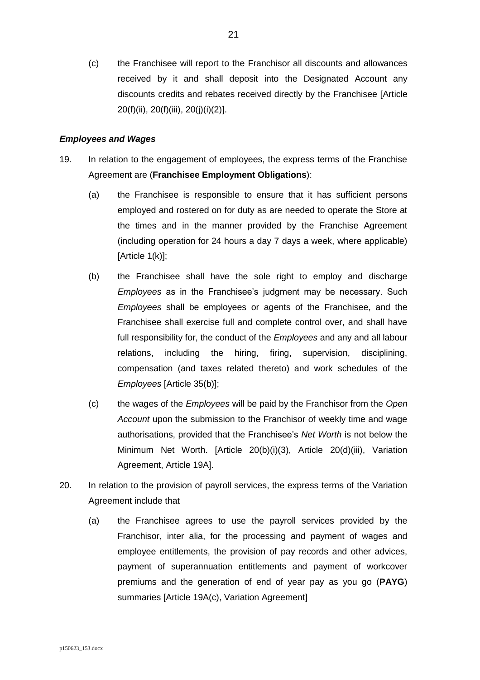(c) the Franchisee will report to the Franchisor all discounts and allowances received by it and shall deposit into the Designated Account any discounts credits and rebates received directly by the Franchisee [Article 20(f)(ii), 20(f)(iii), 20(j)(i)(2)].

#### <span id="page-20-0"></span>*Employees and Wages*

- 19. In relation to the engagement of employees, the express terms of the Franchise Agreement are (**Franchisee Employment Obligations**):
	- (a) the Franchisee is responsible to ensure that it has sufficient persons employed and rostered on for duty as are needed to operate the Store at the times and in the manner provided by the Franchise Agreement (including operation for 24 hours a day 7 days a week, where applicable)  $[Article 1(k)];$
	- (b) the Franchisee shall have the sole right to employ and discharge *Employees* as in the Franchisee's judgment may be necessary. Such *Employees* shall be employees or agents of the Franchisee, and the Franchisee shall exercise full and complete control over, and shall have full responsibility for, the conduct of the *Employees* and any and all labour relations, including the hiring, firing, supervision, disciplining, compensation (and taxes related thereto) and work schedules of the *Employees* [Article 35(b)];
	- (c) the wages of the *Employees* will be paid by the Franchisor from the *Open Account* upon the submission to the Franchisor of weekly time and wage authorisations, provided that the Franchisee's *Net Worth* is not below the Minimum Net Worth. [Article 20(b)(i)(3), Article 20(d)(iii), Variation Agreement, Article 19A].
- <span id="page-20-1"></span>20. In relation to the provision of payroll services, the express terms of the Variation Agreement include that
	- (a) the Franchisee agrees to use the payroll services provided by the Franchisor, inter alia, for the processing and payment of wages and employee entitlements, the provision of pay records and other advices, payment of superannuation entitlements and payment of workcover premiums and the generation of end of year pay as you go (**PAYG**) summaries [Article 19A(c), Variation Agreement]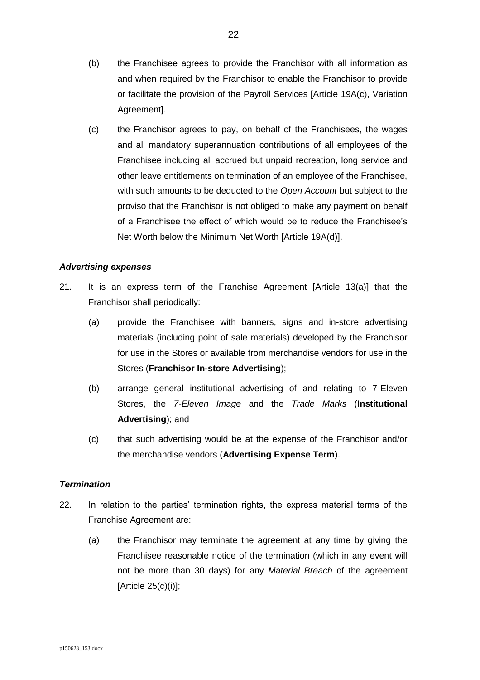- (b) the Franchisee agrees to provide the Franchisor with all information as and when required by the Franchisor to enable the Franchisor to provide or facilitate the provision of the Payroll Services [Article 19A(c), Variation Agreement].
- (c) the Franchisor agrees to pay, on behalf of the Franchisees, the wages and all mandatory superannuation contributions of all employees of the Franchisee including all accrued but unpaid recreation, long service and other leave entitlements on termination of an employee of the Franchisee, with such amounts to be deducted to the *Open Account* but subject to the proviso that the Franchisor is not obliged to make any payment on behalf of a Franchisee the effect of which would be to reduce the Franchisee's Net Worth below the Minimum Net Worth [Article 19A(d)].

## <span id="page-21-0"></span>*Advertising expenses*

- 21. It is an express term of the Franchise Agreement [Article 13(a)] that the Franchisor shall periodically:
	- (a) provide the Franchisee with banners, signs and in-store advertising materials (including point of sale materials) developed by the Franchisor for use in the Stores or available from merchandise vendors for use in the Stores (**Franchisor In-store Advertising**);
	- (b) arrange general institutional advertising of and relating to 7-Eleven Stores, the *7-Eleven Image* and the *Trade Marks* (**Institutional Advertising**); and
	- (c) that such advertising would be at the expense of the Franchisor and/or the merchandise vendors (**Advertising Expense Term**).

## <span id="page-21-1"></span>*Termination*

- <span id="page-21-2"></span>22. In relation to the parties' termination rights, the express material terms of the Franchise Agreement are:
	- (a) the Franchisor may terminate the agreement at any time by giving the Franchisee reasonable notice of the termination (which in any event will not be more than 30 days) for any *Material Breach* of the agreement [Article 25(c)(i)];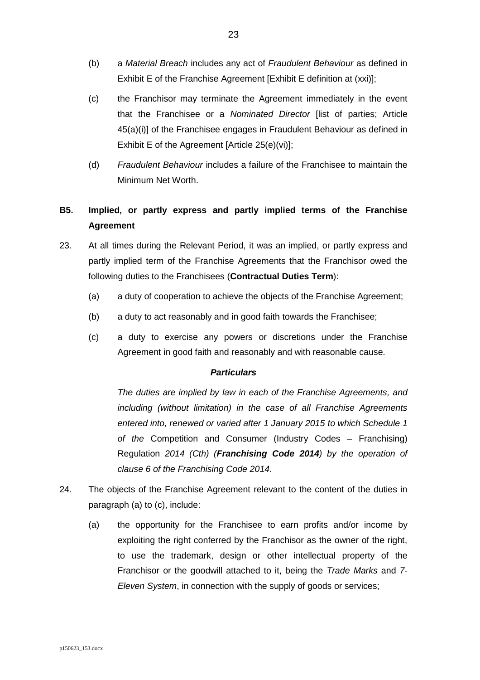- (b) a *Material Breach* includes any act of *Fraudulent Behaviour* as defined in Exhibit E of the Franchise Agreement [Exhibit E definition at (xxi)];
- (c) the Franchisor may terminate the Agreement immediately in the event that the Franchisee or a *Nominated Director* [list of parties; Article 45(a)(i)] of the Franchisee engages in Fraudulent Behaviour as defined in Exhibit E of the Agreement [Article 25(e)(vi)];
- (d) *Fraudulent Behaviour* includes a failure of the Franchisee to maintain the Minimum Net Worth.

# <span id="page-22-0"></span>**B5. Implied, or partly express and partly implied terms of the Franchise Agreement**

- 23. At all times during the Relevant Period, it was an implied, or partly express and partly implied term of the Franchise Agreements that the Franchisor owed the following duties to the Franchisees (**Contractual Duties Term**):
	- (a) a duty of cooperation to achieve the objects of the Franchise Agreement;
	- (b) a duty to act reasonably and in good faith towards the Franchisee;
	- (c) a duty to exercise any powers or discretions under the Franchise Agreement in good faith and reasonably and with reasonable cause.

## *Particulars*

*The duties are implied by law in each of the Franchise Agreements, and including (without limitation) in the case of all Franchise Agreements entered into, renewed or varied after 1 January 2015 to which Schedule 1 of the* Competition and Consumer (Industry Codes – Franchising) Regulation *2014 (Cth) (Franchising Code 2014) by the operation of clause 6 of the Franchising Code 2014*.

- <span id="page-22-1"></span>24. The objects of the Franchise Agreement relevant to the content of the duties in paragraph (a) to (c), include:
	- (a) the opportunity for the Franchisee to earn profits and/or income by exploiting the right conferred by the Franchisor as the owner of the right, to use the trademark, design or other intellectual property of the Franchisor or the goodwill attached to it, being the *Trade Marks* and *7- Eleven System*, in connection with the supply of goods or services;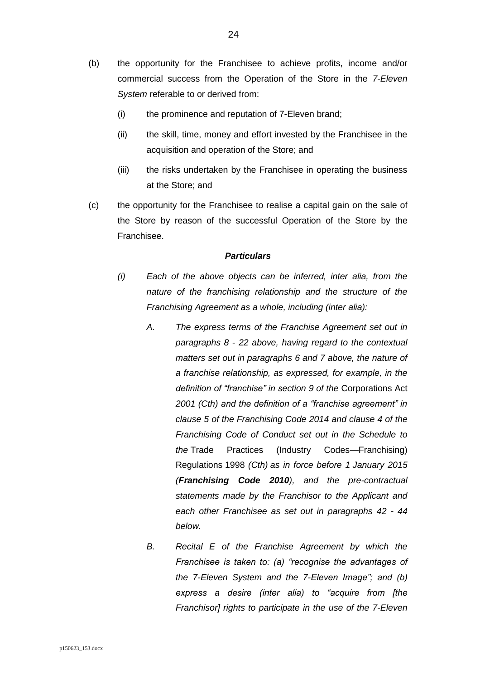- (b) the opportunity for the Franchisee to achieve profits, income and/or commercial success from the Operation of the Store in the *7-Eleven System* referable to or derived from:
	- (i) the prominence and reputation of 7-Eleven brand;
	- (ii) the skill, time, money and effort invested by the Franchisee in the acquisition and operation of the Store; and
	- (iii) the risks undertaken by the Franchisee in operating the business at the Store; and
- (c) the opportunity for the Franchisee to realise a capital gain on the sale of the Store by reason of the successful Operation of the Store by the Franchisee.

- *(i) Each of the above objects can be inferred, inter alia, from the nature of the franchising relationship and the structure of the Franchising Agreement as a whole, including (inter alia):*
	- *A. The express terms of the Franchise Agreement set out in paragraphs [8](#page-8-1) - [22](#page-21-2) above, having regard to the contextual matters set out in paragraphs [6](#page-5-2) and [7](#page-7-1) above, the nature of a franchise relationship, as expressed, for example, in the definition of "franchise" in section 9 of the* Corporations Act *2001 (Cth) and the definition of a "franchise agreement" in clause 5 of the Franchising Code 2014 and clause 4 of the Franchising Code of Conduct set out in the Schedule to the* Trade Practices (Industry Codes—Franchising) Regulations 1998 *(Cth) as in force before 1 January 2015 (Franchising Code 2010), and the pre-contractual statements made by the Franchisor to the Applicant and each other Franchisee as set out in paragraphs [42](#page-37-0) - [44](#page-39-0) below.*
	- *B. Recital E of the Franchise Agreement by which the Franchisee is taken to: (a) "recognise the advantages of the 7-Eleven System and the 7-Eleven Image"; and (b) express a desire (inter alia) to "acquire from [the Franchisor] rights to participate in the use of the 7-Eleven*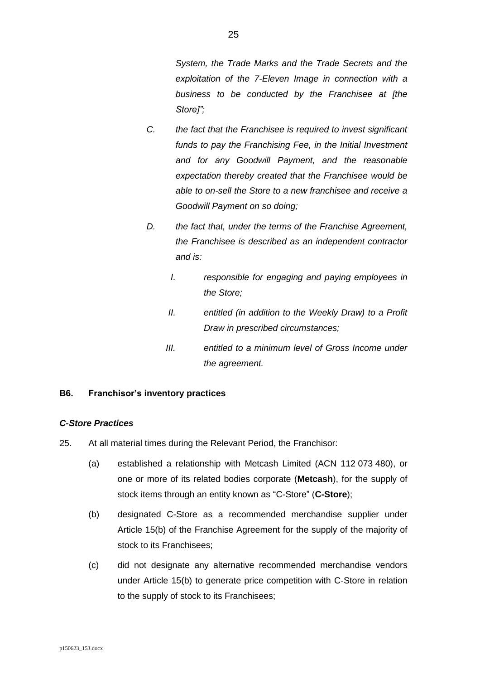*System, the Trade Marks and the Trade Secrets and the exploitation of the 7-Eleven Image in connection with a business to be conducted by the Franchisee at [the Store]";*

- *C. the fact that the Franchisee is required to invest significant*  funds to pay the Franchising Fee, in the Initial Investment *and for any Goodwill Payment, and the reasonable expectation thereby created that the Franchisee would be able to on-sell the Store to a new franchisee and receive a Goodwill Payment on so doing;*
- *D. the fact that, under the terms of the Franchise Agreement, the Franchisee is described as an independent contractor and is:*
	- *I. responsible for engaging and paying employees in the Store;*
	- *II. entitled (in addition to the Weekly Draw) to a Profit Draw in prescribed circumstances;*
	- *III. entitled to a minimum level of Gross Income under the agreement.*

# <span id="page-24-0"></span>**B6. Franchisor's inventory practices**

## <span id="page-24-1"></span>*C-Store Practices*

- <span id="page-24-3"></span><span id="page-24-2"></span>25. At all material times during the Relevant Period, the Franchisor:
	- (a) established a relationship with Metcash Limited (ACN 112 073 480), or one or more of its related bodies corporate (**Metcash**), for the supply of stock items through an entity known as "C-Store" (**C-Store**);
	- (b) designated C-Store as a recommended merchandise supplier under Article 15(b) of the Franchise Agreement for the supply of the majority of stock to its Franchisees;
	- (c) did not designate any alternative recommended merchandise vendors under Article 15(b) to generate price competition with C-Store in relation to the supply of stock to its Franchisees;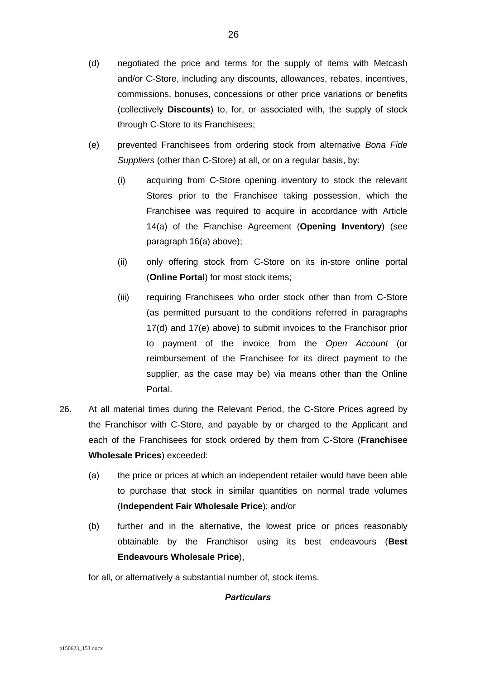- (d) negotiated the price and terms for the supply of items with Metcash and/or C-Store, including any discounts, allowances, rebates, incentives, commissions, bonuses, concessions or other price variations or benefits (collectively **Discounts**) to, for, or associated with, the supply of stock through C-Store to its Franchisees;
- <span id="page-25-1"></span>(e) prevented Franchisees from ordering stock from alternative *Bona Fide Suppliers* (other than C-Store) at all, or on a regular basis, by:
	- (i) acquiring from C-Store opening inventory to stock the relevant Stores prior to the Franchisee taking possession, which the Franchisee was required to acquire in accordance with Article 14(a) of the Franchise Agreement (**Opening Inventory**) (see paragraph [16\(a\)](#page-16-1) above);
	- (ii) only offering stock from C-Store on its in-store online portal (**Online Portal**) for most stock items;
	- (iii) requiring Franchisees who order stock other than from C-Store (as permitted pursuant to the conditions referred in paragraphs [17\(d\)](#page-19-1) and [17\(e\)](#page-19-2) above) to submit invoices to the Franchisor prior to payment of the invoice from the *Open Account* (or reimbursement of the Franchisee for its direct payment to the supplier, as the case may be) via means other than the Online Portal.
- <span id="page-25-0"></span>26. At all material times during the Relevant Period, the C-Store Prices agreed by the Franchisor with C-Store, and payable by or charged to the Applicant and each of the Franchisees for stock ordered by them from C-Store (**Franchisee Wholesale Prices**) exceeded:
	- (a) the price or prices at which an independent retailer would have been able to purchase that stock in similar quantities on normal trade volumes (**Independent Fair Wholesale Price**); and/or
	- (b) further and in the alternative, the lowest price or prices reasonably obtainable by the Franchisor using its best endeavours (**Best Endeavours Wholesale Price**),

for all, or alternatively a substantial number of, stock items.

## *Particulars*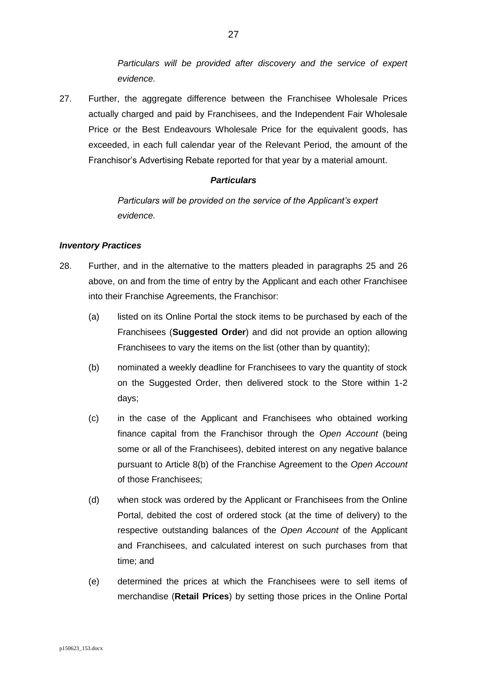*Particulars will be provided after discovery and the service of expert evidence.*

<span id="page-26-1"></span>27. Further, the aggregate difference between the Franchisee Wholesale Prices actually charged and paid by Franchisees, and the Independent Fair Wholesale Price or the Best Endeavours Wholesale Price for the equivalent goods, has exceeded, in each full calendar year of the Relevant Period, the amount of the Franchisor's Advertising Rebate reported for that year by a material amount.

## <span id="page-26-2"></span>*Particulars*

*Particulars will be provided on the service of the Applicant's expert evidence.*

## <span id="page-26-0"></span>*Inventory Practices*

- <span id="page-26-7"></span><span id="page-26-6"></span><span id="page-26-5"></span><span id="page-26-4"></span><span id="page-26-3"></span>28. Further, and in the alternative to the matters pleaded in paragraphs [25](#page-24-2) and [26](#page-25-0) above, on and from the time of entry by the Applicant and each other Franchisee into their Franchise Agreements, the Franchisor:
	- (a) listed on its Online Portal the stock items to be purchased by each of the Franchisees (**Suggested Order**) and did not provide an option allowing Franchisees to vary the items on the list (other than by quantity);
	- (b) nominated a weekly deadline for Franchisees to vary the quantity of stock on the Suggested Order, then delivered stock to the Store within 1-2 days;
	- (c) in the case of the Applicant and Franchisees who obtained working finance capital from the Franchisor through the *Open Account* (being some or all of the Franchisees), debited interest on any negative balance pursuant to Article 8(b) of the Franchise Agreement to the *Open Account*  of those Franchisees;
	- (d) when stock was ordered by the Applicant or Franchisees from the Online Portal, debited the cost of ordered stock (at the time of delivery) to the respective outstanding balances of the *Open Account* of the Applicant and Franchisees, and calculated interest on such purchases from that time; and
	- (e) determined the prices at which the Franchisees were to sell items of merchandise (**Retail Prices**) by setting those prices in the Online Portal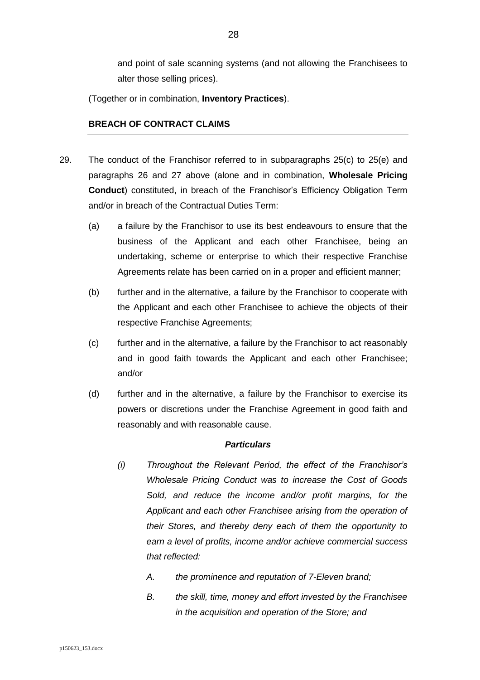and point of sale scanning systems (and not allowing the Franchisees to alter those selling prices).

(Together or in combination, **Inventory Practices**).

## <span id="page-27-0"></span>**BREACH OF CONTRACT CLAIMS**

- <span id="page-27-1"></span>29. The conduct of the Franchisor referred to in subparagraphs [25\(c\)](#page-24-3) to [25\(e\)](#page-25-1) and paragraphs [26](#page-25-0) and [27](#page-26-1) above (alone and in combination, **Wholesale Pricing Conduct**) constituted, in breach of the Franchisor's Efficiency Obligation Term and/or in breach of the Contractual Duties Term:
	- (a) a failure by the Franchisor to use its best endeavours to ensure that the business of the Applicant and each other Franchisee, being an undertaking, scheme or enterprise to which their respective Franchise Agreements relate has been carried on in a proper and efficient manner;
	- (b) further and in the alternative, a failure by the Franchisor to cooperate with the Applicant and each other Franchisee to achieve the objects of their respective Franchise Agreements;
	- (c) further and in the alternative, a failure by the Franchisor to act reasonably and in good faith towards the Applicant and each other Franchisee; and/or
	- (d) further and in the alternative, a failure by the Franchisor to exercise its powers or discretions under the Franchise Agreement in good faith and reasonably and with reasonable cause.

#### *Particulars*

- *(i) Throughout the Relevant Period, the effect of the Franchisor's Wholesale Pricing Conduct was to increase the Cost of Goods Sold, and reduce the income and/or profit margins, for the Applicant and each other Franchisee arising from the operation of their Stores, and thereby deny each of them the opportunity to earn a level of profits, income and/or achieve commercial success that reflected:* 
	- *A. the prominence and reputation of 7-Eleven brand;*
	- *B. the skill, time, money and effort invested by the Franchisee in the acquisition and operation of the Store; and*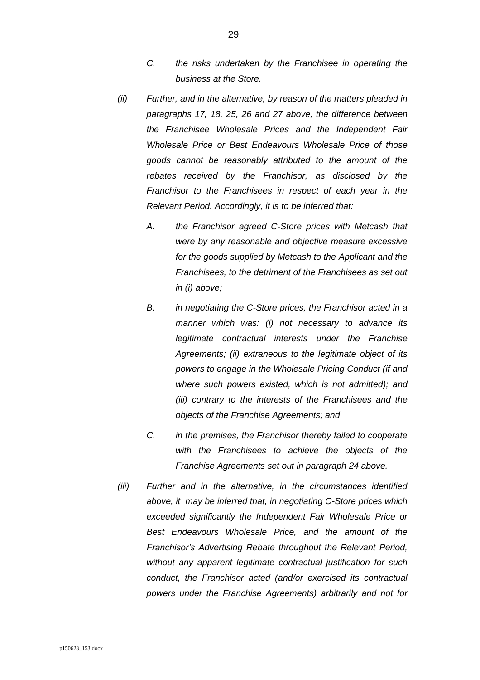- *C. the risks undertaken by the Franchisee in operating the business at the Store.*
- *(ii) Further, and in the alternative, by reason of the matters pleaded in paragraphs [17,](#page-18-1) [18,](#page-19-3) [25,](#page-24-2) [26](#page-25-0) and [27](#page-26-2) above, the difference between the Franchisee Wholesale Prices and the Independent Fair Wholesale Price or Best Endeavours Wholesale Price of those goods cannot be reasonably attributed to the amount of the rebates received by the Franchisor, as disclosed by the Franchisor to the Franchisees in respect of each year in the Relevant Period. Accordingly, it is to be inferred that:*
	- *A. the Franchisor agreed C-Store prices with Metcash that were by any reasonable and objective measure excessive for the goods supplied by Metcash to the Applicant and the Franchisees, to the detriment of the Franchisees as set out in (i) above;*
	- *B. in negotiating the C-Store prices, the Franchisor acted in a manner which was: (i) not necessary to advance its legitimate contractual interests under the Franchise Agreements; (ii) extraneous to the legitimate object of its powers to engage in the Wholesale Pricing Conduct (if and where such powers existed, which is not admitted); and (iii) contrary to the interests of the Franchisees and the objects of the Franchise Agreements; and*
	- *C. in the premises, the Franchisor thereby failed to cooperate with the Franchisees to achieve the objects of the Franchise Agreements set out in paragraph [24](#page-22-1) above.*
- *(iii) Further and in the alternative, in the circumstances identified above, it may be inferred that, in negotiating C-Store prices which exceeded significantly the Independent Fair Wholesale Price or Best Endeavours Wholesale Price, and the amount of the Franchisor's Advertising Rebate throughout the Relevant Period, without any apparent legitimate contractual justification for such conduct, the Franchisor acted (and/or exercised its contractual powers under the Franchise Agreements) arbitrarily and not for*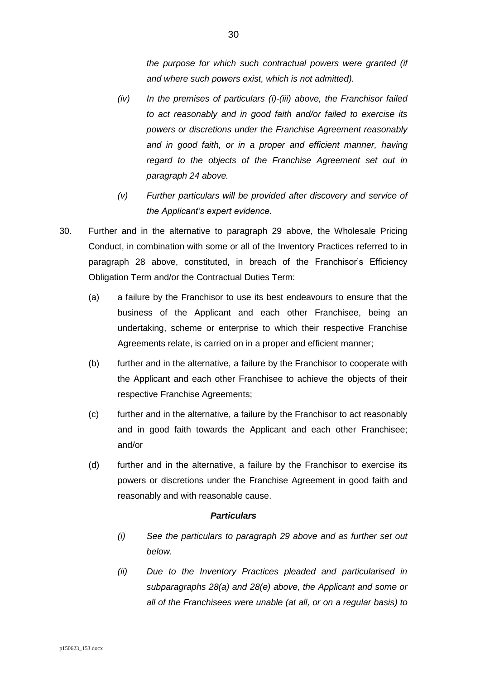*the purpose for which such contractual powers were granted (if and where such powers exist, which is not admitted).*

- *(iv) In the premises of particulars (i)-(iii) above, the Franchisor failed to act reasonably and in good faith and/or failed to exercise its powers or discretions under the Franchise Agreement reasonably and in good faith, or in a proper and efficient manner, having regard to the objects of the Franchise Agreement set out in paragraph [24](#page-22-1) above.*
- *(v) Further particulars will be provided after discovery and service of the Applicant's expert evidence.*
- <span id="page-29-0"></span>30. Further and in the alternative to paragraph [29](#page-27-1) above, the Wholesale Pricing Conduct, in combination with some or all of the Inventory Practices referred to in paragraph [28](#page-26-3) above, constituted, in breach of the Franchisor's Efficiency Obligation Term and/or the Contractual Duties Term:
	- (a) a failure by the Franchisor to use its best endeavours to ensure that the business of the Applicant and each other Franchisee, being an undertaking, scheme or enterprise to which their respective Franchise Agreements relate, is carried on in a proper and efficient manner;
	- (b) further and in the alternative, a failure by the Franchisor to cooperate with the Applicant and each other Franchisee to achieve the objects of their respective Franchise Agreements;
	- (c) further and in the alternative, a failure by the Franchisor to act reasonably and in good faith towards the Applicant and each other Franchisee; and/or
	- (d) further and in the alternative, a failure by the Franchisor to exercise its powers or discretions under the Franchise Agreement in good faith and reasonably and with reasonable cause.

#### *Particulars*

- *(i) See the particulars to paragraph [29](#page-27-1) above and as further set out below.*
- *(ii) Due to the Inventory Practices pleaded and particularised in subparagraphs [28\(a\)](#page-26-4) and [28\(e\)](#page-26-5) above, the Applicant and some or all of the Franchisees were unable (at all, or on a regular basis) to*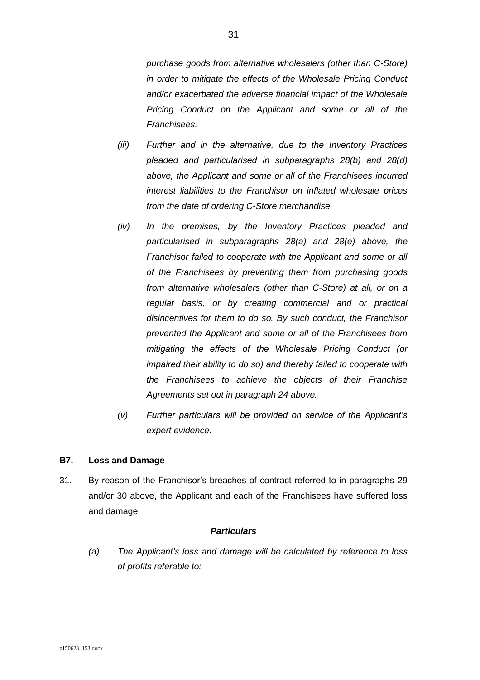*purchase goods from alternative wholesalers (other than C-Store) in order to mitigate the effects of the Wholesale Pricing Conduct and/or exacerbated the adverse financial impact of the Wholesale Pricing Conduct on the Applicant and some or all of the Franchisees.* 

- *(iii) Further and in the alternative, due to the Inventory Practices pleaded and particularised in subparagraphs [28\(b\)](#page-26-6) and [28\(d\)](#page-26-7) above, the Applicant and some or all of the Franchisees incurred interest liabilities to the Franchisor on inflated wholesale prices from the date of ordering C-Store merchandise.*
- *(iv) In the premises, by the Inventory Practices pleaded and particularised in subparagraphs [28\(a\)](#page-26-4) and [28\(e\)](#page-26-5) above, the Franchisor failed to cooperate with the Applicant and some or all of the Franchisees by preventing them from purchasing goods from alternative wholesalers (other than C-Store) at all, or on a regular basis, or by creating commercial and or practical disincentives for them to do so. By such conduct, the Franchisor prevented the Applicant and some or all of the Franchisees from mitigating the effects of the Wholesale Pricing Conduct (or impaired their ability to do so) and thereby failed to cooperate with the Franchisees to achieve the objects of their Franchise Agreements set out in paragraph [24](#page-22-1) above.*
- *(v) Further particulars will be provided on service of the Applicant's expert evidence.*

#### <span id="page-30-0"></span>**B7. Loss and Damage**

31. By reason of the Franchisor's breaches of contract referred to in paragraphs [29](#page-27-1) and/or [30](#page-29-0) above, the Applicant and each of the Franchisees have suffered loss and damage.

#### *Particulars*

*(a) The Applicant's loss and damage will be calculated by reference to loss of profits referable to:*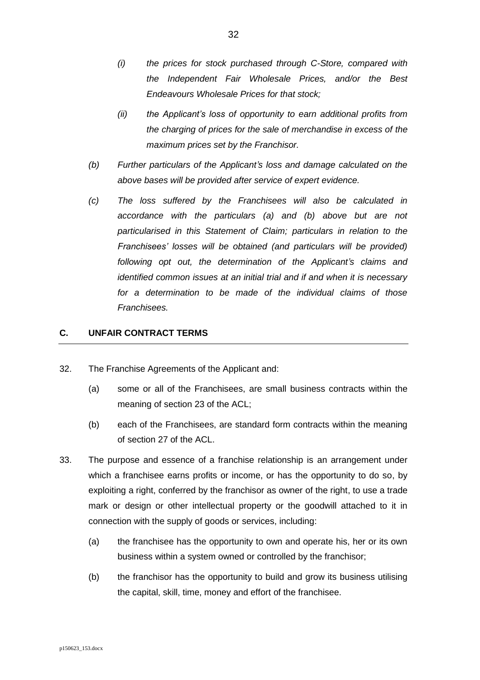- *(i) the prices for stock purchased through C-Store, compared with the Independent Fair Wholesale Prices, and/or the Best Endeavours Wholesale Prices for that stock;*
- *(ii) the Applicant's loss of opportunity to earn additional profits from the charging of prices for the sale of merchandise in excess of the maximum prices set by the Franchisor.*
- *(b) Further particulars of the Applicant's loss and damage calculated on the above bases will be provided after service of expert evidence.*
- *(c) The loss suffered by the Franchisees will also be calculated in accordance with the particulars (a) and (b) above but are not particularised in this Statement of Claim; particulars in relation to the Franchisees' losses will be obtained (and particulars will be provided) following opt out, the determination of the Applicant's claims and identified common issues at an initial trial and if and when it is necessary for a determination to be made of the individual claims of those Franchisees.*

## <span id="page-31-0"></span>**C. UNFAIR CONTRACT TERMS**

- <span id="page-31-2"></span>32. The Franchise Agreements of the Applicant and:
	- (a) some or all of the Franchisees, are small business contracts within the meaning of section 23 of the ACL;
	- (b) each of the Franchisees, are standard form contracts within the meaning of section 27 of the ACL.
- <span id="page-31-1"></span>33. The purpose and essence of a franchise relationship is an arrangement under which a franchisee earns profits or income, or has the opportunity to do so, by exploiting a right, conferred by the franchisor as owner of the right, to use a trade mark or design or other intellectual property or the goodwill attached to it in connection with the supply of goods or services, including:
	- (a) the franchisee has the opportunity to own and operate his, her or its own business within a system owned or controlled by the franchisor;
	- (b) the franchisor has the opportunity to build and grow its business utilising the capital, skill, time, money and effort of the franchisee.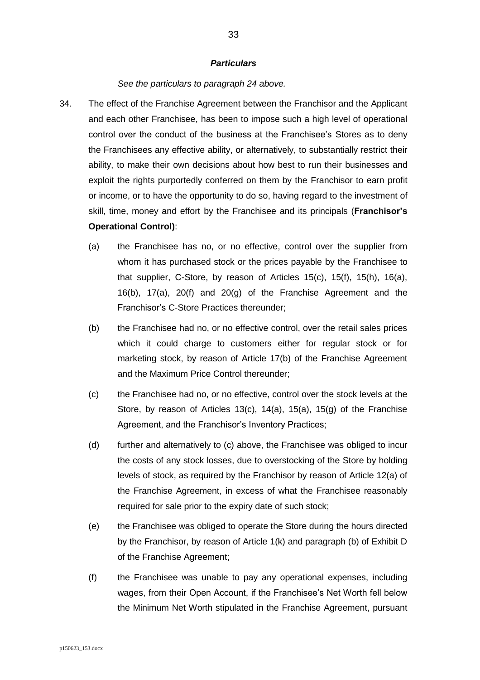#### *See the particulars to paragraph [24](#page-22-1) above.*

- <span id="page-32-1"></span><span id="page-32-0"></span>34. The effect of the Franchise Agreement between the Franchisor and the Applicant and each other Franchisee, has been to impose such a high level of operational control over the conduct of the business at the Franchisee's Stores as to deny the Franchisees any effective ability, or alternatively, to substantially restrict their ability, to make their own decisions about how best to run their businesses and exploit the rights purportedly conferred on them by the Franchisor to earn profit or income, or to have the opportunity to do so, having regard to the investment of skill, time, money and effort by the Franchisee and its principals (**Franchisor's Operational Control)**:
	- (a) the Franchisee has no, or no effective, control over the supplier from whom it has purchased stock or the prices payable by the Franchisee to that supplier, C-Store, by reason of Articles 15(c), 15(f), 15(h), 16(a), 16(b), 17(a), 20(f) and 20(g) of the Franchise Agreement and the Franchisor's C-Store Practices thereunder;
	- (b) the Franchisee had no, or no effective control, over the retail sales prices which it could charge to customers either for regular stock or for marketing stock, by reason of Article 17(b) of the Franchise Agreement and the Maximum Price Control thereunder;
	- (c) the Franchisee had no, or no effective, control over the stock levels at the Store, by reason of Articles 13(c), 14(a), 15(a), 15(g) of the Franchise Agreement, and the Franchisor's Inventory Practices;
	- (d) further and alternatively to (c) above, the Franchisee was obliged to incur the costs of any stock losses, due to overstocking of the Store by holding levels of stock, as required by the Franchisor by reason of Article 12(a) of the Franchise Agreement, in excess of what the Franchisee reasonably required for sale prior to the expiry date of such stock;
	- (e) the Franchisee was obliged to operate the Store during the hours directed by the Franchisor, by reason of Article 1(k) and paragraph (b) of Exhibit D of the Franchise Agreement;
	- (f) the Franchisee was unable to pay any operational expenses, including wages, from their Open Account, if the Franchisee's Net Worth fell below the Minimum Net Worth stipulated in the Franchise Agreement, pursuant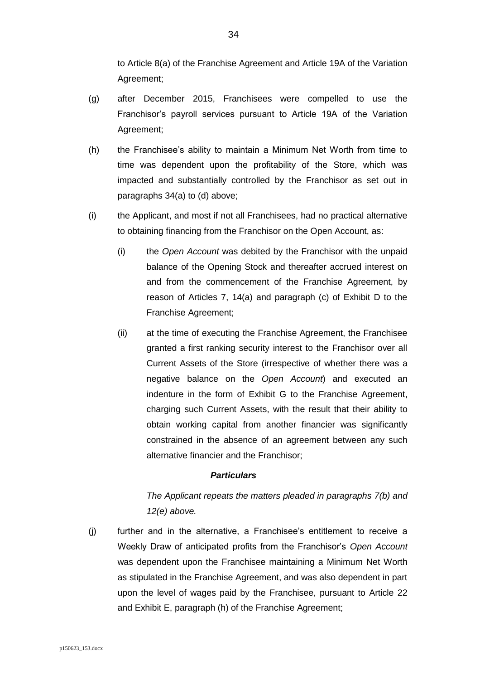to Article 8(a) of the Franchise Agreement and Article 19A of the Variation Agreement;

- (g) after December 2015, Franchisees were compelled to use the Franchisor's payroll services pursuant to Article 19A of the Variation Agreement;
- (h) the Franchisee's ability to maintain a Minimum Net Worth from time to time was dependent upon the profitability of the Store, which was impacted and substantially controlled by the Franchisor as set out in paragraphs [34\(](#page-32-0)a) to (d) above;
- (i) the Applicant, and most if not all Franchisees, had no practical alternative to obtaining financing from the Franchisor on the Open Account, as:
	- (i) the *Open Account* was debited by the Franchisor with the unpaid balance of the Opening Stock and thereafter accrued interest on and from the commencement of the Franchise Agreement, by reason of Articles 7, 14(a) and paragraph (c) of Exhibit D to the Franchise Agreement;
	- (ii) at the time of executing the Franchise Agreement, the Franchisee granted a first ranking security interest to the Franchisor over all Current Assets of the Store (irrespective of whether there was a negative balance on the *Open Account*) and executed an indenture in the form of Exhibit G to the Franchise Agreement, charging such Current Assets, with the result that their ability to obtain working capital from another financier was significantly constrained in the absence of an agreement between any such alternative financier and the Franchisor;

#### *Particulars*

# *The Applicant repeats the matters pleaded in paragraphs [7\(b\)](#page-7-2) and [12\(e\)](#page-14-0) above.*

(j) further and in the alternative, a Franchisee's entitlement to receive a Weekly Draw of anticipated profits from the Franchisor's *Open Account* was dependent upon the Franchisee maintaining a Minimum Net Worth as stipulated in the Franchise Agreement, and was also dependent in part upon the level of wages paid by the Franchisee, pursuant to Article 22 and Exhibit E, paragraph (h) of the Franchise Agreement;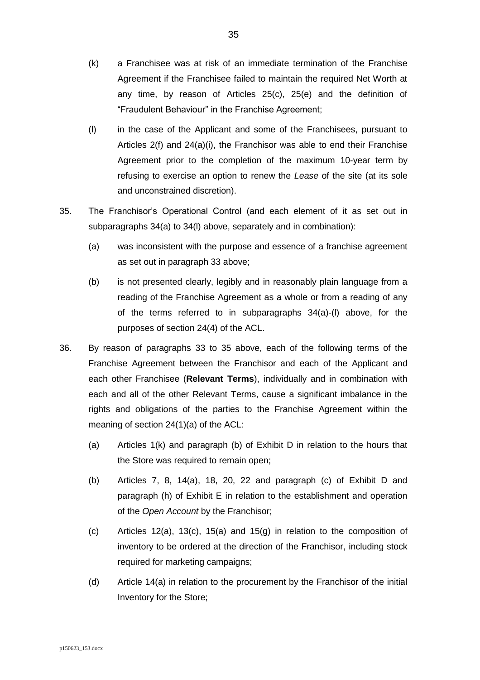- (k) a Franchisee was at risk of an immediate termination of the Franchise Agreement if the Franchisee failed to maintain the required Net Worth at any time, by reason of Articles 25(c), 25(e) and the definition of "Fraudulent Behaviour" in the Franchise Agreement;
- <span id="page-34-0"></span>(l) in the case of the Applicant and some of the Franchisees, pursuant to Articles 2(f) and 24(a)(i), the Franchisor was able to end their Franchise Agreement prior to the completion of the maximum 10-year term by refusing to exercise an option to renew the *Lease* of the site (at its sole and unconstrained discretion).
- <span id="page-34-1"></span>35. The Franchisor's Operational Control (and each element of it as set out in subparagraphs [34\(a\)](#page-32-1) to [34\(l\)](#page-34-0) above, separately and in combination):
	- (a) was inconsistent with the purpose and essence of a franchise agreement as set out in paragraph [33](#page-31-1) above;
	- (b) is not presented clearly, legibly and in reasonably plain language from a reading of the Franchise Agreement as a whole or from a reading of any of the terms referred to in subparagraphs [34\(](#page-32-0)a)-(l) above, for the purposes of section 24(4) of the ACL.
- 36. By reason of paragraphs [33](#page-31-1) to [35](#page-34-1) above, each of the following terms of the Franchise Agreement between the Franchisor and each of the Applicant and each other Franchisee (**Relevant Terms**), individually and in combination with each and all of the other Relevant Terms, cause a significant imbalance in the rights and obligations of the parties to the Franchise Agreement within the meaning of section 24(1)(a) of the ACL:
	- (a) Articles 1(k) and paragraph (b) of Exhibit D in relation to the hours that the Store was required to remain open;
	- (b) Articles 7, 8, 14(a), 18, 20, 22 and paragraph (c) of Exhibit D and paragraph (h) of Exhibit E in relation to the establishment and operation of the *Open Account* by the Franchisor;
	- (c) Articles 12(a), 13(c), 15(a) and 15(g) in relation to the composition of inventory to be ordered at the direction of the Franchisor, including stock required for marketing campaigns;
	- (d) Article 14(a) in relation to the procurement by the Franchisor of the initial Inventory for the Store;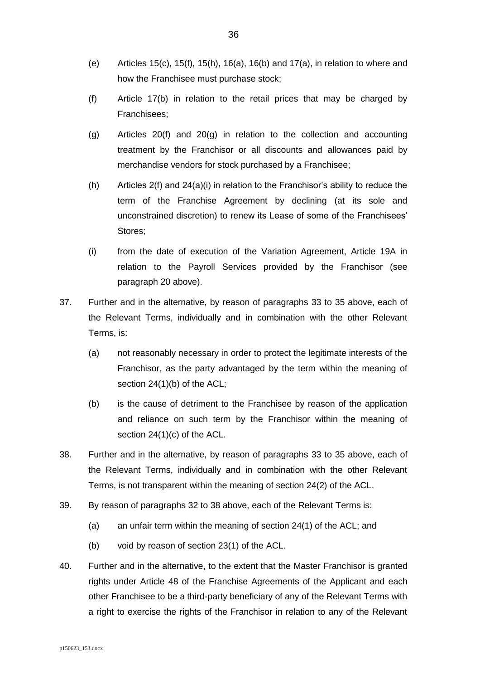- (e) Articles 15(c), 15(f), 15(h), 16(a), 16(b) and 17(a), in relation to where and how the Franchisee must purchase stock;
- (f) Article 17(b) in relation to the retail prices that may be charged by Franchisees;
- (g) Articles 20(f) and 20(g) in relation to the collection and accounting treatment by the Franchisor or all discounts and allowances paid by merchandise vendors for stock purchased by a Franchisee;
- (h) Articles  $2(f)$  and  $24(a)(i)$  in relation to the Franchisor's ability to reduce the term of the Franchise Agreement by declining (at its sole and unconstrained discretion) to renew its Lease of some of the Franchisees' Stores;
- (i) from the date of execution of the Variation Agreement, Article 19A in relation to the Payroll Services provided by the Franchisor (see paragraph [20](#page-20-1) above).
- 37. Further and in the alternative, by reason of paragraphs [33](#page-31-1) to [35](#page-34-1) above, each of the Relevant Terms, individually and in combination with the other Relevant Terms, is:
	- (a) not reasonably necessary in order to protect the legitimate interests of the Franchisor, as the party advantaged by the term within the meaning of section 24(1)(b) of the ACL;
	- (b) is the cause of detriment to the Franchisee by reason of the application and reliance on such term by the Franchisor within the meaning of section 24(1)(c) of the ACL.
- <span id="page-35-0"></span>38. Further and in the alternative, by reason of paragraphs [33](#page-31-1) to [35](#page-34-1) above, each of the Relevant Terms, individually and in combination with the other Relevant Terms, is not transparent within the meaning of section 24(2) of the ACL.
- 39. By reason of paragraphs [32](#page-31-2) to [38](#page-35-0) above, each of the Relevant Terms is:
	- (a) an unfair term within the meaning of section 24(1) of the ACL; and
	- (b) void by reason of section 23(1) of the ACL.
- 40. Further and in the alternative, to the extent that the Master Franchisor is granted rights under Article 48 of the Franchise Agreements of the Applicant and each other Franchisee to be a third-party beneficiary of any of the Relevant Terms with a right to exercise the rights of the Franchisor in relation to any of the Relevant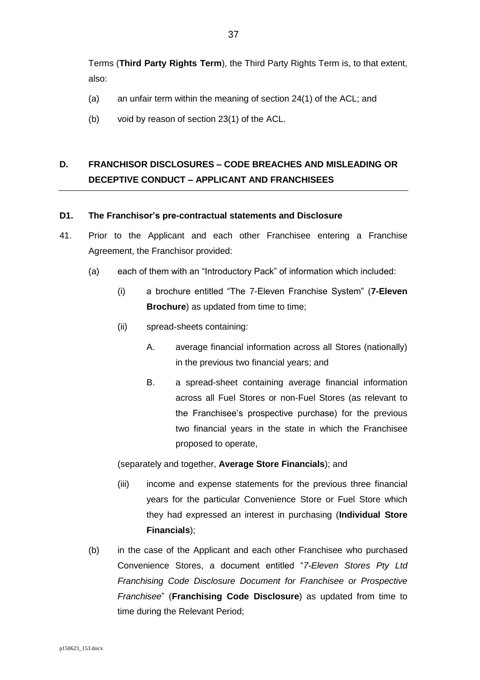Terms (**Third Party Rights Term**), the Third Party Rights Term is, to that extent, also:

- (a) an unfair term within the meaning of section 24(1) of the ACL; and
- (b) void by reason of section 23(1) of the ACL.

# **D. FRANCHISOR DISCLOSURES – CODE BREACHES AND MISLEADING OR DECEPTIVE CONDUCT – APPLICANT AND FRANCHISEES**

## **D1. The Franchisor's pre-contractual statements and Disclosure**

- <span id="page-36-0"></span>41. Prior to the Applicant and each other Franchisee entering a Franchise Agreement, the Franchisor provided:
	- (a) each of them with an "Introductory Pack" of information which included:
		- (i) a brochure entitled "The 7-Eleven Franchise System" (**7-Eleven Brochure**) as updated from time to time;
		- (ii) spread-sheets containing:
			- A. average financial information across all Stores (nationally) in the previous two financial years; and
			- B. a spread-sheet containing average financial information across all Fuel Stores or non-Fuel Stores (as relevant to the Franchisee's prospective purchase) for the previous two financial years in the state in which the Franchisee proposed to operate,

(separately and together, **Average Store Financials**); and

- (iii) income and expense statements for the previous three financial years for the particular Convenience Store or Fuel Store which they had expressed an interest in purchasing (**Individual Store Financials**);
- (b) in the case of the Applicant and each other Franchisee who purchased Convenience Stores, a document entitled "*7-Eleven Stores Pty Ltd Franchising Code Disclosure Document for Franchisee or Prospective Franchisee*" (**Franchising Code Disclosure**) as updated from time to time during the Relevant Period;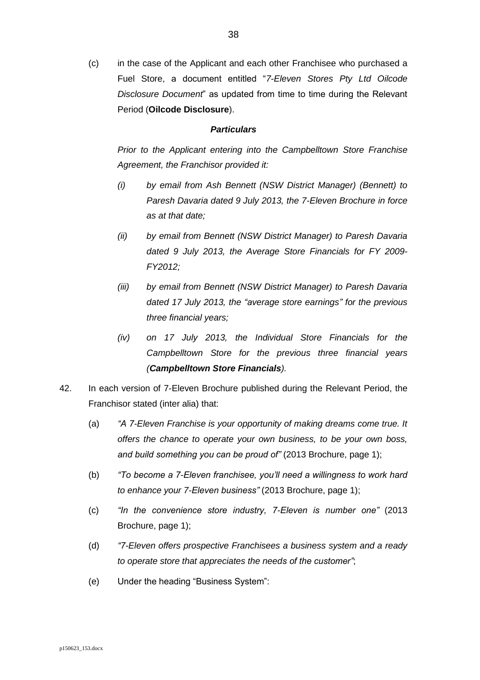(c) in the case of the Applicant and each other Franchisee who purchased a Fuel Store, a document entitled "*7-Eleven Stores Pty Ltd Oilcode Disclosure Document*" as updated from time to time during the Relevant Period (**Oilcode Disclosure**).

### *Particulars*

*Prior to the Applicant entering into the Campbelltown Store Franchise Agreement, the Franchisor provided it:*

- *(i) by email from Ash Bennett (NSW District Manager) (Bennett) to Paresh Davaria dated 9 July 2013, the 7-Eleven Brochure in force as at that date;*
- *(ii) by email from Bennett (NSW District Manager) to Paresh Davaria dated 9 July 2013, the Average Store Financials for FY 2009- FY2012;*
- *(iii) by email from Bennett (NSW District Manager) to Paresh Davaria dated 17 July 2013, the "average store earnings" for the previous three financial years;*
- *(iv) on 17 July 2013, the Individual Store Financials for the Campbelltown Store for the previous three financial years (Campbelltown Store Financials).*
- <span id="page-37-0"></span>42. In each version of 7-Eleven Brochure published during the Relevant Period, the Franchisor stated (inter alia) that:
	- (a) *"A 7-Eleven Franchise is your opportunity of making dreams come true. It offers the chance to operate your own business, to be your own boss, and build something you can be proud of"* (2013 Brochure, page 1);
	- (b) *"To become a 7-Eleven franchisee, you'll need a willingness to work hard to enhance your 7-Eleven business"* (2013 Brochure, page 1);
	- (c) *"In the convenience store industry, 7-Eleven is number one"* (2013 Brochure, page 1);
	- (d) *"7-Eleven offers prospective Franchisees a business system and a ready to operate store that appreciates the needs of the customer"*;
	- (e) Under the heading "Business System":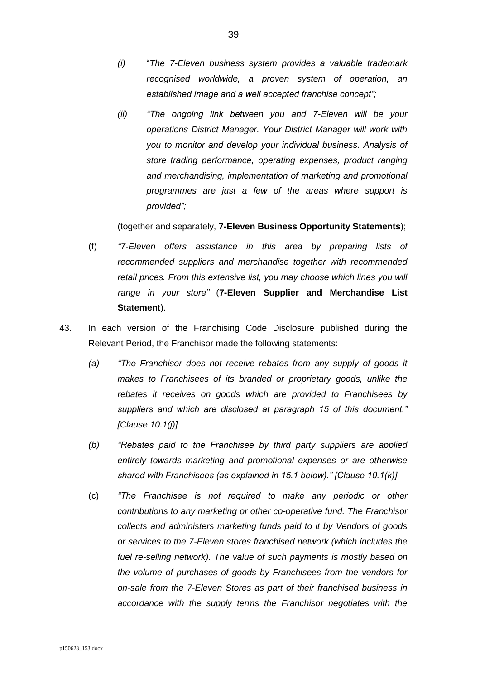- *(i)* "*The 7-Eleven business system provides a valuable trademark recognised worldwide, a proven system of operation, an established image and a well accepted franchise concept";*
- *(ii) "The ongoing link between you and 7-Eleven will be your operations District Manager. Your District Manager will work with you to monitor and develop your individual business. Analysis of store trading performance, operating expenses, product ranging and merchandising, implementation of marketing and promotional programmes are just a few of the areas where support is provided";*

(together and separately, **7-Eleven Business Opportunity Statements**);

- (f) *"7-Eleven offers assistance in this area by preparing lists of recommended suppliers and merchandise together with recommended retail prices. From this extensive list, you may choose which lines you will range in your store"* (**7-Eleven Supplier and Merchandise List Statement**).
- 43. In each version of the Franchising Code Disclosure published during the Relevant Period, the Franchisor made the following statements:
	- *(a) "The Franchisor does not receive rebates from any supply of goods it makes to Franchisees of its branded or proprietary goods, unlike the rebates it receives on goods which are provided to Franchisees by suppliers and which are disclosed at paragraph 15 of this document." [Clause 10.1(j)]*
	- *(b) "Rebates paid to the Franchisee by third party suppliers are applied entirely towards marketing and promotional expenses or are otherwise shared with Franchisees (as explained in 15.1 below)." [Clause 10.1(k)]*
	- (c) *"The Franchisee is not required to make any periodic or other contributions to any marketing or other co-operative fund. The Franchisor collects and administers marketing funds paid to it by Vendors of goods or services to the 7-Eleven stores franchised network (which includes the fuel re-selling network). The value of such payments is mostly based on the volume of purchases of goods by Franchisees from the vendors for on-sale from the 7-Eleven Stores as part of their franchised business in accordance with the supply terms the Franchisor negotiates with the*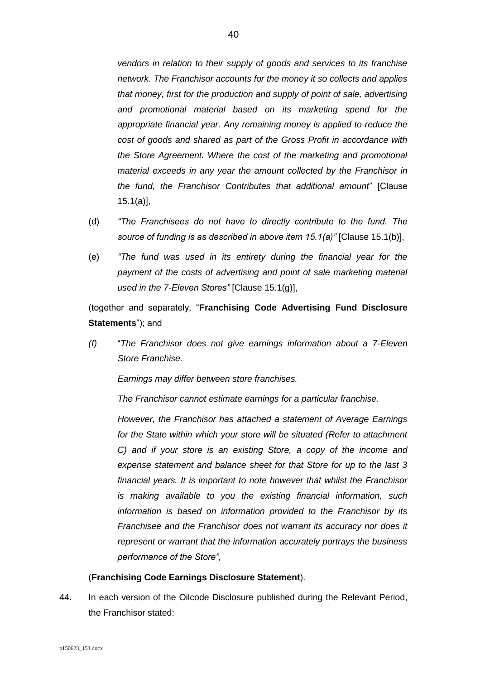*vendors in relation to their supply of goods and services to its franchise network. The Franchisor accounts for the money it so collects and applies that money, first for the production and supply of point of sale, advertising and promotional material based on its marketing spend for the appropriate financial year. Any remaining money is applied to reduce the cost of goods and shared as part of the Gross Profit in accordance with the Store Agreement. Where the cost of the marketing and promotional material exceeds in any year the amount collected by the Franchisor in the fund, the Franchisor Contributes that additional amount*" [Clause 15.1(a)],

- (d) *"The Franchisees do not have to directly contribute to the fund. The source of funding is as described in above item 15.1(a)"* [Clause 15.1(b)],
- (e) *"The fund was used in its entirety during the financial year for the payment of the costs of advertising and point of sale marketing material used in the 7-Eleven Stores"* [Clause 15.1(g)],

(together and separately, "**Franchising Code Advertising Fund Disclosure Statements**"); and

*(f)* "*The Franchisor does not give earnings information about a 7-Eleven Store Franchise.* 

*Earnings may differ between store franchises.* 

*The Franchisor cannot estimate earnings for a particular franchise.*

*However, the Franchisor has attached a statement of Average Earnings for the State within which your store will be situated (Refer to attachment C) and if your store is an existing Store, a copy of the income and expense statement and balance sheet for that Store for up to the last 3 financial years. It is important to note however that whilst the Franchisor is making available to you the existing financial information, such information is based on information provided to the Franchisor by its Franchisee and the Franchisor does not warrant its accuracy nor does it represent or warrant that the information accurately portrays the business performance of the Store",* 

## (**Franchising Code Earnings Disclosure Statement**).

44. In each version of the Oilcode Disclosure published during the Relevant Period, the Franchisor stated: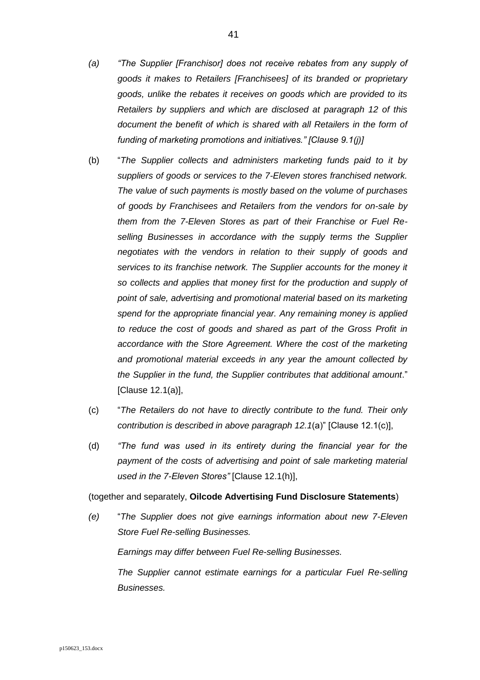- *(a) "The Supplier [Franchisor] does not receive rebates from any supply of goods it makes to Retailers [Franchisees] of its branded or proprietary goods, unlike the rebates it receives on goods which are provided to its Retailers by suppliers and which are disclosed at paragraph 12 of this document the benefit of which is shared with all Retailers in the form of funding of marketing promotions and initiatives." [Clause 9.1(j)]*
- (b) "*The Supplier collects and administers marketing funds paid to it by suppliers of goods or services to the 7-Eleven stores franchised network. The value of such payments is mostly based on the volume of purchases of goods by Franchisees and Retailers from the vendors for on-sale by them from the 7-Eleven Stores as part of their Franchise or Fuel Reselling Businesses in accordance with the supply terms the Supplier negotiates with the vendors in relation to their supply of goods and services to its franchise network. The Supplier accounts for the money it so collects and applies that money first for the production and supply of point of sale, advertising and promotional material based on its marketing spend for the appropriate financial year. Any remaining money is applied to reduce the cost of goods and shared as part of the Gross Profit in accordance with the Store Agreement. Where the cost of the marketing and promotional material exceeds in any year the amount collected by the Supplier in the fund, the Supplier contributes that additional amount*." [Clause 12.1(a)],
- (c) "*The Retailers do not have to directly contribute to the fund. Their only contribution is described in above paragraph 12.1*(a)" [Clause 12.1(c)],
- (d) *"The fund was used in its entirety during the financial year for the payment of the costs of advertising and point of sale marketing material used in the 7-Eleven Stores"* [Clause 12.1(h)],

(together and separately, **Oilcode Advertising Fund Disclosure Statements**)

*(e)* "*The Supplier does not give earnings information about new 7-Eleven Store Fuel Re-selling Businesses.* 

*Earnings may differ between Fuel Re-selling Businesses.* 

*The Supplier cannot estimate earnings for a particular Fuel Re-selling Businesses.*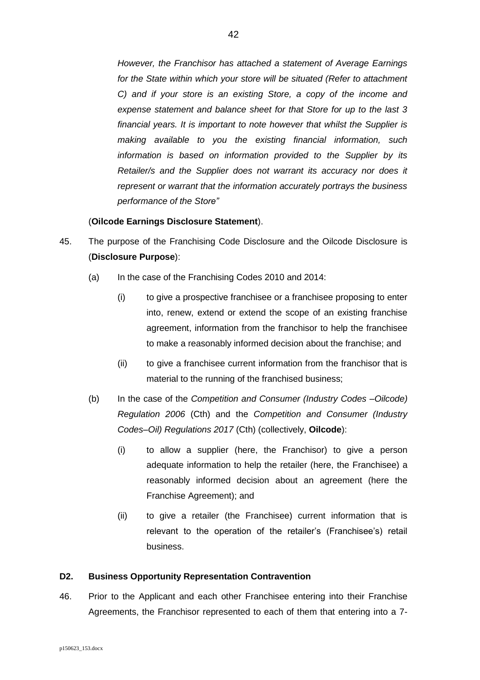*However, the Franchisor has attached a statement of Average Earnings for the State within which your store will be situated (Refer to attachment C) and if your store is an existing Store, a copy of the income and expense statement and balance sheet for that Store for up to the last 3 financial years. It is important to note however that whilst the Supplier is making available to you the existing financial information, such information is based on information provided to the Supplier by its Retailer/s and the Supplier does not warrant its accuracy nor does it represent or warrant that the information accurately portrays the business performance of the Store"* 

### (**Oilcode Earnings Disclosure Statement**).

- 45. The purpose of the Franchising Code Disclosure and the Oilcode Disclosure is (**Disclosure Purpose**):
	- (a) In the case of the Franchising Codes 2010 and 2014:
		- (i) to give a prospective franchisee or a franchisee proposing to enter into, renew, extend or extend the scope of an existing franchise agreement, information from the franchisor to help the franchisee to make a reasonably informed decision about the franchise; and
		- (ii) to give a franchisee current information from the franchisor that is material to the running of the franchised business;
	- (b) In the case of the *Competition and Consumer (Industry Codes –Oilcode) Regulation 2006* (Cth) and the *Competition and Consumer (Industry Codes–Oil) Regulations 2017* (Cth) (collectively, **Oilcode**):
		- (i) to allow a supplier (here, the Franchisor) to give a person adequate information to help the retailer (here, the Franchisee) a reasonably informed decision about an agreement (here the Franchise Agreement); and
		- (ii) to give a retailer (the Franchisee) current information that is relevant to the operation of the retailer's (Franchisee's) retail business.

### **D2. Business Opportunity Representation Contravention**

<span id="page-41-0"></span>46. Prior to the Applicant and each other Franchisee entering into their Franchise Agreements, the Franchisor represented to each of them that entering into a 7-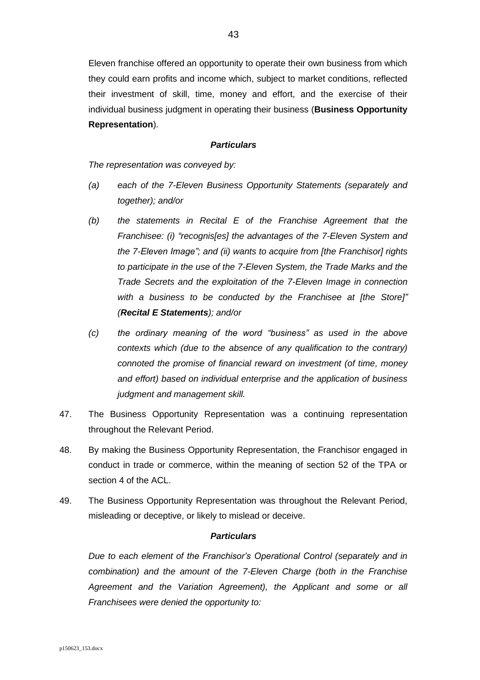Eleven franchise offered an opportunity to operate their own business from which they could earn profits and income which, subject to market conditions, reflected their investment of skill, time, money and effort, and the exercise of their individual business judgment in operating their business (**Business Opportunity Representation**).

#### *Particulars*

*The representation was conveyed by:*

- *(a) each of the 7-Eleven Business Opportunity Statements (separately and together); and/or*
- *(b) the statements in Recital E of the Franchise Agreement that the Franchisee: (i) "recognis[es] the advantages of the 7-Eleven System and the 7-Eleven Image"; and (ii) wants to acquire from [the Franchisor] rights to participate in the use of the 7-Eleven System, the Trade Marks and the Trade Secrets and the exploitation of the 7-Eleven Image in connection with a business to be conducted by the Franchisee at [the Store]" (Recital E Statements); and/or*
- *(c) the ordinary meaning of the word "business" as used in the above contexts which (due to the absence of any qualification to the contrary) connoted the promise of financial reward on investment (of time, money and effort) based on individual enterprise and the application of business judgment and management skill.*
- 47. The Business Opportunity Representation was a continuing representation throughout the Relevant Period.
- 48. By making the Business Opportunity Representation, the Franchisor engaged in conduct in trade or commerce, within the meaning of section 52 of the TPA or section 4 of the ACL.
- <span id="page-42-0"></span>49. The Business Opportunity Representation was throughout the Relevant Period, misleading or deceptive, or likely to mislead or deceive.

#### *Particulars*

*Due to each element of the Franchisor's Operational Control (separately and in combination) and the amount of the 7-Eleven Charge (both in the Franchise Agreement and the Variation Agreement), the Applicant and some or all Franchisees were denied the opportunity to:*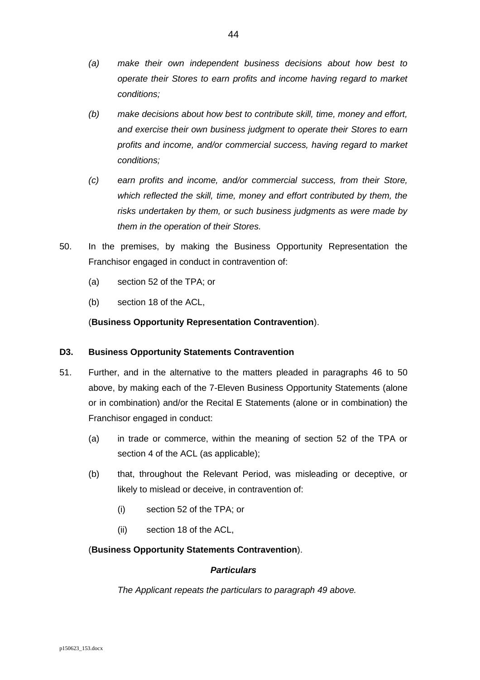- *(a) make their own independent business decisions about how best to operate their Stores to earn profits and income having regard to market conditions;*
- *(b) make decisions about how best to contribute skill, time, money and effort, and exercise their own business judgment to operate their Stores to earn profits and income, and/or commercial success, having regard to market conditions;*
- *(c) earn profits and income, and/or commercial success, from their Store, which reflected the skill, time, money and effort contributed by them, the risks undertaken by them, or such business judgments as were made by them in the operation of their Stores.*
- <span id="page-43-0"></span>50. In the premises, by making the Business Opportunity Representation the Franchisor engaged in conduct in contravention of:
	- (a) section 52 of the TPA; or
	- (b) section 18 of the ACL,

## (**Business Opportunity Representation Contravention**).

## **D3. Business Opportunity Statements Contravention**

- 51. Further, and in the alternative to the matters pleaded in paragraphs [46](#page-41-0) to [50](#page-43-0) above, by making each of the 7-Eleven Business Opportunity Statements (alone or in combination) and/or the Recital E Statements (alone or in combination) the Franchisor engaged in conduct:
	- (a) in trade or commerce, within the meaning of section 52 of the TPA or section 4 of the ACL (as applicable);
	- (b) that, throughout the Relevant Period, was misleading or deceptive, or likely to mislead or deceive, in contravention of:
		- (i) section 52 of the TPA; or
		- (ii) section 18 of the ACL,

## (**Business Opportunity Statements Contravention**).

## *Particulars*

*The Applicant repeats the particulars to paragraph [49](#page-42-0) above.*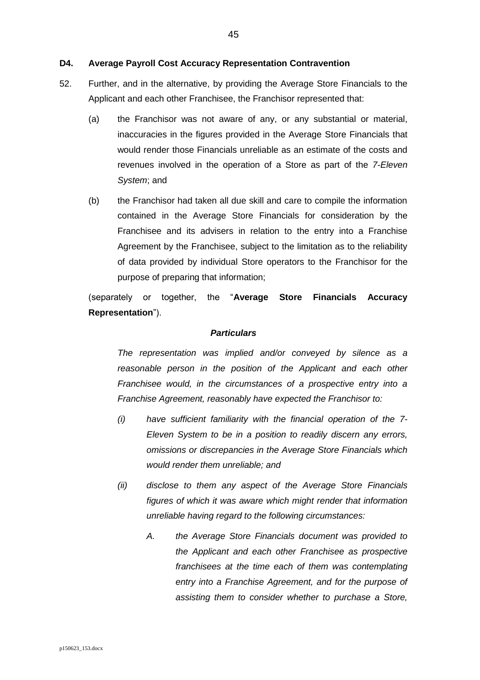#### **D4. Average Payroll Cost Accuracy Representation Contravention**

- <span id="page-44-0"></span>52. Further, and in the alternative, by providing the Average Store Financials to the Applicant and each other Franchisee, the Franchisor represented that:
	- (a) the Franchisor was not aware of any, or any substantial or material, inaccuracies in the figures provided in the Average Store Financials that would render those Financials unreliable as an estimate of the costs and revenues involved in the operation of a Store as part of the *7-Eleven System*; and
	- (b) the Franchisor had taken all due skill and care to compile the information contained in the Average Store Financials for consideration by the Franchisee and its advisers in relation to the entry into a Franchise Agreement by the Franchisee, subject to the limitation as to the reliability of data provided by individual Store operators to the Franchisor for the purpose of preparing that information;

(separately or together, the "**Average Store Financials Accuracy Representation**").

#### *Particulars*

*The representation was implied and/or conveyed by silence as a reasonable person in the position of the Applicant and each other Franchisee would, in the circumstances of a prospective entry into a Franchise Agreement, reasonably have expected the Franchisor to:*

- *(i) have sufficient familiarity with the financial operation of the 7- Eleven System to be in a position to readily discern any errors, omissions or discrepancies in the Average Store Financials which would render them unreliable; and*
- *(ii) disclose to them any aspect of the Average Store Financials figures of which it was aware which might render that information unreliable having regard to the following circumstances:*
	- *A. the Average Store Financials document was provided to the Applicant and each other Franchisee as prospective franchisees at the time each of them was contemplating entry into a Franchise Agreement, and for the purpose of assisting them to consider whether to purchase a Store,*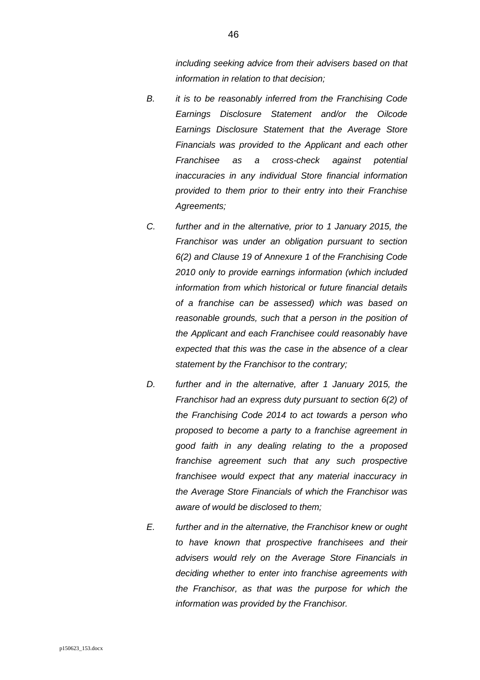*including seeking advice from their advisers based on that information in relation to that decision;* 

- *B. it is to be reasonably inferred from the Franchising Code Earnings Disclosure Statement and/or the Oilcode Earnings Disclosure Statement that the Average Store Financials was provided to the Applicant and each other Franchisee as a cross-check against potential inaccuracies in any individual Store financial information provided to them prior to their entry into their Franchise Agreements;*
- *C. further and in the alternative, prior to 1 January 2015, the Franchisor was under an obligation pursuant to section 6(2) and Clause 19 of Annexure 1 of the Franchising Code 2010 only to provide earnings information (which included information from which historical or future financial details of a franchise can be assessed) which was based on reasonable grounds, such that a person in the position of the Applicant and each Franchisee could reasonably have expected that this was the case in the absence of a clear statement by the Franchisor to the contrary;*
- *D. further and in the alternative, after 1 January 2015, the Franchisor had an express duty pursuant to section 6(2) of the Franchising Code 2014 to act towards a person who proposed to become a party to a franchise agreement in good faith in any dealing relating to the a proposed franchise agreement such that any such prospective franchisee would expect that any material inaccuracy in the Average Store Financials of which the Franchisor was aware of would be disclosed to them;*
- *E. further and in the alternative, the Franchisor knew or ought to have known that prospective franchisees and their advisers would rely on the Average Store Financials in deciding whether to enter into franchise agreements with the Franchisor, as that was the purpose for which the information was provided by the Franchisor.*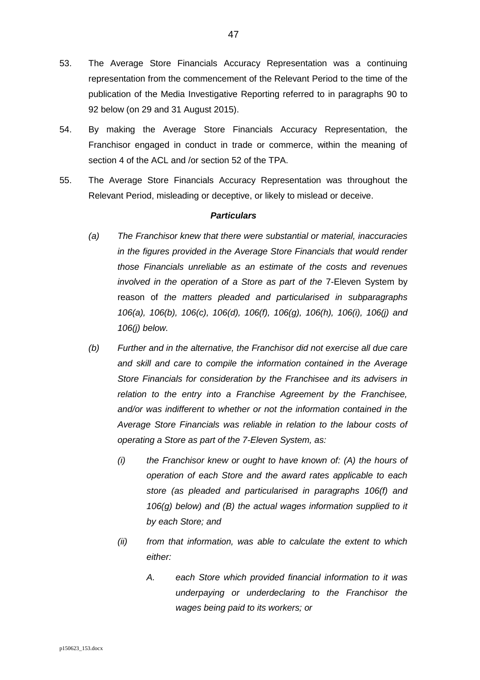- 53. The Average Store Financials Accuracy Representation was a continuing representation from the commencement of the Relevant Period to the time of the publication of the Media Investigative Reporting referred to in paragraphs [90](#page-59-0) to [92](#page-59-1) below (on 29 and 31 August 2015).
- 54. By making the Average Store Financials Accuracy Representation, the Franchisor engaged in conduct in trade or commerce, within the meaning of section 4 of the ACL and /or section 52 of the TPA.
- <span id="page-46-0"></span>55. The Average Store Financials Accuracy Representation was throughout the Relevant Period, misleading or deceptive, or likely to mislead or deceive.

- *(a) The Franchisor knew that there were substantial or material, inaccuracies in the figures provided in the Average Store Financials that would render those Financials unreliable as an estimate of the costs and revenues involved in the operation of a Store as part of the* 7-Eleven System by reason of *the matters pleaded and particularised in subparagraphs [106\(a\),](#page-64-0) [106\(b\),](#page-64-1) [106\(c\),](#page-65-0) [106\(d\),](#page-65-1) [106\(f\),](#page-66-0) [106\(g\),](#page-67-0) [106\(h\),](#page-67-1) [106\(i\),](#page-68-0) [106\(j\)](#page-68-1) and [106\(j\)](#page-68-1) below.*
- *(b) Further and in the alternative, the Franchisor did not exercise all due care and skill and care to compile the information contained in the Average Store Financials for consideration by the Franchisee and its advisers in relation to the entry into a Franchise Agreement by the Franchisee, and/or was indifferent to whether or not the information contained in the Average Store Financials was reliable in relation to the labour costs of operating a Store as part of the 7-Eleven System, as:*
	- *(i) the Franchisor knew or ought to have known of: (A) the hours of operation of each Store and the award rates applicable to each store (as pleaded and particularised in paragraphs [106\(f\)](#page-66-0) and [106\(g\)](#page-67-0) below) and (B) the actual wages information supplied to it by each Store; and*
	- *(ii) from that information, was able to calculate the extent to which either:*
		- *A. each Store which provided financial information to it was underpaying or underdeclaring to the Franchisor the wages being paid to its workers; or*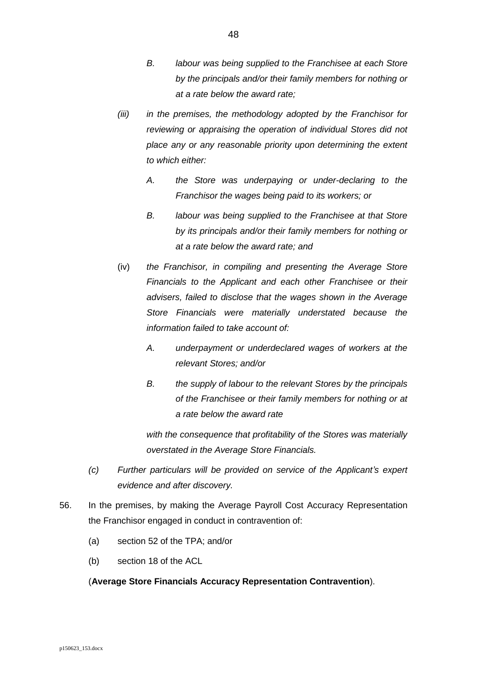- *B. labour was being supplied to the Franchisee at each Store by the principals and/or their family members for nothing or at a rate below the award rate;*
- *(iii) in the premises, the methodology adopted by the Franchisor for reviewing or appraising the operation of individual Stores did not place any or any reasonable priority upon determining the extent to which either:*
	- *A. the Store was underpaying or under-declaring to the Franchisor the wages being paid to its workers; or*
	- *B. labour was being supplied to the Franchisee at that Store by its principals and/or their family members for nothing or at a rate below the award rate; and*
- (iv) *the Franchisor, in compiling and presenting the Average Store Financials to the Applicant and each other Franchisee or their advisers, failed to disclose that the wages shown in the Average Store Financials were materially understated because the information failed to take account of:*
	- *A. underpayment or underdeclared wages of workers at the relevant Stores; and/or*
	- *B. the supply of labour to the relevant Stores by the principals of the Franchisee or their family members for nothing or at a rate below the award rate*

*with the consequence that profitability of the Stores was materially overstated in the Average Store Financials.*

- *(c) Further particulars will be provided on service of the Applicant's expert evidence and after discovery.*
- 56. In the premises, by making the Average Payroll Cost Accuracy Representation the Franchisor engaged in conduct in contravention of:
	- (a) section 52 of the TPA; and/or
	- (b) section 18 of the ACL

## (**Average Store Financials Accuracy Representation Contravention**).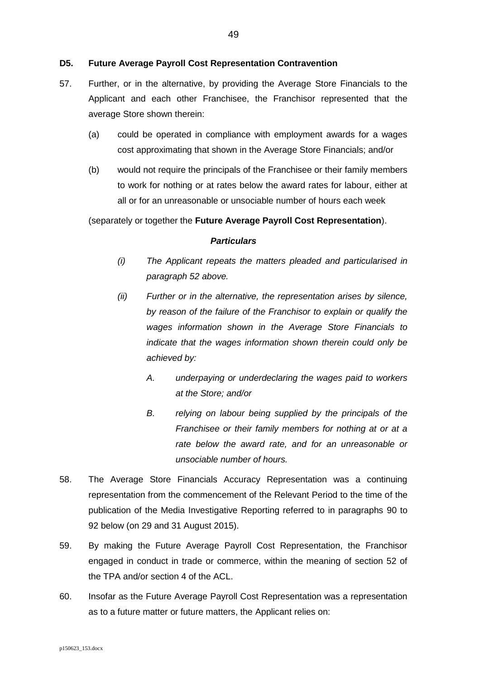### **D5. Future Average Payroll Cost Representation Contravention**

- 57. Further, or in the alternative, by providing the Average Store Financials to the Applicant and each other Franchisee, the Franchisor represented that the average Store shown therein:
	- (a) could be operated in compliance with employment awards for a wages cost approximating that shown in the Average Store Financials; and/or
	- (b) would not require the principals of the Franchisee or their family members to work for nothing or at rates below the award rates for labour, either at all or for an unreasonable or unsociable number of hours each week

(separately or together the **Future Average Payroll Cost Representation**).

- *(i) The Applicant repeats the matters pleaded and particularised in paragraph [52](#page-44-0) above.*
- *(ii) Further or in the alternative, the representation arises by silence, by reason of the failure of the Franchisor to explain or qualify the wages information shown in the Average Store Financials to indicate that the wages information shown therein could only be achieved by:*
	- *A. underpaying or underdeclaring the wages paid to workers at the Store; and/or*
	- *B. relying on labour being supplied by the principals of the Franchisee or their family members for nothing at or at a rate below the award rate, and for an unreasonable or unsociable number of hours.*
- 58. The Average Store Financials Accuracy Representation was a continuing representation from the commencement of the Relevant Period to the time of the publication of the Media Investigative Reporting referred to in paragraphs [90](#page-59-0) to [92](#page-59-1) below (on 29 and 31 August 2015).
- 59. By making the Future Average Payroll Cost Representation, the Franchisor engaged in conduct in trade or commerce, within the meaning of section 52 of the TPA and/or section 4 of the ACL.
- <span id="page-48-0"></span>60. Insofar as the Future Average Payroll Cost Representation was a representation as to a future matter or future matters, the Applicant relies on: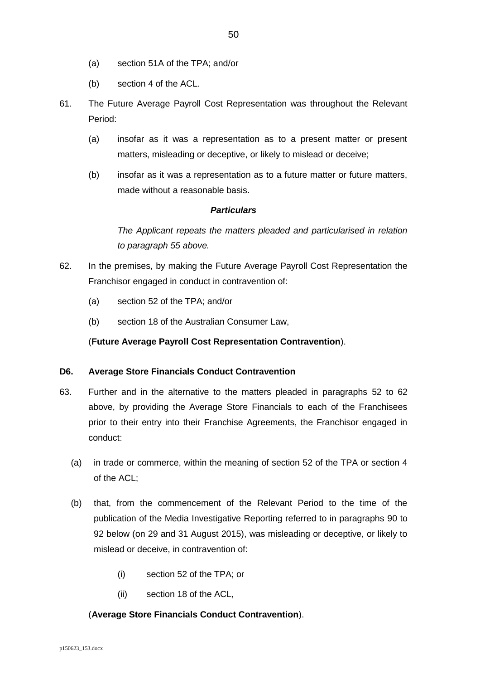- (a) section 51A of the TPA; and/or
- (b) section 4 of the ACL.
- <span id="page-49-1"></span>61. The Future Average Payroll Cost Representation was throughout the Relevant Period:
	- (a) insofar as it was a representation as to a present matter or present matters, misleading or deceptive, or likely to mislead or deceive;
	- (b) insofar as it was a representation as to a future matter or future matters, made without a reasonable basis.

## *Particulars*

*The Applicant repeats the matters pleaded and particularised in relation to paragraph [55](#page-46-0) above.*

- <span id="page-49-0"></span>62. In the premises, by making the Future Average Payroll Cost Representation the Franchisor engaged in conduct in contravention of:
	- (a) section 52 of the TPA; and/or
	- (b) section 18 of the Australian Consumer Law,

## (**Future Average Payroll Cost Representation Contravention**).

### **D6. Average Store Financials Conduct Contravention**

- 63. Further and in the alternative to the matters pleaded in paragraphs [52](#page-44-0) to [62](#page-49-0) above, by providing the Average Store Financials to each of the Franchisees prior to their entry into their Franchise Agreements, the Franchisor engaged in conduct:
	- (a) in trade or commerce, within the meaning of section 52 of the TPA or section 4 of the ACL;
	- (b) that, from the commencement of the Relevant Period to the time of the publication of the Media Investigative Reporting referred to in paragraphs [90](#page-59-0) to [92](#page-59-1) below (on 29 and 31 August 2015), was misleading or deceptive, or likely to mislead or deceive, in contravention of:
		- (i) section 52 of the TPA; or
		- (ii) section 18 of the ACL,

## (**Average Store Financials Conduct Contravention**).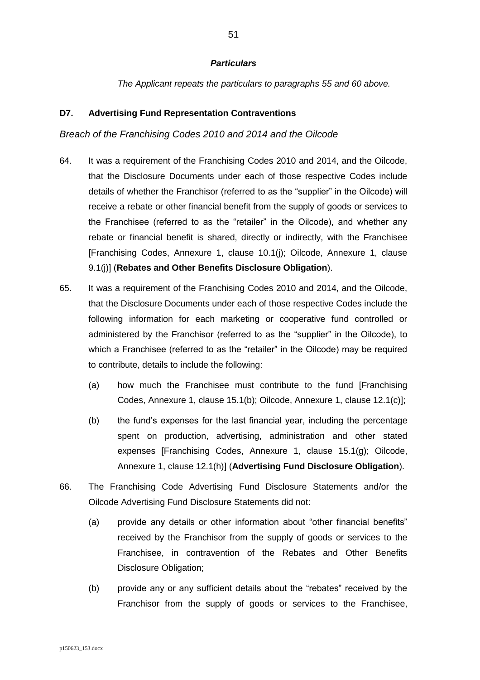### *Particulars*

*The Applicant repeats the particulars to paragraphs [55](#page-46-0) and [60](#page-48-0) above.*

### **D7. Advertising Fund Representation Contraventions**

### *Breach of the Franchising Codes 2010 and 2014 and the Oilcode*

- <span id="page-50-0"></span>64. It was a requirement of the Franchising Codes 2010 and 2014, and the Oilcode, that the Disclosure Documents under each of those respective Codes include details of whether the Franchisor (referred to as the "supplier" in the Oilcode) will receive a rebate or other financial benefit from the supply of goods or services to the Franchisee (referred to as the "retailer" in the Oilcode), and whether any rebate or financial benefit is shared, directly or indirectly, with the Franchisee [Franchising Codes, Annexure 1, clause 10.1(j); Oilcode, Annexure 1, clause 9.1(j)] (**Rebates and Other Benefits Disclosure Obligation**).
- 65. It was a requirement of the Franchising Codes 2010 and 2014, and the Oilcode, that the Disclosure Documents under each of those respective Codes include the following information for each marketing or cooperative fund controlled or administered by the Franchisor (referred to as the "supplier" in the Oilcode), to which a Franchisee (referred to as the "retailer" in the Oilcode) may be required to contribute, details to include the following:
	- (a) how much the Franchisee must contribute to the fund [Franchising Codes, Annexure 1, clause 15.1(b); Oilcode, Annexure 1, clause 12.1(c)];
	- (b) the fund's expenses for the last financial year, including the percentage spent on production, advertising, administration and other stated expenses [Franchising Codes, Annexure 1, clause 15.1(g); Oilcode, Annexure 1, clause 12.1(h)] (**Advertising Fund Disclosure Obligation**).
- <span id="page-50-1"></span>66. The Franchising Code Advertising Fund Disclosure Statements and/or the Oilcode Advertising Fund Disclosure Statements did not:
	- (a) provide any details or other information about "other financial benefits" received by the Franchisor from the supply of goods or services to the Franchisee, in contravention of the Rebates and Other Benefits Disclosure Obligation;
	- (b) provide any or any sufficient details about the "rebates" received by the Franchisor from the supply of goods or services to the Franchisee,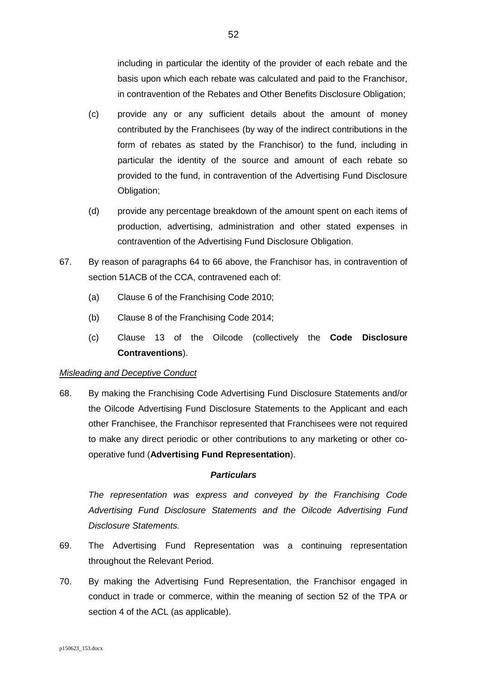including in particular the identity of the provider of each rebate and the basis upon which each rebate was calculated and paid to the Franchisor, in contravention of the Rebates and Other Benefits Disclosure Obligation;

- (c) provide any or any sufficient details about the amount of money contributed by the Franchisees (by way of the indirect contributions in the form of rebates as stated by the Franchisor) to the fund, including in particular the identity of the source and amount of each rebate so provided to the fund, in contravention of the Advertising Fund Disclosure Obligation;
- (d) provide any percentage breakdown of the amount spent on each items of production, advertising, administration and other stated expenses in contravention of the Advertising Fund Disclosure Obligation.
- 67. By reason of paragraphs [64](#page-50-0) to [66](#page-50-1) above, the Franchisor has, in contravention of section 51ACB of the CCA, contravened each of:
	- (a) Clause 6 of the Franchising Code 2010;
	- (b) Clause 8 of the Franchising Code 2014;
	- (c) Clause 13 of the Oilcode (collectively the **Code Disclosure Contraventions**).

## *Misleading and Deceptive Conduct*

68. By making the Franchising Code Advertising Fund Disclosure Statements and/or the Oilcode Advertising Fund Disclosure Statements to the Applicant and each other Franchisee, the Franchisor represented that Franchisees were not required to make any direct periodic or other contributions to any marketing or other cooperative fund (**Advertising Fund Representation**).

### *Particulars*

*The representation was express and conveyed by the Franchising Code Advertising Fund Disclosure Statements and the Oilcode Advertising Fund Disclosure Statements.*

- 69. The Advertising Fund Representation was a continuing representation throughout the Relevant Period.
- 70. By making the Advertising Fund Representation, the Franchisor engaged in conduct in trade or commerce, within the meaning of section 52 of the TPA or section 4 of the ACL (as applicable).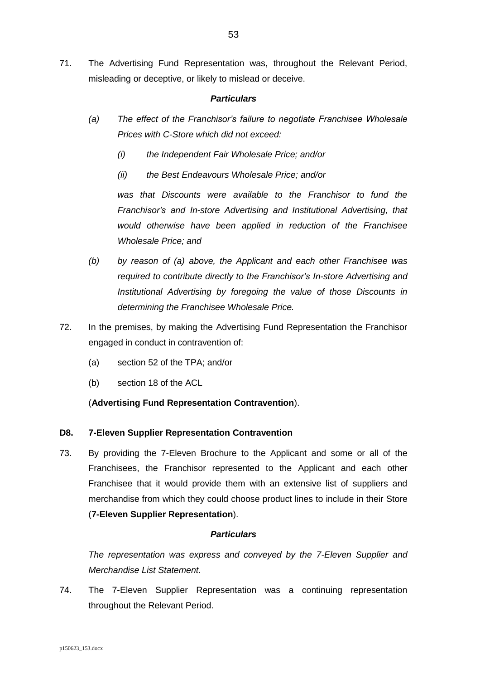71. The Advertising Fund Representation was, throughout the Relevant Period, misleading or deceptive, or likely to mislead or deceive.

### *Particulars*

- *(a) The effect of the Franchisor's failure to negotiate Franchisee Wholesale Prices with C-Store which did not exceed:* 
	- *(i) the Independent Fair Wholesale Price; and/or*
	- *(ii) the Best Endeavours Wholesale Price; and/or*

*was that Discounts were available to the Franchisor to fund the Franchisor's and In-store Advertising and Institutional Advertising, that would otherwise have been applied in reduction of the Franchisee Wholesale Price; and*

- *(b) by reason of (a) above, the Applicant and each other Franchisee was required to contribute directly to the Franchisor's In-store Advertising and Institutional Advertising by foregoing the value of those Discounts in determining the Franchisee Wholesale Price.*
- 72. In the premises, by making the Advertising Fund Representation the Franchisor engaged in conduct in contravention of:
	- (a) section 52 of the TPA; and/or
	- (b) section 18 of the ACL

## (**Advertising Fund Representation Contravention**).

## **D8. 7-Eleven Supplier Representation Contravention**

<span id="page-52-0"></span>73. By providing the 7-Eleven Brochure to the Applicant and some or all of the Franchisees, the Franchisor represented to the Applicant and each other Franchisee that it would provide them with an extensive list of suppliers and merchandise from which they could choose product lines to include in their Store (**7-Eleven Supplier Representation**).

## *Particulars*

*The representation was express and conveyed by the 7-Eleven Supplier and Merchandise List Statement.*

74. The 7-Eleven Supplier Representation was a continuing representation throughout the Relevant Period.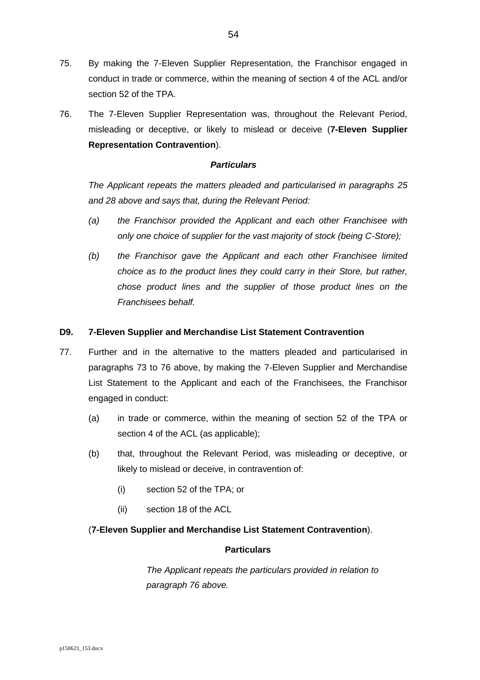- 75. By making the 7-Eleven Supplier Representation, the Franchisor engaged in conduct in trade or commerce, within the meaning of section 4 of the ACL and/or section 52 of the TPA.
- <span id="page-53-0"></span>76. The 7-Eleven Supplier Representation was, throughout the Relevant Period, misleading or deceptive, or likely to mislead or deceive (**7-Eleven Supplier Representation Contravention**).

### *Particulars*

*The Applicant repeats the matters pleaded and particularised in paragraphs [25](#page-24-0) and [28](#page-26-0) above and says that, during the Relevant Period:*

- *(a) the Franchisor provided the Applicant and each other Franchisee with only one choice of supplier for the vast majority of stock (being C-Store);*
- *(b) the Franchisor gave the Applicant and each other Franchisee limited choice as to the product lines they could carry in their Store, but rather, chose product lines and the supplier of those product lines on the Franchisees behalf.*

### **D9. 7-Eleven Supplier and Merchandise List Statement Contravention**

- 77. Further and in the alternative to the matters pleaded and particularised in paragraphs [73](#page-52-0) to [76](#page-53-0) above, by making the 7-Eleven Supplier and Merchandise List Statement to the Applicant and each of the Franchisees, the Franchisor engaged in conduct:
	- (a) in trade or commerce, within the meaning of section 52 of the TPA or section 4 of the ACL (as applicable);
	- (b) that, throughout the Relevant Period, was misleading or deceptive, or likely to mislead or deceive, in contravention of:
		- (i) section 52 of the TPA; or
		- (ii) section 18 of the ACL

## (**7-Eleven Supplier and Merchandise List Statement Contravention**).

### **Particulars**

*The Applicant repeats the particulars provided in relation to paragraph [76](#page-53-0) above.*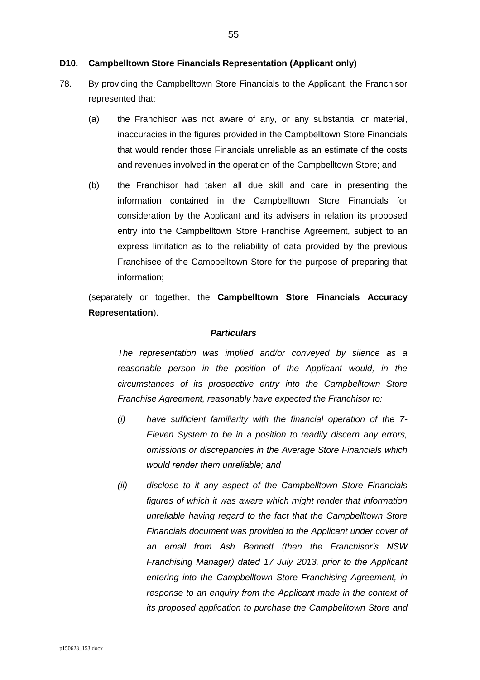#### **D10. Campbelltown Store Financials Representation (Applicant only)**

- <span id="page-54-0"></span>78. By providing the Campbelltown Store Financials to the Applicant, the Franchisor represented that:
	- (a) the Franchisor was not aware of any, or any substantial or material, inaccuracies in the figures provided in the Campbelltown Store Financials that would render those Financials unreliable as an estimate of the costs and revenues involved in the operation of the Campbelltown Store; and
	- (b) the Franchisor had taken all due skill and care in presenting the information contained in the Campbelltown Store Financials for consideration by the Applicant and its advisers in relation its proposed entry into the Campbelltown Store Franchise Agreement, subject to an express limitation as to the reliability of data provided by the previous Franchisee of the Campbelltown Store for the purpose of preparing that information;

(separately or together, the **Campbelltown Store Financials Accuracy Representation**).

#### *Particulars*

*The representation was implied and/or conveyed by silence as a reasonable person in the position of the Applicant would, in the circumstances of its prospective entry into the Campbelltown Store Franchise Agreement, reasonably have expected the Franchisor to:*

- *(i) have sufficient familiarity with the financial operation of the 7- Eleven System to be in a position to readily discern any errors, omissions or discrepancies in the Average Store Financials which would render them unreliable; and*
- *(ii) disclose to it any aspect of the Campbelltown Store Financials figures of which it was aware which might render that information unreliable having regard to the fact that the Campbelltown Store Financials document was provided to the Applicant under cover of an email from Ash Bennett (then the Franchisor's NSW Franchising Manager) dated 17 July 2013, prior to the Applicant entering into the Campbelltown Store Franchising Agreement, in response to an enquiry from the Applicant made in the context of its proposed application to purchase the Campbelltown Store and*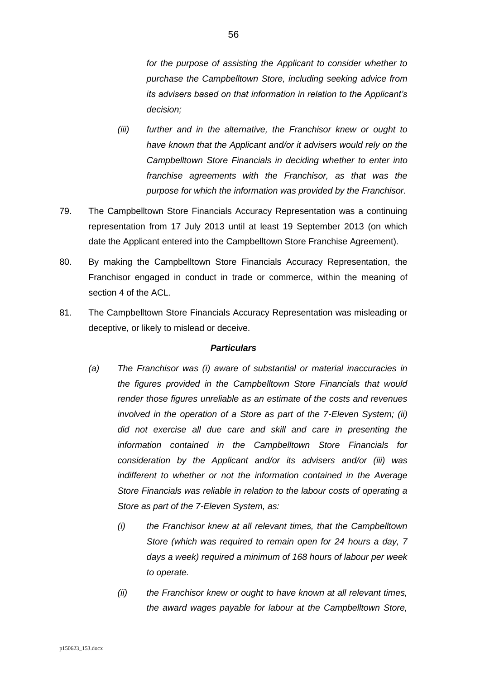*for the purpose of assisting the Applicant to consider whether to purchase the Campbelltown Store, including seeking advice from its advisers based on that information in relation to the Applicant's decision;*

- *(iii) further and in the alternative, the Franchisor knew or ought to have known that the Applicant and/or it advisers would rely on the Campbelltown Store Financials in deciding whether to enter into franchise agreements with the Franchisor, as that was the purpose for which the information was provided by the Franchisor.*
- 79. The Campbelltown Store Financials Accuracy Representation was a continuing representation from 17 July 2013 until at least 19 September 2013 (on which date the Applicant entered into the Campbelltown Store Franchise Agreement).
- 80. By making the Campbelltown Store Financials Accuracy Representation, the Franchisor engaged in conduct in trade or commerce, within the meaning of section 4 of the ACL.
- <span id="page-55-0"></span>81. The Campbelltown Store Financials Accuracy Representation was misleading or deceptive, or likely to mislead or deceive.

- *(a) The Franchisor was (i) aware of substantial or material inaccuracies in the figures provided in the Campbelltown Store Financials that would render those figures unreliable as an estimate of the costs and revenues involved in the operation of a Store as part of the 7-Eleven System; (ii) did not exercise all due care and skill and care in presenting the information contained in the Campbelltown Store Financials for consideration by the Applicant and/or its advisers and/or (iii) was indifferent to whether or not the information contained in the Average Store Financials was reliable in relation to the labour costs of operating a Store as part of the 7-Eleven System, as:*
	- *(i) the Franchisor knew at all relevant times, that the Campbelltown Store (which was required to remain open for 24 hours a day, 7 days a week) required a minimum of 168 hours of labour per week to operate.*
	- *(ii) the Franchisor knew or ought to have known at all relevant times, the award wages payable for labour at the Campbelltown Store,*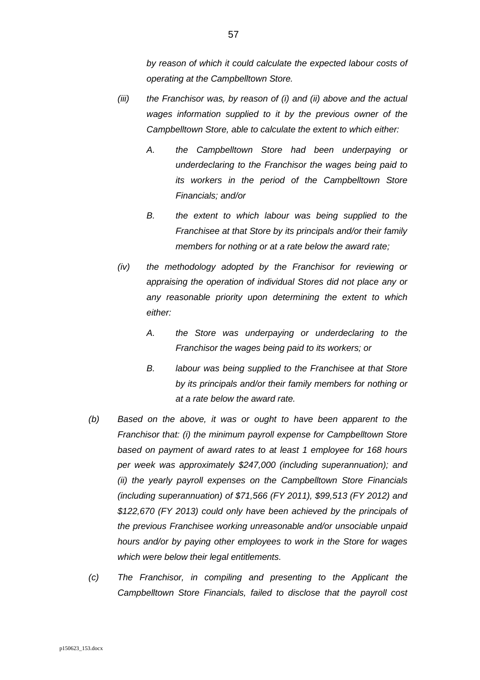*by reason of which it could calculate the expected labour costs of operating at the Campbelltown Store.*

- *(iii) the Franchisor was, by reason of (i) and (ii) above and the actual wages information supplied to it by the previous owner of the Campbelltown Store, able to calculate the extent to which either:*
	- *A. the Campbelltown Store had been underpaying or underdeclaring to the Franchisor the wages being paid to its workers in the period of the Campbelltown Store Financials; and/or*
	- *B. the extent to which labour was being supplied to the Franchisee at that Store by its principals and/or their family members for nothing or at a rate below the award rate;*
- *(iv) the methodology adopted by the Franchisor for reviewing or appraising the operation of individual Stores did not place any or any reasonable priority upon determining the extent to which either:*
	- *A. the Store was underpaying or underdeclaring to the Franchisor the wages being paid to its workers; or*
	- *B. labour was being supplied to the Franchisee at that Store by its principals and/or their family members for nothing or at a rate below the award rate.*
- *(b) Based on the above, it was or ought to have been apparent to the Franchisor that: (i) the minimum payroll expense for Campbelltown Store based on payment of award rates to at least 1 employee for 168 hours per week was approximately \$247,000 (including superannuation); and (ii) the yearly payroll expenses on the Campbelltown Store Financials (including superannuation) of \$71,566 (FY 2011), \$99,513 (FY 2012) and \$122,670 (FY 2013) could only have been achieved by the principals of the previous Franchisee working unreasonable and/or unsociable unpaid hours and/or by paying other employees to work in the Store for wages which were below their legal entitlements.*
- *(c) The Franchisor, in compiling and presenting to the Applicant the Campbelltown Store Financials, failed to disclose that the payroll cost*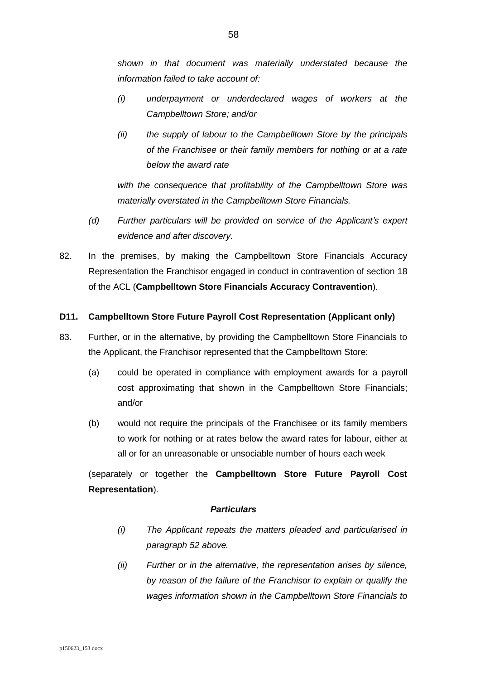*shown in that document was materially understated because the information failed to take account of:*

- *(i) underpayment or underdeclared wages of workers at the Campbelltown Store; and/or*
- *(ii) the supply of labour to the Campbelltown Store by the principals of the Franchisee or their family members for nothing or at a rate below the award rate*

*with the consequence that profitability of the Campbelltown Store was materially overstated in the Campbelltown Store Financials.*

- *(d) Further particulars will be provided on service of the Applicant's expert evidence and after discovery.*
- 82. In the premises, by making the Campbelltown Store Financials Accuracy Representation the Franchisor engaged in conduct in contravention of section 18 of the ACL (**Campbelltown Store Financials Accuracy Contravention**).

## **D11. Campbelltown Store Future Payroll Cost Representation (Applicant only)**

- 83. Further, or in the alternative, by providing the Campbelltown Store Financials to the Applicant, the Franchisor represented that the Campbelltown Store:
	- (a) could be operated in compliance with employment awards for a payroll cost approximating that shown in the Campbelltown Store Financials; and/or
	- (b) would not require the principals of the Franchisee or its family members to work for nothing or at rates below the award rates for labour, either at all or for an unreasonable or unsociable number of hours each week

(separately or together the **Campbelltown Store Future Payroll Cost Representation**).

- *(i) The Applicant repeats the matters pleaded and particularised in paragraph [52](#page-44-0) above.*
- *(ii) Further or in the alternative, the representation arises by silence, by reason of the failure of the Franchisor to explain or qualify the wages information shown in the Campbelltown Store Financials to*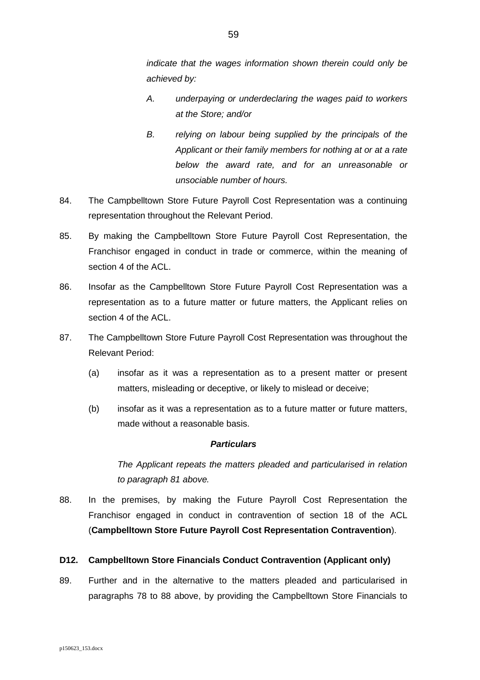*indicate that the wages information shown therein could only be achieved by:*

- *A. underpaying or underdeclaring the wages paid to workers at the Store; and/or*
- *B. relying on labour being supplied by the principals of the Applicant or their family members for nothing at or at a rate below the award rate, and for an unreasonable or unsociable number of hours.*
- 84. The Campbelltown Store Future Payroll Cost Representation was a continuing representation throughout the Relevant Period.
- 85. By making the Campbelltown Store Future Payroll Cost Representation, the Franchisor engaged in conduct in trade or commerce, within the meaning of section 4 of the ACL.
- 86. Insofar as the Campbelltown Store Future Payroll Cost Representation was a representation as to a future matter or future matters, the Applicant relies on section 4 of the ACL.
- <span id="page-58-1"></span>87. The Campbelltown Store Future Payroll Cost Representation was throughout the Relevant Period:
	- (a) insofar as it was a representation as to a present matter or present matters, misleading or deceptive, or likely to mislead or deceive;
	- (b) insofar as it was a representation as to a future matter or future matters, made without a reasonable basis.

## *Particulars*

*The Applicant repeats the matters pleaded and particularised in relation to paragraph [81](#page-55-0) above.*

<span id="page-58-0"></span>88. In the premises, by making the Future Payroll Cost Representation the Franchisor engaged in conduct in contravention of section 18 of the ACL (**Campbelltown Store Future Payroll Cost Representation Contravention**).

### **D12. Campbelltown Store Financials Conduct Contravention (Applicant only)**

89. Further and in the alternative to the matters pleaded and particularised in paragraphs [78](#page-54-0) to [88](#page-58-0) above, by providing the Campbelltown Store Financials to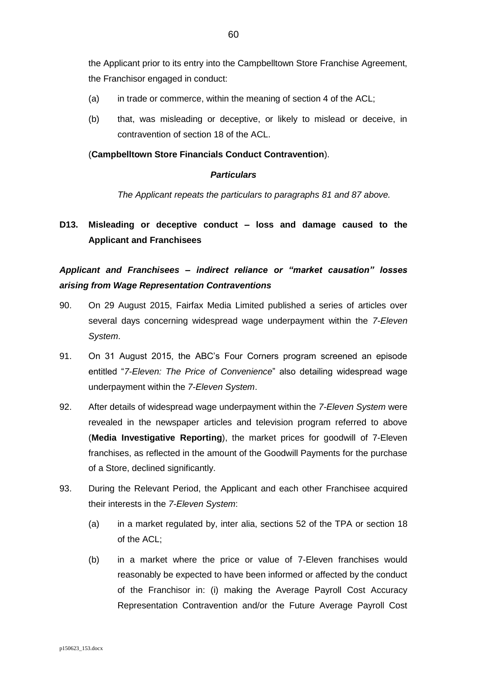the Applicant prior to its entry into the Campbelltown Store Franchise Agreement, the Franchisor engaged in conduct:

- (a) in trade or commerce, within the meaning of section 4 of the ACL;
- (b) that, was misleading or deceptive, or likely to mislead or deceive, in contravention of section 18 of the ACL.

### (**Campbelltown Store Financials Conduct Contravention**).

### *Particulars*

*The Applicant repeats the particulars to paragraphs [81](#page-55-0) and [87](#page-58-1) above.*

# **D13. Misleading or deceptive conduct – loss and damage caused to the Applicant and Franchisees**

*Applicant and Franchisees – indirect reliance or "market causation" losses arising from Wage Representation Contraventions*

- <span id="page-59-0"></span>90. On 29 August 2015, Fairfax Media Limited published a series of articles over several days concerning widespread wage underpayment within the *7-Eleven System*.
- <span id="page-59-2"></span>91. On 31 August 2015, the ABC's Four Corners program screened an episode entitled "*7-Eleven: The Price of Convenience*" also detailing widespread wage underpayment within the *7-Eleven System*.
- <span id="page-59-1"></span>92. After details of widespread wage underpayment within the *7-Eleven System* were revealed in the newspaper articles and television program referred to above (**Media Investigative Reporting**), the market prices for goodwill of 7-Eleven franchises, as reflected in the amount of the Goodwill Payments for the purchase of a Store, declined significantly.
- 93. During the Relevant Period, the Applicant and each other Franchisee acquired their interests in the *7-Eleven System*:
	- (a) in a market regulated by, inter alia, sections 52 of the TPA or section 18 of the ACL;
	- (b) in a market where the price or value of 7-Eleven franchises would reasonably be expected to have been informed or affected by the conduct of the Franchisor in: (i) making the Average Payroll Cost Accuracy Representation Contravention and/or the Future Average Payroll Cost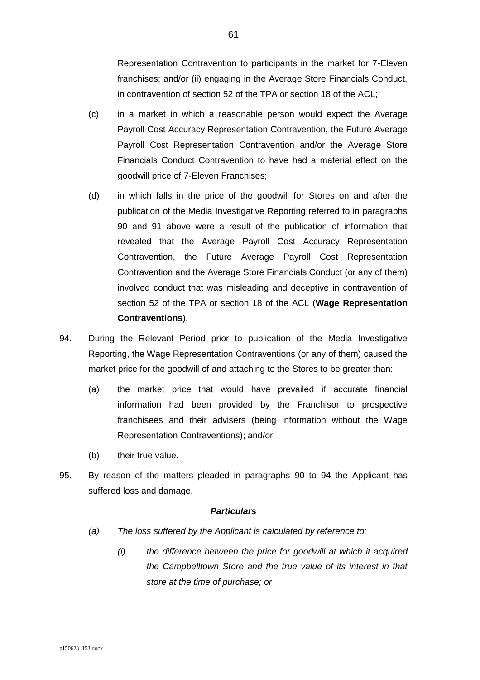Representation Contravention to participants in the market for 7-Eleven franchises; and/or (ii) engaging in the Average Store Financials Conduct, in contravention of section 52 of the TPA or section 18 of the ACL;

- (c) in a market in which a reasonable person would expect the Average Payroll Cost Accuracy Representation Contravention, the Future Average Payroll Cost Representation Contravention and/or the Average Store Financials Conduct Contravention to have had a material effect on the goodwill price of 7-Eleven Franchises;
- (d) in which falls in the price of the goodwill for Stores on and after the publication of the Media Investigative Reporting referred to in paragraphs [90](#page-59-0) and [91](#page-59-2) above were a result of the publication of information that revealed that the Average Payroll Cost Accuracy Representation Contravention, the Future Average Payroll Cost Representation Contravention and the Average Store Financials Conduct (or any of them) involved conduct that was misleading and deceptive in contravention of section 52 of the TPA or section 18 of the ACL (**Wage Representation Contraventions**).
- <span id="page-60-0"></span>94. During the Relevant Period prior to publication of the Media Investigative Reporting, the Wage Representation Contraventions (or any of them) caused the market price for the goodwill of and attaching to the Stores to be greater than:
	- (a) the market price that would have prevailed if accurate financial information had been provided by the Franchisor to prospective franchisees and their advisers (being information without the Wage Representation Contraventions); and/or
	- (b) their true value.
- <span id="page-60-1"></span>95. By reason of the matters pleaded in paragraphs [90](#page-59-0) to [94](#page-60-0) the Applicant has suffered loss and damage.

- *(a) The loss suffered by the Applicant is calculated by reference to:*
	- *(i) the difference between the price for goodwill at which it acquired the Campbelltown Store and the true value of its interest in that store at the time of purchase; or*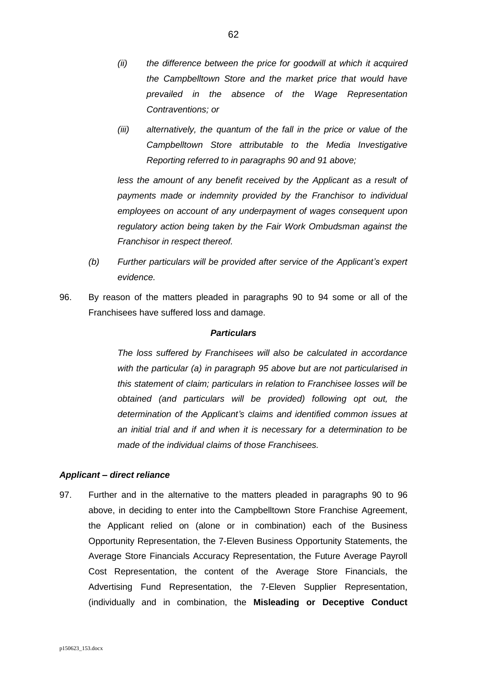- *(ii) the difference between the price for goodwill at which it acquired the Campbelltown Store and the market price that would have prevailed in the absence of the Wage Representation Contraventions; or*
- *(iii) alternatively, the quantum of the fall in the price or value of the Campbelltown Store attributable to the Media Investigative Reporting referred to in paragraphs [90](#page-59-0) and [91](#page-59-2) above;*

*less the amount of any benefit received by the Applicant as a result of payments made or indemnity provided by the Franchisor to individual employees on account of any underpayment of wages consequent upon regulatory action being taken by the Fair Work Ombudsman against the Franchisor in respect thereof.* 

- *(b) Further particulars will be provided after service of the Applicant's expert evidence.*
- <span id="page-61-0"></span>96. By reason of the matters pleaded in paragraphs [90](#page-59-0) to [94](#page-60-0) some or all of the Franchisees have suffered loss and damage.

#### *Particulars*

*The loss suffered by Franchisees will also be calculated in accordance with the particular (a) in paragraph [95](#page-60-1) above but are not particularised in this statement of claim; particulars in relation to Franchisee losses will be obtained (and particulars will be provided) following opt out, the determination of the Applicant's claims and identified common issues at an initial trial and if and when it is necessary for a determination to be made of the individual claims of those Franchisees.*

### *Applicant – direct reliance*

97. Further and in the alternative to the matters pleaded in paragraphs [90](#page-59-0) to [96](#page-61-0) above, in deciding to enter into the Campbelltown Store Franchise Agreement, the Applicant relied on (alone or in combination) each of the Business Opportunity Representation, the 7-Eleven Business Opportunity Statements, the Average Store Financials Accuracy Representation, the Future Average Payroll Cost Representation, the content of the Average Store Financials, the Advertising Fund Representation, the 7-Eleven Supplier Representation, (individually and in combination, the **Misleading or Deceptive Conduct**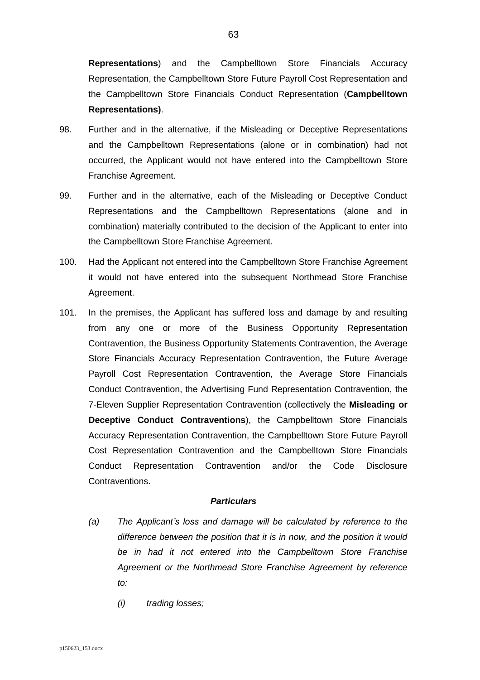**Representations**) and the Campbelltown Store Financials Accuracy Representation, the Campbelltown Store Future Payroll Cost Representation and the Campbelltown Store Financials Conduct Representation (**Campbelltown Representations)**.

- 98. Further and in the alternative, if the Misleading or Deceptive Representations and the Campbelltown Representations (alone or in combination) had not occurred, the Applicant would not have entered into the Campbelltown Store Franchise Agreement.
- 99. Further and in the alternative, each of the Misleading or Deceptive Conduct Representations and the Campbelltown Representations (alone and in combination) materially contributed to the decision of the Applicant to enter into the Campbelltown Store Franchise Agreement.
- 100. Had the Applicant not entered into the Campbelltown Store Franchise Agreement it would not have entered into the subsequent Northmead Store Franchise Agreement.
- <span id="page-62-0"></span>101. In the premises, the Applicant has suffered loss and damage by and resulting from any one or more of the Business Opportunity Representation Contravention, the Business Opportunity Statements Contravention, the Average Store Financials Accuracy Representation Contravention, the Future Average Payroll Cost Representation Contravention, the Average Store Financials Conduct Contravention, the Advertising Fund Representation Contravention, the 7-Eleven Supplier Representation Contravention (collectively the **Misleading or Deceptive Conduct Contraventions**), the Campbelltown Store Financials Accuracy Representation Contravention, the Campbelltown Store Future Payroll Cost Representation Contravention and the Campbelltown Store Financials Conduct Representation Contravention and/or the Code Disclosure Contraventions.

- *(a) The Applicant's loss and damage will be calculated by reference to the difference between the position that it is in now, and the position it would be in had it not entered into the Campbelltown Store Franchise Agreement or the Northmead Store Franchise Agreement by reference to:*
	- *(i) trading losses;*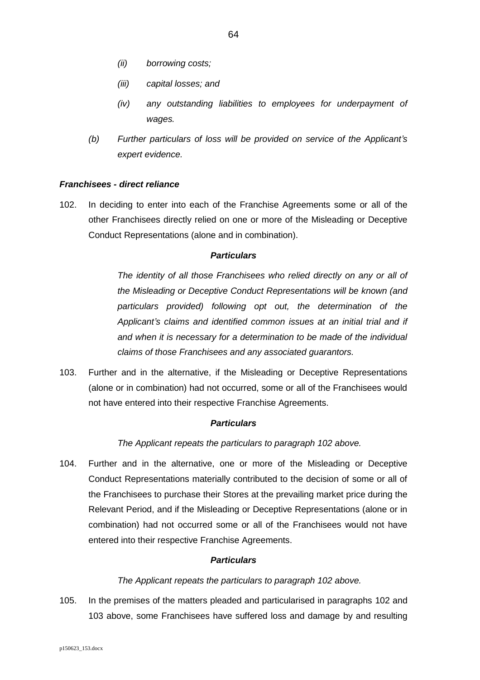- *(ii) borrowing costs;*
- *(iii) capital losses; and*
- *(iv) any outstanding liabilities to employees for underpayment of wages.*
- *(b) Further particulars of loss will be provided on service of the Applicant's expert evidence.*

### *Franchisees - direct reliance*

<span id="page-63-0"></span>102. In deciding to enter into each of the Franchise Agreements some or all of the other Franchisees directly relied on one or more of the Misleading or Deceptive Conduct Representations (alone and in combination).

#### *Particulars*

*The identity of all those Franchisees who relied directly on any or all of the Misleading or Deceptive Conduct Representations will be known (and particulars provided) following opt out, the determination of the Applicant's claims and identified common issues at an initial trial and if and when it is necessary for a determination to be made of the individual claims of those Franchisees and any associated guarantors.* 

<span id="page-63-1"></span>103. Further and in the alternative, if the Misleading or Deceptive Representations (alone or in combination) had not occurred, some or all of the Franchisees would not have entered into their respective Franchise Agreements.

## *Particulars*

*The Applicant repeats the particulars to paragraph [102](#page-63-0) above.*

104. Further and in the alternative, one or more of the Misleading or Deceptive Conduct Representations materially contributed to the decision of some or all of the Franchisees to purchase their Stores at the prevailing market price during the Relevant Period, and if the Misleading or Deceptive Representations (alone or in combination) had not occurred some or all of the Franchisees would not have entered into their respective Franchise Agreements.

#### *Particulars*

#### *The Applicant repeats the particulars to paragraph [102](#page-63-0) above.*

105. In the premises of the matters pleaded and particularised in paragraphs [102](#page-63-0) and [103](#page-63-1) above, some Franchisees have suffered loss and damage by and resulting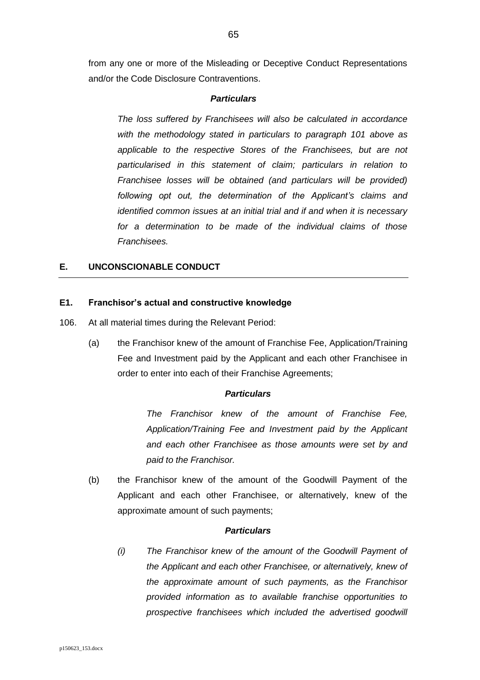from any one or more of the Misleading or Deceptive Conduct Representations and/or the Code Disclosure Contraventions.

#### *Particulars*

*The loss suffered by Franchisees will also be calculated in accordance with the methodology stated in particulars to paragraph [101](#page-62-0) above as applicable to the respective Stores of the Franchisees, but are not particularised in this statement of claim; particulars in relation to Franchisee losses will be obtained (and particulars will be provided) following opt out, the determination of the Applicant's claims and identified common issues at an initial trial and if and when it is necessary for a determination to be made of the individual claims of those Franchisees.*

## **E. UNCONSCIONABLE CONDUCT**

### **E1. Franchisor's actual and constructive knowledge**

- <span id="page-64-2"></span><span id="page-64-0"></span>106. At all material times during the Relevant Period:
	- (a) the Franchisor knew of the amount of Franchise Fee, Application/Training Fee and Investment paid by the Applicant and each other Franchisee in order to enter into each of their Franchise Agreements;

### *Particulars*

*The Franchisor knew of the amount of Franchise Fee, Application/Training Fee and Investment paid by the Applicant and each other Franchisee as those amounts were set by and paid to the Franchisor.*

<span id="page-64-1"></span>(b) the Franchisor knew of the amount of the Goodwill Payment of the Applicant and each other Franchisee, or alternatively, knew of the approximate amount of such payments;

#### *Particulars*

*(i) The Franchisor knew of the amount of the Goodwill Payment of the Applicant and each other Franchisee, or alternatively, knew of the approximate amount of such payments, as the Franchisor provided information as to available franchise opportunities to prospective franchisees which included the advertised goodwill*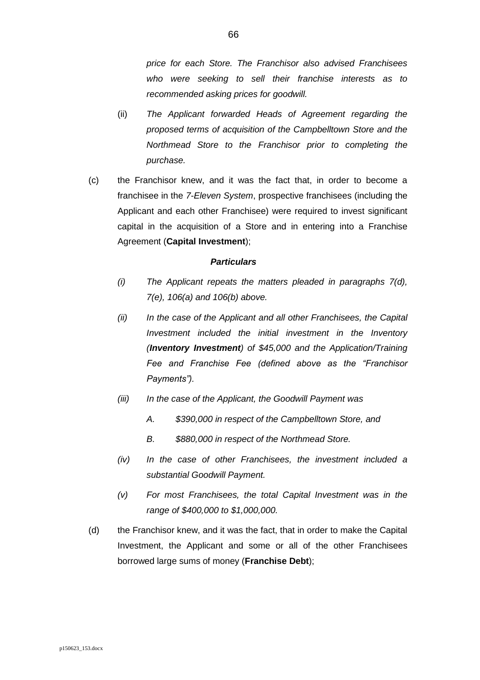*price for each Store. The Franchisor also advised Franchisees who were seeking to sell their franchise interests as to recommended asking prices for goodwill.*

- (ii) *The Applicant forwarded Heads of Agreement regarding the proposed terms of acquisition of the Campbelltown Store and the Northmead Store to the Franchisor prior to completing the purchase.*
- <span id="page-65-0"></span>(c) the Franchisor knew, and it was the fact that, in order to become a franchisee in the *7-Eleven System*, prospective franchisees (including the Applicant and each other Franchisee) were required to invest significant capital in the acquisition of a Store and in entering into a Franchise Agreement (**Capital Investment**);

- *(i) The Applicant repeats the matters pleaded in paragraphs [7\(d\),](#page-7-0) [7\(e\),](#page-7-1) [106\(a\)](#page-64-0) and [106\(b\)](#page-64-1) above.*
- *(ii) In the case of the Applicant and all other Franchisees, the Capital Investment included the initial investment in the Inventory (Inventory Investment) of \$45,000 and the Application/Training Fee and Franchise Fee (defined above as the "Franchisor Payments").*
- *(iii) In the case of the Applicant, the Goodwill Payment was* 
	- *A. \$390,000 in respect of the Campbelltown Store, and*
	- *B. \$880,000 in respect of the Northmead Store.*
- *(iv) In the case of other Franchisees, the investment included a substantial Goodwill Payment.*
- *(v) For most Franchisees, the total Capital Investment was in the range of \$400,000 to \$1,000,000.*
- <span id="page-65-1"></span>(d) the Franchisor knew, and it was the fact, that in order to make the Capital Investment, the Applicant and some or all of the other Franchisees borrowed large sums of money (**Franchise Debt**);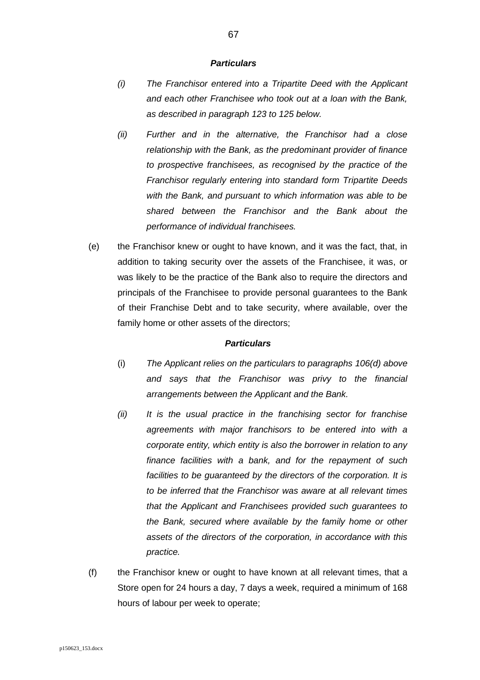#### *Particulars*

- *(i) The Franchisor entered into a Tripartite Deed with the Applicant and each other Franchisee who took out at a loan with the Bank, as described in paragraph [123](#page-80-0) to [125](#page-81-0) below.*
- *(ii) Further and in the alternative, the Franchisor had a close relationship with the Bank, as the predominant provider of finance to prospective franchisees, as recognised by the practice of the Franchisor regularly entering into standard form Tripartite Deeds with the Bank, and pursuant to which information was able to be shared between the Franchisor and the Bank about the performance of individual franchisees.*
- (e) the Franchisor knew or ought to have known, and it was the fact, that, in addition to taking security over the assets of the Franchisee, it was, or was likely to be the practice of the Bank also to require the directors and principals of the Franchisee to provide personal guarantees to the Bank of their Franchise Debt and to take security, where available, over the family home or other assets of the directors;

- (i) *The Applicant relies on the particulars to paragraphs [106](#page-64-2)[\(d\)](#page-65-1) above and says that the Franchisor was privy to the financial arrangements between the Applicant and the Bank.*
- *(ii) It is the usual practice in the franchising sector for franchise agreements with major franchisors to be entered into with a corporate entity, which entity is also the borrower in relation to any finance facilities with a bank, and for the repayment of such facilities to be guaranteed by the directors of the corporation. It is to be inferred that the Franchisor was aware at all relevant times that the Applicant and Franchisees provided such guarantees to the Bank, secured where available by the family home or other assets of the directors of the corporation, in accordance with this practice.*
- <span id="page-66-0"></span>(f) the Franchisor knew or ought to have known at all relevant times, that a Store open for 24 hours a day, 7 days a week, required a minimum of 168 hours of labour per week to operate;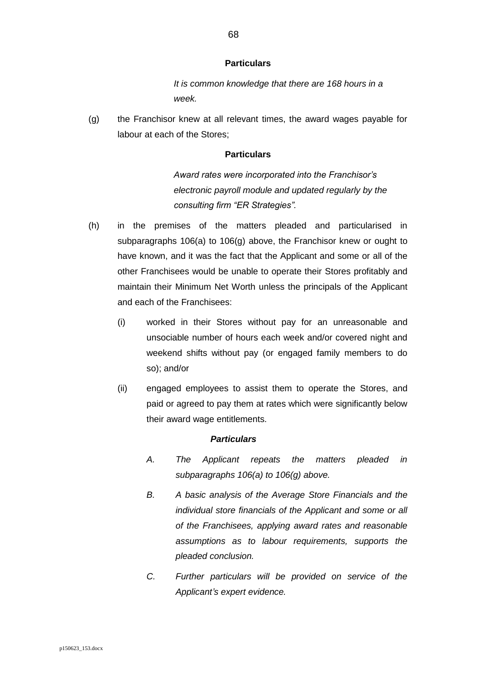#### **Particulars**

*It is common knowledge that there are 168 hours in a week.*

<span id="page-67-0"></span>(g) the Franchisor knew at all relevant times, the award wages payable for labour at each of the Stores;

### **Particulars**

*Award rates were incorporated into the Franchisor's electronic payroll module and updated regularly by the consulting firm "ER Strategies".*

- <span id="page-67-1"></span>(h) in the premises of the matters pleaded and particularised in subparagraphs [106\(a\)](#page-64-0) to [106\(g\)](#page-67-0) above, the Franchisor knew or ought to have known, and it was the fact that the Applicant and some or all of the other Franchisees would be unable to operate their Stores profitably and maintain their Minimum Net Worth unless the principals of the Applicant and each of the Franchisees:
	- (i) worked in their Stores without pay for an unreasonable and unsociable number of hours each week and/or covered night and weekend shifts without pay (or engaged family members to do so); and/or
	- (ii) engaged employees to assist them to operate the Stores, and paid or agreed to pay them at rates which were significantly below their award wage entitlements.

### *Particulars*

- *A. The Applicant repeats the matters pleaded in subparagraphs [106\(a\)](#page-64-0) to [106\(g\)](#page-67-0) above.*
- *B. A basic analysis of the Average Store Financials and the individual store financials of the Applicant and some or all of the Franchisees, applying award rates and reasonable assumptions as to labour requirements, supports the pleaded conclusion.*
- *C. Further particulars will be provided on service of the Applicant's expert evidence.*

68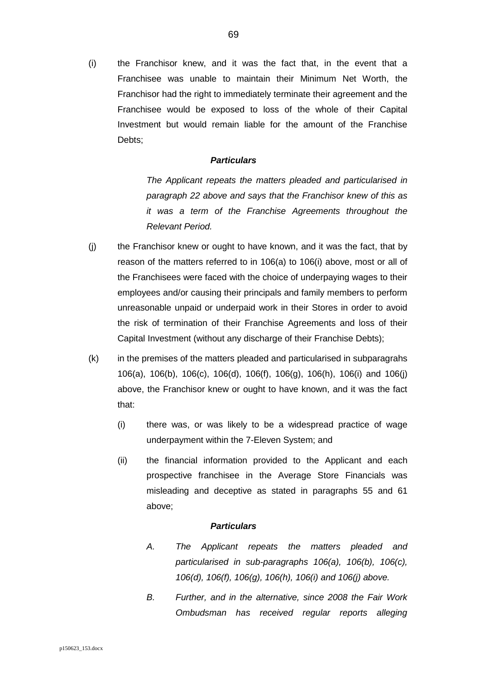<span id="page-68-0"></span>(i) the Franchisor knew, and it was the fact that, in the event that a Franchisee was unable to maintain their Minimum Net Worth, the Franchisor had the right to immediately terminate their agreement and the Franchisee would be exposed to loss of the whole of their Capital Investment but would remain liable for the amount of the Franchise Debts;

### *Particulars*

*The Applicant repeats the matters pleaded and particularised in paragraph [22](#page-21-0) above and says that the Franchisor knew of this as it was a term of the Franchise Agreements throughout the Relevant Period.*

- <span id="page-68-1"></span>(j) the Franchisor knew or ought to have known, and it was the fact, that by reason of the matters referred to in [106\(a\)](#page-64-0) to [106\(i\)](#page-68-0) above, most or all of the Franchisees were faced with the choice of underpaying wages to their employees and/or causing their principals and family members to perform unreasonable unpaid or underpaid work in their Stores in order to avoid the risk of termination of their Franchise Agreements and loss of their Capital Investment (without any discharge of their Franchise Debts);
- (k) in the premises of the matters pleaded and particularised in subparagrahs [106\(a\),](#page-64-0) [106\(b\),](#page-64-1) [106\(c\),](#page-65-0) [106\(d\),](#page-65-1) [106\(f\),](#page-66-0) [106\(g\),](#page-67-0) [106\(h\),](#page-67-1) [106\(i\)](#page-68-0) and [106\(j\)](#page-68-1) above, the Franchisor knew or ought to have known, and it was the fact that:
	- (i) there was, or was likely to be a widespread practice of wage underpayment within the 7-Eleven System; and
	- (ii) the financial information provided to the Applicant and each prospective franchisee in the Average Store Financials was misleading and deceptive as stated in paragraphs [55](#page-46-0) and [61](#page-49-1) above;

- *A. The Applicant repeats the matters pleaded and particularised in sub-paragraphs [106\(a\),](#page-64-0) [106\(b\),](#page-64-1) [106\(c\),](#page-65-0) [106\(d\),](#page-65-1) [106\(f\),](#page-66-0) [106\(g\),](#page-67-0) [106\(h\),](#page-67-1) [106\(i\)](#page-68-0) and [106\(j\)](#page-68-1) above.*
- *B. Further, and in the alternative, since 2008 the Fair Work Ombudsman has received regular reports alleging*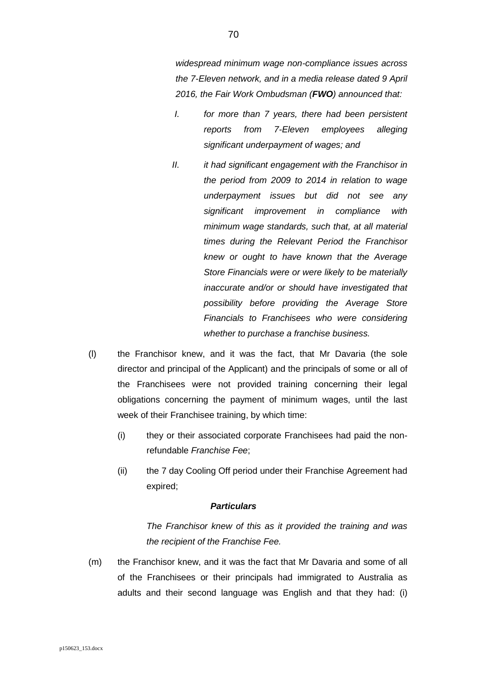*widespread minimum wage non-compliance issues across the 7-Eleven network, and in a media release dated 9 April 2016, the Fair Work Ombudsman (FWO) announced that:*

- *I. for more than 7 years, there had been persistent reports from 7-Eleven employees alleging significant underpayment of wages; and*
- *II. it had significant engagement with the Franchisor in the period from 2009 to 2014 in relation to wage underpayment issues but did not see any significant improvement in compliance with minimum wage standards, such that, at all material times during the Relevant Period the Franchisor knew or ought to have known that the Average Store Financials were or were likely to be materially inaccurate and/or or should have investigated that possibility before providing the Average Store Financials to Franchisees who were considering whether to purchase a franchise business.*
- (l) the Franchisor knew, and it was the fact, that Mr Davaria (the sole director and principal of the Applicant) and the principals of some or all of the Franchisees were not provided training concerning their legal obligations concerning the payment of minimum wages, until the last week of their Franchisee training, by which time:
	- (i) they or their associated corporate Franchisees had paid the nonrefundable *Franchise Fee*;
	- (ii) the 7 day Cooling Off period under their Franchise Agreement had expired;

### *Particulars*

*The Franchisor knew of this as it provided the training and was the recipient of the Franchise Fee.*

(m) the Franchisor knew, and it was the fact that Mr Davaria and some of all of the Franchisees or their principals had immigrated to Australia as adults and their second language was English and that they had: (i)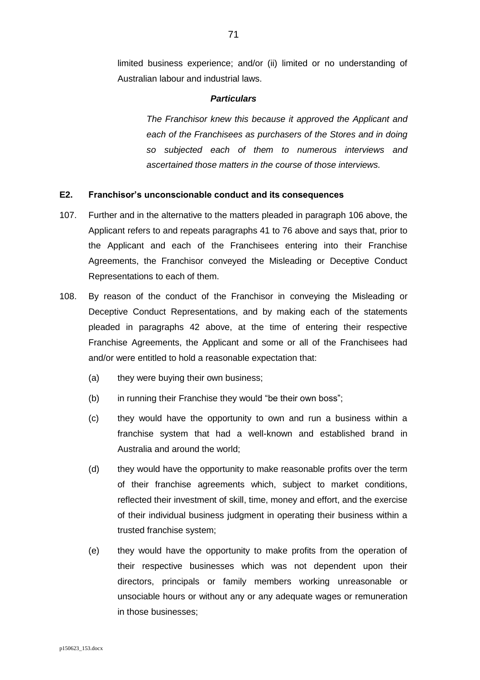limited business experience; and/or (ii) limited or no understanding of Australian labour and industrial laws.

#### *Particulars*

*The Franchisor knew this because it approved the Applicant and each of the Franchisees as purchasers of the Stores and in doing so subjected each of them to numerous interviews and ascertained those matters in the course of those interviews.*

#### **E2. Franchisor's unconscionable conduct and its consequences**

- <span id="page-70-0"></span>107. Further and in the alternative to the matters pleaded in paragraph [106](#page-64-2) above, the Applicant refers to and repeats paragraphs [41](#page-36-0) to [76](#page-53-0) above and says that, prior to the Applicant and each of the Franchisees entering into their Franchise Agreements, the Franchisor conveyed the Misleading or Deceptive Conduct Representations to each of them.
- <span id="page-70-1"></span>108. By reason of the conduct of the Franchisor in conveying the Misleading or Deceptive Conduct Representations, and by making each of the statements pleaded in paragraphs [42](#page-37-0) above, at the time of entering their respective Franchise Agreements, the Applicant and some or all of the Franchisees had and/or were entitled to hold a reasonable expectation that:
	- (a) they were buying their own business;
	- (b) in running their Franchise they would "be their own boss";
	- (c) they would have the opportunity to own and run a business within a franchise system that had a well-known and established brand in Australia and around the world;
	- (d) they would have the opportunity to make reasonable profits over the term of their franchise agreements which, subject to market conditions, reflected their investment of skill, time, money and effort, and the exercise of their individual business judgment in operating their business within a trusted franchise system;
	- (e) they would have the opportunity to make profits from the operation of their respective businesses which was not dependent upon their directors, principals or family members working unreasonable or unsociable hours or without any or any adequate wages or remuneration in those businesses;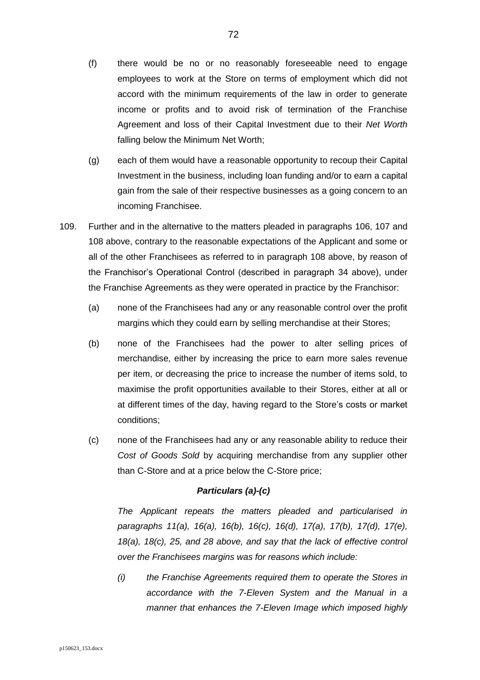- (f) there would be no or no reasonably foreseeable need to engage employees to work at the Store on terms of employment which did not accord with the minimum requirements of the law in order to generate income or profits and to avoid risk of termination of the Franchise Agreement and loss of their Capital Investment due to their *Net Worth* falling below the Minimum Net Worth;
- (g) each of them would have a reasonable opportunity to recoup their Capital Investment in the business, including loan funding and/or to earn a capital gain from the sale of their respective businesses as a going concern to an incoming Franchisee.
- 109. Further and in the alternative to the matters pleaded in paragraphs [106,](#page-64-2) [107](#page-70-0) and [108](#page-70-1) above, contrary to the reasonable expectations of the Applicant and some or all of the other Franchisees as referred to in paragraph [108](#page-70-1) above, by reason of the Franchisor's Operational Control (described in paragraph [34](#page-32-0) above), under the Franchise Agreements as they were operated in practice by the Franchisor:
	- (a) none of the Franchisees had any or any reasonable control over the profit margins which they could earn by selling merchandise at their Stores;
	- (b) none of the Franchisees had the power to alter selling prices of merchandise, either by increasing the price to earn more sales revenue per item, or decreasing the price to increase the number of items sold, to maximise the profit opportunities available to their Stores, either at all or at different times of the day, having regard to the Store's costs or market conditions;
	- (c) none of the Franchisees had any or any reasonable ability to reduce their *Cost of Goods Sold* by acquiring merchandise from any supplier other than C-Store and at a price below the C-Store price;

## *Particulars (a)-(c)*

*The Applicant repeats the matters pleaded and particularised in paragraphs [11\(a\),](#page-10-0) [16\(a\),](#page-16-0) [16\(b\),](#page-16-1) [16\(c\),](#page-16-2) [16\(d\),](#page-16-3) [17\(a\),](#page-18-0) [17\(b\),](#page-18-1) [17\(d\),](#page-19-0) [17\(e\),](#page-19-1) [18\(a\),](#page-19-2) [18\(c\),](#page-20-0) [25,](#page-24-0) and [28](#page-26-0) above, and say that the lack of effective control over the Franchisees margins was for reasons which include:*

*(i) the Franchise Agreements required them to operate the Stores in accordance with the 7-Eleven System and the Manual in a manner that enhances the 7-Eleven Image which imposed highly*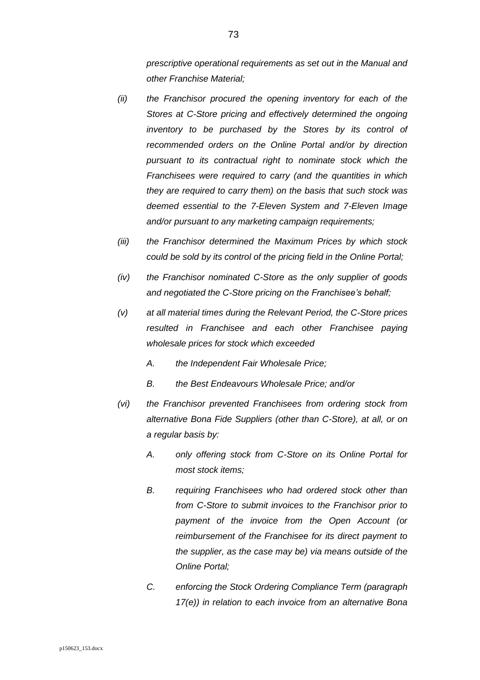*prescriptive operational requirements as set out in the Manual and other Franchise Material;*

- *(ii) the Franchisor procured the opening inventory for each of the Stores at C-Store pricing and effectively determined the ongoing inventory to be purchased by the Stores by its control of recommended orders on the Online Portal and/or by direction pursuant to its contractual right to nominate stock which the Franchisees were required to carry (and the quantities in which they are required to carry them) on the basis that such stock was deemed essential to the 7-Eleven System and 7-Eleven Image and/or pursuant to any marketing campaign requirements;*
- *(iii) the Franchisor determined the Maximum Prices by which stock could be sold by its control of the pricing field in the Online Portal;*
- *(iv) the Franchisor nominated C-Store as the only supplier of goods and negotiated the C-Store pricing on the Franchisee's behalf;*
- *(v) at all material times during the Relevant Period, the C-Store prices resulted in Franchisee and each other Franchisee paying wholesale prices for stock which exceeded* 
	- *A. the Independent Fair Wholesale Price;*
	- *B. the Best Endeavours Wholesale Price; and/or*
- *(vi) the Franchisor prevented Franchisees from ordering stock from alternative Bona Fide Suppliers (other than C-Store), at all, or on a regular basis by:*
	- *A. only offering stock from C-Store on its Online Portal for most stock items;*
	- *B. requiring Franchisees who had ordered stock other than from C-Store to submit invoices to the Franchisor prior to payment of the invoice from the Open Account (or reimbursement of the Franchisee for its direct payment to the supplier, as the case may be) via means outside of the Online Portal;*
	- *C. enforcing the Stock Ordering Compliance Term (paragraph [17\(e\)\)](#page-19-0) in relation to each invoice from an alternative Bona*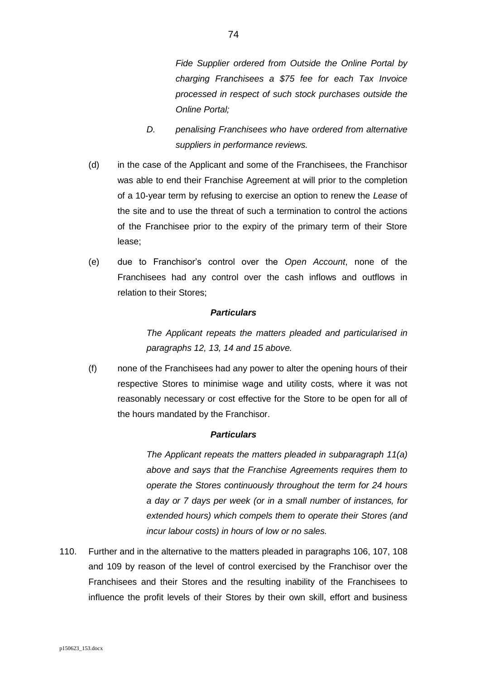*Fide Supplier ordered from Outside the Online Portal by charging Franchisees a \$75 fee for each Tax Invoice processed in respect of such stock purchases outside the Online Portal;*

- *D. penalising Franchisees who have ordered from alternative suppliers in performance reviews.*
- (d) in the case of the Applicant and some of the Franchisees, the Franchisor was able to end their Franchise Agreement at will prior to the completion of a 10-year term by refusing to exercise an option to renew the *Lease* of the site and to use the threat of such a termination to control the actions of the Franchisee prior to the expiry of the primary term of their Store lease;
- (e) due to Franchisor's control over the *Open Account*, none of the Franchisees had any control over the cash inflows and outflows in relation to their Stores;

## *Particulars*

*The Applicant repeats the matters pleaded and particularised in paragraphs [12,](#page-12-0) [13,](#page-15-0) [14](#page-15-1) and [15](#page-16-0) above.*

(f) none of the Franchisees had any power to alter the opening hours of their respective Stores to minimise wage and utility costs, where it was not reasonably necessary or cost effective for the Store to be open for all of the hours mandated by the Franchisor.

# *Particulars*

*The Applicant repeats the matters pleaded in subparagraph [11\(a\)](#page-10-0) above and says that the Franchise Agreements requires them to operate the Stores continuously throughout the term for 24 hours a day or 7 days per week (or in a small number of instances, for extended hours) which compels them to operate their Stores (and incur labour costs) in hours of low or no sales.*

<span id="page-73-0"></span>110. Further and in the alternative to the matters pleaded in paragraphs [106,](#page-64-0) [107,](#page-70-0) [108](#page-70-1) and [109](#page-71-0) by reason of the level of control exercised by the Franchisor over the Franchisees and their Stores and the resulting inability of the Franchisees to influence the profit levels of their Stores by their own skill, effort and business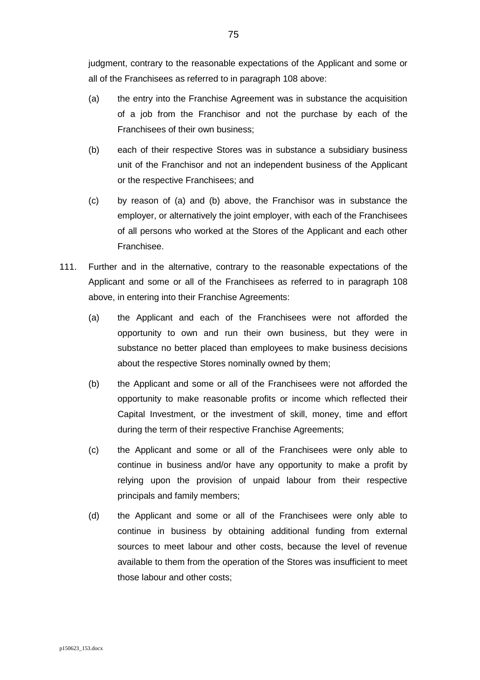judgment, contrary to the reasonable expectations of the Applicant and some or all of the Franchisees as referred to in paragraph [108](#page-70-1) above:

- (a) the entry into the Franchise Agreement was in substance the acquisition of a job from the Franchisor and not the purchase by each of the Franchisees of their own business;
- (b) each of their respective Stores was in substance a subsidiary business unit of the Franchisor and not an independent business of the Applicant or the respective Franchisees; and
- (c) by reason of (a) and (b) above, the Franchisor was in substance the employer, or alternatively the joint employer, with each of the Franchisees of all persons who worked at the Stores of the Applicant and each other Franchisee.
- <span id="page-74-0"></span>111. Further and in the alternative, contrary to the reasonable expectations of the Applicant and some or all of the Franchisees as referred to in paragraph [108](#page-70-1) above, in entering into their Franchise Agreements:
	- (a) the Applicant and each of the Franchisees were not afforded the opportunity to own and run their own business, but they were in substance no better placed than employees to make business decisions about the respective Stores nominally owned by them;
	- (b) the Applicant and some or all of the Franchisees were not afforded the opportunity to make reasonable profits or income which reflected their Capital Investment, or the investment of skill, money, time and effort during the term of their respective Franchise Agreements;
	- (c) the Applicant and some or all of the Franchisees were only able to continue in business and/or have any opportunity to make a profit by relying upon the provision of unpaid labour from their respective principals and family members;
	- (d) the Applicant and some or all of the Franchisees were only able to continue in business by obtaining additional funding from external sources to meet labour and other costs, because the level of revenue available to them from the operation of the Stores was insufficient to meet those labour and other costs;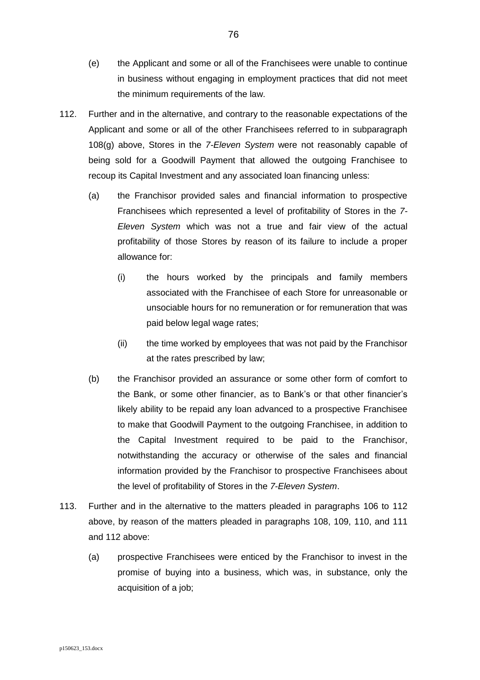- (e) the Applicant and some or all of the Franchisees were unable to continue in business without engaging in employment practices that did not meet the minimum requirements of the law.
- <span id="page-75-0"></span>112. Further and in the alternative, and contrary to the reasonable expectations of the Applicant and some or all of the other Franchisees referred to in subparagraph [108\(g\)](#page-71-1) above, Stores in the *7-Eleven System* were not reasonably capable of being sold for a Goodwill Payment that allowed the outgoing Franchisee to recoup its Capital Investment and any associated loan financing unless:
	- (a) the Franchisor provided sales and financial information to prospective Franchisees which represented a level of profitability of Stores in the *7- Eleven System* which was not a true and fair view of the actual profitability of those Stores by reason of its failure to include a proper allowance for:
		- (i) the hours worked by the principals and family members associated with the Franchisee of each Store for unreasonable or unsociable hours for no remuneration or for remuneration that was paid below legal wage rates;
		- (ii) the time worked by employees that was not paid by the Franchisor at the rates prescribed by law;
	- (b) the Franchisor provided an assurance or some other form of comfort to the Bank, or some other financier, as to Bank's or that other financier's likely ability to be repaid any loan advanced to a prospective Franchisee to make that Goodwill Payment to the outgoing Franchisee, in addition to the Capital Investment required to be paid to the Franchisor, notwithstanding the accuracy or otherwise of the sales and financial information provided by the Franchisor to prospective Franchisees about the level of profitability of Stores in the *7-Eleven System*.
- <span id="page-75-1"></span>113. Further and in the alternative to the matters pleaded in paragraphs [106](#page-64-0) to [112](#page-75-0) above, by reason of the matters pleaded in paragraphs [108,](#page-70-1) [109,](#page-71-0) [110,](#page-73-0) and [111](#page-74-0) and [112](#page-75-0) above:
	- (a) prospective Franchisees were enticed by the Franchisor to invest in the promise of buying into a business, which was, in substance, only the acquisition of a job;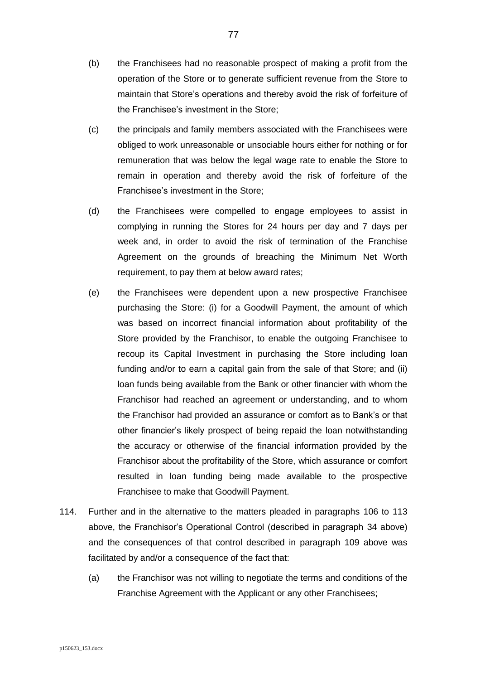- (b) the Franchisees had no reasonable prospect of making a profit from the operation of the Store or to generate sufficient revenue from the Store to maintain that Store's operations and thereby avoid the risk of forfeiture of the Franchisee's investment in the Store;
- (c) the principals and family members associated with the Franchisees were obliged to work unreasonable or unsociable hours either for nothing or for remuneration that was below the legal wage rate to enable the Store to remain in operation and thereby avoid the risk of forfeiture of the Franchisee's investment in the Store;
- (d) the Franchisees were compelled to engage employees to assist in complying in running the Stores for 24 hours per day and 7 days per week and, in order to avoid the risk of termination of the Franchise Agreement on the grounds of breaching the Minimum Net Worth requirement, to pay them at below award rates;
- (e) the Franchisees were dependent upon a new prospective Franchisee purchasing the Store: (i) for a Goodwill Payment, the amount of which was based on incorrect financial information about profitability of the Store provided by the Franchisor, to enable the outgoing Franchisee to recoup its Capital Investment in purchasing the Store including loan funding and/or to earn a capital gain from the sale of that Store; and (ii) loan funds being available from the Bank or other financier with whom the Franchisor had reached an agreement or understanding, and to whom the Franchisor had provided an assurance or comfort as to Bank's or that other financier's likely prospect of being repaid the loan notwithstanding the accuracy or otherwise of the financial information provided by the Franchisor about the profitability of the Store, which assurance or comfort resulted in loan funding being made available to the prospective Franchisee to make that Goodwill Payment.
- <span id="page-76-0"></span>114. Further and in the alternative to the matters pleaded in paragraphs [106](#page-64-0) to [113](#page-75-1) above, the Franchisor's Operational Control (described in paragraph [34](#page-32-0) above) and the consequences of that control described in paragraph [109](#page-71-0) above was facilitated by and/or a consequence of the fact that:
	- (a) the Franchisor was not willing to negotiate the terms and conditions of the Franchise Agreement with the Applicant or any other Franchisees;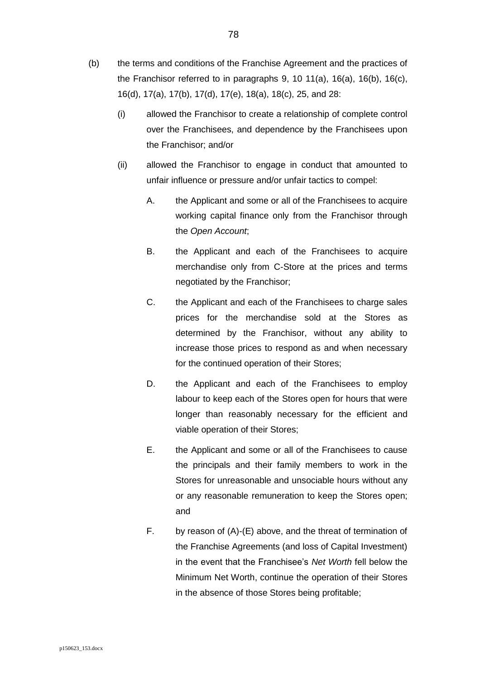- (b) the terms and conditions of the Franchise Agreement and the practices of the Franchisor referred to in paragraphs [9,](#page-9-0) [10](#page-9-1) [11\(a\),](#page-10-0) [16\(a\),](#page-16-1) [16\(b\),](#page-16-2) [16\(c\),](#page-16-3) [16\(d\),](#page-16-4) [17\(a\),](#page-18-0) [17\(b\),](#page-18-1) [17\(d\),](#page-19-1) [17\(e\),](#page-19-0) [18\(a\),](#page-19-2) [18\(c\),](#page-20-0) [25,](#page-24-0) and [28:](#page-26-0)
	- (i) allowed the Franchisor to create a relationship of complete control over the Franchisees, and dependence by the Franchisees upon the Franchisor; and/or
	- (ii) allowed the Franchisor to engage in conduct that amounted to unfair influence or pressure and/or unfair tactics to compel:
		- A. the Applicant and some or all of the Franchisees to acquire working capital finance only from the Franchisor through the *Open Account*;
		- B. the Applicant and each of the Franchisees to acquire merchandise only from C-Store at the prices and terms negotiated by the Franchisor;
		- C. the Applicant and each of the Franchisees to charge sales prices for the merchandise sold at the Stores as determined by the Franchisor, without any ability to increase those prices to respond as and when necessary for the continued operation of their Stores;
		- D. the Applicant and each of the Franchisees to employ labour to keep each of the Stores open for hours that were longer than reasonably necessary for the efficient and viable operation of their Stores;
		- E. the Applicant and some or all of the Franchisees to cause the principals and their family members to work in the Stores for unreasonable and unsociable hours without any or any reasonable remuneration to keep the Stores open; and
		- F. by reason of (A)-(E) above, and the threat of termination of the Franchise Agreements (and loss of Capital Investment) in the event that the Franchisee's *Net Worth* fell below the Minimum Net Worth, continue the operation of their Stores in the absence of those Stores being profitable;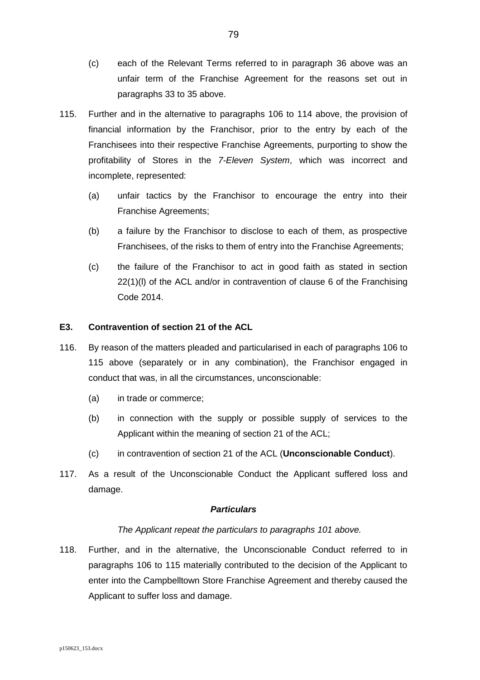- (c) each of the Relevant Terms referred to in paragraph [36](#page-34-0) above was an unfair term of the Franchise Agreement for the reasons set out in paragraphs [33](#page-31-0) to [35](#page-34-1) above.
- <span id="page-78-0"></span>115. Further and in the alternative to paragraphs [106](#page-64-0) to [114](#page-76-0) above, the provision of financial information by the Franchisor, prior to the entry by each of the Franchisees into their respective Franchise Agreements, purporting to show the profitability of Stores in the *7-Eleven System*, which was incorrect and incomplete, represented:
	- (a) unfair tactics by the Franchisor to encourage the entry into their Franchise Agreements;
	- (b) a failure by the Franchisor to disclose to each of them, as prospective Franchisees, of the risks to them of entry into the Franchise Agreements;
	- (c) the failure of the Franchisor to act in good faith as stated in section 22(1)(l) of the ACL and/or in contravention of clause 6 of the Franchising Code 2014.

# **E3. Contravention of section 21 of the ACL**

- 116. By reason of the matters pleaded and particularised in each of paragraphs [106](#page-64-0) to [115](#page-78-0) above (separately or in any combination), the Franchisor engaged in conduct that was, in all the circumstances, unconscionable:
	- (a) in trade or commerce;
	- (b) in connection with the supply or possible supply of services to the Applicant within the meaning of section 21 of the ACL;
	- (c) in contravention of section 21 of the ACL (**Unconscionable Conduct**).
- 117. As a result of the Unconscionable Conduct the Applicant suffered loss and damage.

# *Particulars*

# *The Applicant repeat the particulars to paragraphs [101](#page-62-0) above.*

118. Further, and in the alternative, the Unconscionable Conduct referred to in paragraphs [106](#page-64-0) to [115](#page-78-0) materially contributed to the decision of the Applicant to enter into the Campbelltown Store Franchise Agreement and thereby caused the Applicant to suffer loss and damage.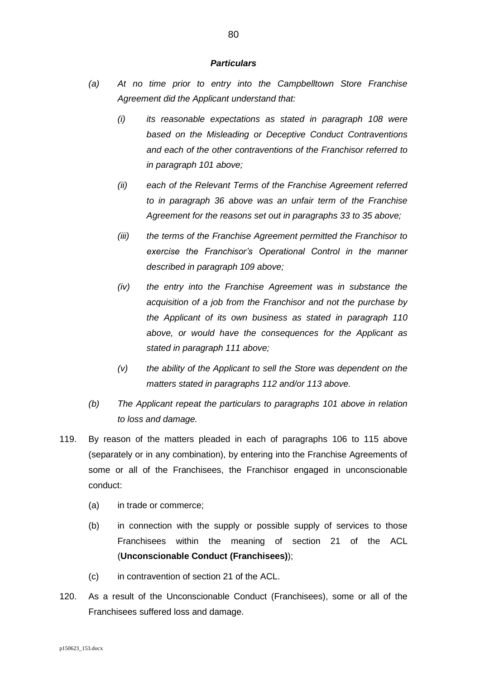- *(a) At no time prior to entry into the Campbelltown Store Franchise Agreement did the Applicant understand that:*
	- *(i) its reasonable expectations as stated in paragraph [108](#page-70-1) were based on the Misleading or Deceptive Conduct Contraventions and each of the other contraventions of the Franchisor referred to in paragraph [101](#page-62-0) above;*
	- *(ii) each of the Relevant Terms of the Franchise Agreement referred to in paragraph [36](#page-34-0) above was an unfair term of the Franchise Agreement for the reasons set out in paragraphs [33](#page-31-0) to [35](#page-34-1) above;*
	- *(iii) the terms of the Franchise Agreement permitted the Franchisor to exercise the Franchisor's Operational Control in the manner described in paragraph [109](#page-71-0) above;*
	- *(iv) the entry into the Franchise Agreement was in substance the acquisition of a job from the Franchisor and not the purchase by the Applicant of its own business as stated in paragraph [110](#page-73-0) above, or would have the consequences for the Applicant as stated in paragraph [111](#page-74-0) above;*
	- *(v) the ability of the Applicant to sell the Store was dependent on the matters stated in paragraphs [112](#page-75-0) and/or [113](#page-75-1) above.*
- *(b) The Applicant repeat the particulars to paragraphs [101](#page-62-0) above in relation to loss and damage.*
- 119. By reason of the matters pleaded in each of paragraphs [106](#page-64-0) to [115](#page-78-0) above (separately or in any combination), by entering into the Franchise Agreements of some or all of the Franchisees, the Franchisor engaged in unconscionable conduct:
	- (a) in trade or commerce;
	- (b) in connection with the supply or possible supply of services to those Franchisees within the meaning of section 21 of the ACL (**Unconscionable Conduct (Franchisees)**);
	- (c) in contravention of section 21 of the ACL.
- 120. As a result of the Unconscionable Conduct (Franchisees), some or all of the Franchisees suffered loss and damage.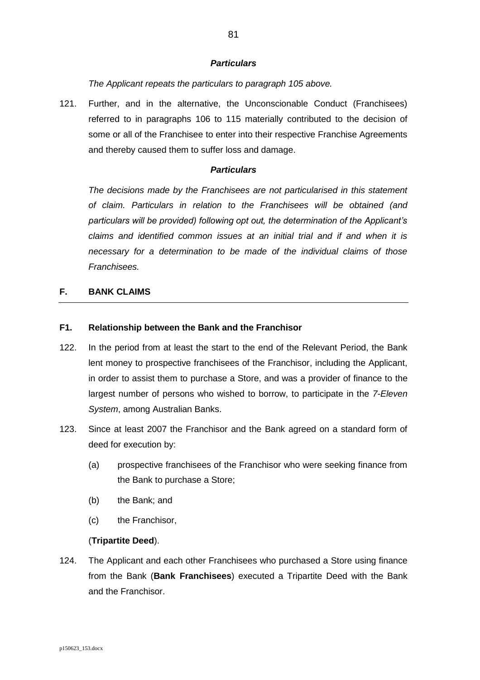*The Applicant repeats the particulars to paragraph [105](#page-63-0) above.*

121. Further, and in the alternative, the Unconscionable Conduct (Franchisees) referred to in paragraphs [106](#page-64-0) to [115](#page-78-0) materially contributed to the decision of some or all of the Franchisee to enter into their respective Franchise Agreements and thereby caused them to suffer loss and damage.

### *Particulars*

*The decisions made by the Franchisees are not particularised in this statement of claim. Particulars in relation to the Franchisees will be obtained (and particulars will be provided) following opt out, the determination of the Applicant's claims and identified common issues at an initial trial and if and when it is necessary for a determination to be made of the individual claims of those Franchisees.*

# **F. BANK CLAIMS**

# **F1. Relationship between the Bank and the Franchisor**

- <span id="page-80-0"></span>122. In the period from at least the start to the end of the Relevant Period, the Bank lent money to prospective franchisees of the Franchisor, including the Applicant, in order to assist them to purchase a Store, and was a provider of finance to the largest number of persons who wished to borrow, to participate in the *7-Eleven System*, among Australian Banks.
- <span id="page-80-1"></span>123. Since at least 2007 the Franchisor and the Bank agreed on a standard form of deed for execution by:
	- (a) prospective franchisees of the Franchisor who were seeking finance from the Bank to purchase a Store;
	- (b) the Bank; and
	- (c) the Franchisor,

## (**Tripartite Deed**).

124. The Applicant and each other Franchisees who purchased a Store using finance from the Bank (**Bank Franchisees**) executed a Tripartite Deed with the Bank and the Franchisor.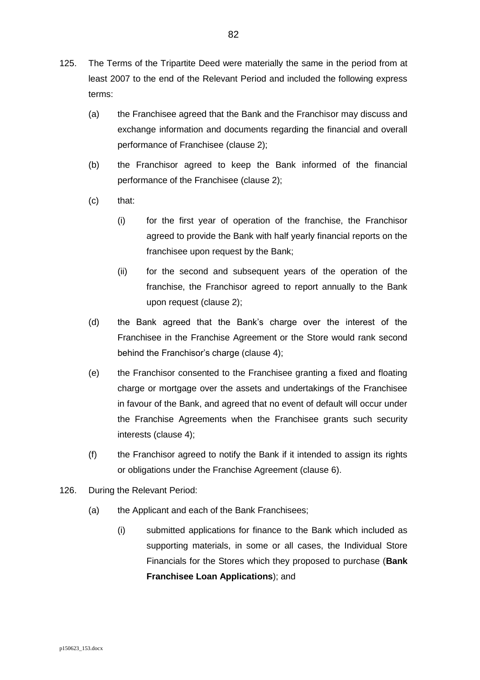- <span id="page-81-0"></span>125. The Terms of the Tripartite Deed were materially the same in the period from at least 2007 to the end of the Relevant Period and included the following express terms:
	- (a) the Franchisee agreed that the Bank and the Franchisor may discuss and exchange information and documents regarding the financial and overall performance of Franchisee (clause 2);
	- (b) the Franchisor agreed to keep the Bank informed of the financial performance of the Franchisee (clause 2);
	- (c) that:
		- (i) for the first year of operation of the franchise, the Franchisor agreed to provide the Bank with half yearly financial reports on the franchisee upon request by the Bank;
		- (ii) for the second and subsequent years of the operation of the franchise, the Franchisor agreed to report annually to the Bank upon request (clause 2);
	- (d) the Bank agreed that the Bank's charge over the interest of the Franchisee in the Franchise Agreement or the Store would rank second behind the Franchisor's charge (clause 4);
	- (e) the Franchisor consented to the Franchisee granting a fixed and floating charge or mortgage over the assets and undertakings of the Franchisee in favour of the Bank, and agreed that no event of default will occur under the Franchise Agreements when the Franchisee grants such security interests (clause 4);
	- (f) the Franchisor agreed to notify the Bank if it intended to assign its rights or obligations under the Franchise Agreement (clause 6).
- <span id="page-81-1"></span>126. During the Relevant Period:
	- (a) the Applicant and each of the Bank Franchisees;
		- (i) submitted applications for finance to the Bank which included as supporting materials, in some or all cases, the Individual Store Financials for the Stores which they proposed to purchase (**Bank Franchisee Loan Applications**); and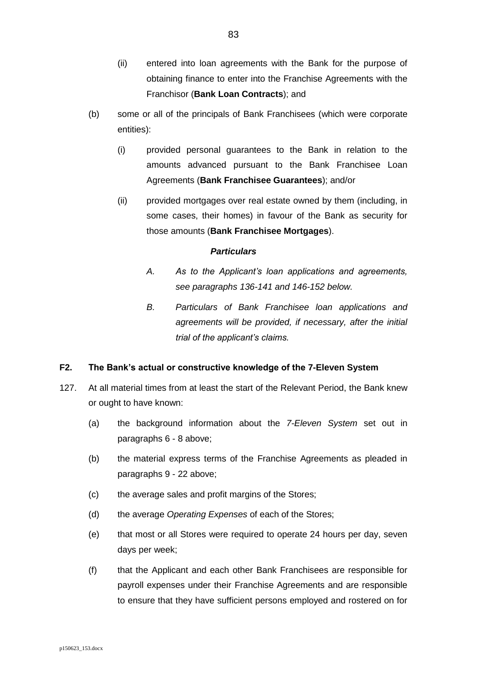- (ii) entered into loan agreements with the Bank for the purpose of obtaining finance to enter into the Franchise Agreements with the Franchisor (**Bank Loan Contracts**); and
- (b) some or all of the principals of Bank Franchisees (which were corporate entities):
	- (i) provided personal guarantees to the Bank in relation to the amounts advanced pursuant to the Bank Franchisee Loan Agreements (**Bank Franchisee Guarantees**); and/or
	- (ii) provided mortgages over real estate owned by them (including, in some cases, their homes) in favour of the Bank as security for those amounts (**Bank Franchisee Mortgages**).

- *A. As to the Applicant's loan applications and agreements, see paragraphs [136](#page-88-0)[-141](#page-89-0) and [146-](#page-92-0)[152](#page-95-0) below.*
- *B. Particulars of Bank Franchisee loan applications and agreements will be provided, if necessary, after the initial trial of the applicant's claims.*

# **F2. The Bank's actual or constructive knowledge of the 7-Eleven System**

- <span id="page-82-1"></span><span id="page-82-0"></span>127. At all material times from at least the start of the Relevant Period, the Bank knew or ought to have known:
	- (a) the background information about the *7-Eleven System* set out in paragraphs [6](#page-5-0) - [8](#page-8-0) above;
	- (b) the material express terms of the Franchise Agreements as pleaded in paragraphs [9](#page-9-0) - [22](#page-21-0) above;
	- (c) the average sales and profit margins of the Stores;
	- (d) the average *Operating Expenses* of each of the Stores;
	- (e) that most or all Stores were required to operate 24 hours per day, seven days per week;
	- (f) that the Applicant and each other Bank Franchisees are responsible for payroll expenses under their Franchise Agreements and are responsible to ensure that they have sufficient persons employed and rostered on for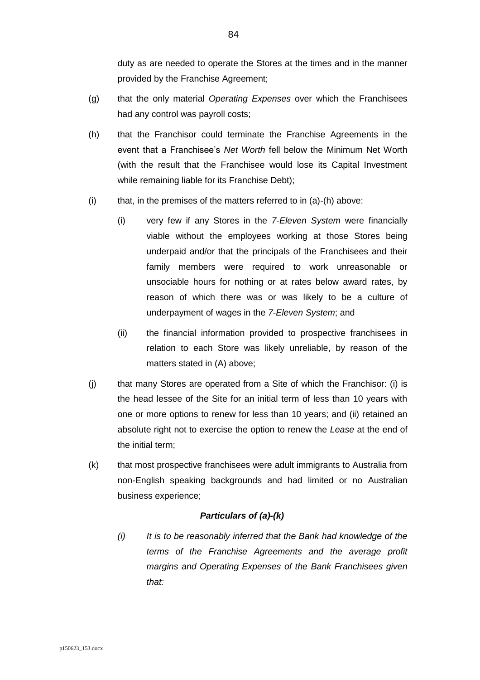duty as are needed to operate the Stores at the times and in the manner provided by the Franchise Agreement;

- (g) that the only material *Operating Expenses* over which the Franchisees had any control was payroll costs;
- (h) that the Franchisor could terminate the Franchise Agreements in the event that a Franchisee's *Net Worth* fell below the Minimum Net Worth (with the result that the Franchisee would lose its Capital Investment while remaining liable for its Franchise Debt);
- <span id="page-83-0"></span> $(i)$  that, in the premises of the matters referred to in  $(a)-(h)$  above:
	- (i) very few if any Stores in the *7-Eleven System* were financially viable without the employees working at those Stores being underpaid and/or that the principals of the Franchisees and their family members were required to work unreasonable or unsociable hours for nothing or at rates below award rates, by reason of which there was or was likely to be a culture of underpayment of wages in the *7-Eleven System*; and
	- (ii) the financial information provided to prospective franchisees in relation to each Store was likely unreliable, by reason of the matters stated in (A) above;
- <span id="page-83-1"></span>(j) that many Stores are operated from a Site of which the Franchisor: (i) is the head lessee of the Site for an initial term of less than 10 years with one or more options to renew for less than 10 years; and (ii) retained an absolute right not to exercise the option to renew the *Lease* at the end of the initial term;
- (k) that most prospective franchisees were adult immigrants to Australia from non-English speaking backgrounds and had limited or no Australian business experience;

## *Particulars of (a)-(k)*

*(i) It is to be reasonably inferred that the Bank had knowledge of the terms of the Franchise Agreements and the average profit margins and Operating Expenses of the Bank Franchisees given that:*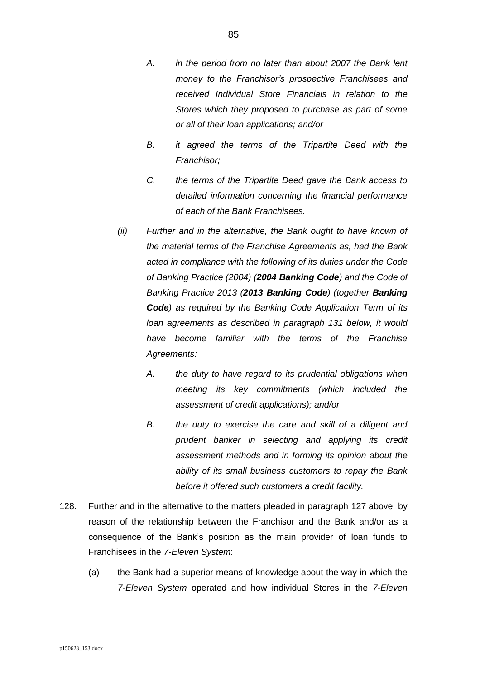- *A. in the period from no later than about 2007 the Bank lent money to the Franchisor's prospective Franchisees and received Individual Store Financials in relation to the Stores which they proposed to purchase as part of some or all of their loan applications; and/or*
- *B. it agreed the terms of the Tripartite Deed with the Franchisor;*
- *C. the terms of the Tripartite Deed gave the Bank access to detailed information concerning the financial performance of each of the Bank Franchisees.*
- *(ii) Further and in the alternative, the Bank ought to have known of the material terms of the Franchise Agreements as, had the Bank acted in compliance with the following of its duties under the Code of Banking Practice (2004) (2004 Banking Code) and the Code of Banking Practice 2013 (2013 Banking Code) (together Banking Code) as required by the Banking Code Application Term of its loan agreements as described in paragraph [131](#page-86-0) below, it would have become familiar with the terms of the Franchise Agreements:*
	- *A. the duty to have regard to its prudential obligations when meeting its key commitments (which included the assessment of credit applications); and/or*
	- *B. the duty to exercise the care and skill of a diligent and prudent banker in selecting and applying its credit assessment methods and in forming its opinion about the ability of its small business customers to repay the Bank before it offered such customers a credit facility.*
- <span id="page-84-0"></span>128. Further and in the alternative to the matters pleaded in paragraph [127](#page-82-0) above, by reason of the relationship between the Franchisor and the Bank and/or as a consequence of the Bank's position as the main provider of loan funds to Franchisees in the *7-Eleven System*:
	- (a) the Bank had a superior means of knowledge about the way in which the *7-Eleven System* operated and how individual Stores in the *7-Eleven*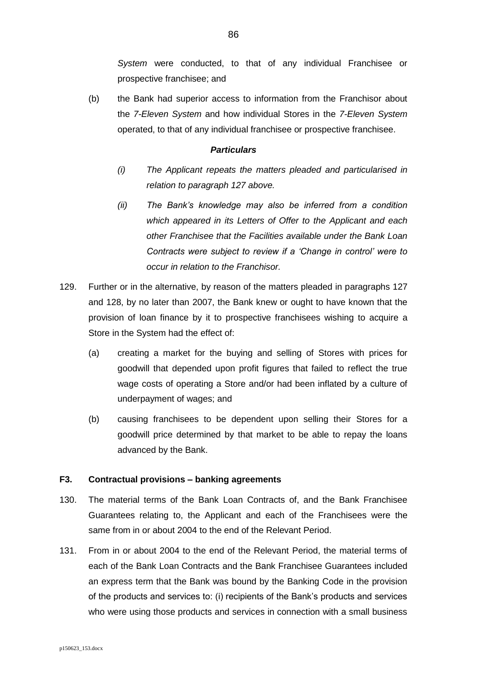*System* were conducted, to that of any individual Franchisee or prospective franchisee; and

(b) the Bank had superior access to information from the Franchisor about the *7-Eleven System* and how individual Stores in the *7-Eleven System* operated, to that of any individual franchisee or prospective franchisee.

# *Particulars*

- *(i) The Applicant repeats the matters pleaded and particularised in relation to paragraph [127](#page-82-0) above.*
- *(ii) The Bank's knowledge may also be inferred from a condition which appeared in its Letters of Offer to the Applicant and each other Franchisee that the Facilities available under the Bank Loan Contracts were subject to review if a 'Change in control' were to occur in relation to the Franchisor.*
- <span id="page-85-1"></span>129. Further or in the alternative, by reason of the matters pleaded in paragraphs [127](#page-82-0) and [128,](#page-84-0) by no later than 2007, the Bank knew or ought to have known that the provision of loan finance by it to prospective franchisees wishing to acquire a Store in the System had the effect of:
	- (a) creating a market for the buying and selling of Stores with prices for goodwill that depended upon profit figures that failed to reflect the true wage costs of operating a Store and/or had been inflated by a culture of underpayment of wages; and
	- (b) causing franchisees to be dependent upon selling their Stores for a goodwill price determined by that market to be able to repay the loans advanced by the Bank.

## **F3. Contractual provisions – banking agreements**

- 130. The material terms of the Bank Loan Contracts of, and the Bank Franchisee Guarantees relating to, the Applicant and each of the Franchisees were the same from in or about 2004 to the end of the Relevant Period.
- <span id="page-85-0"></span>131. From in or about 2004 to the end of the Relevant Period, the material terms of each of the Bank Loan Contracts and the Bank Franchisee Guarantees included an express term that the Bank was bound by the Banking Code in the provision of the products and services to: (i) recipients of the Bank's products and services who were using those products and services in connection with a small business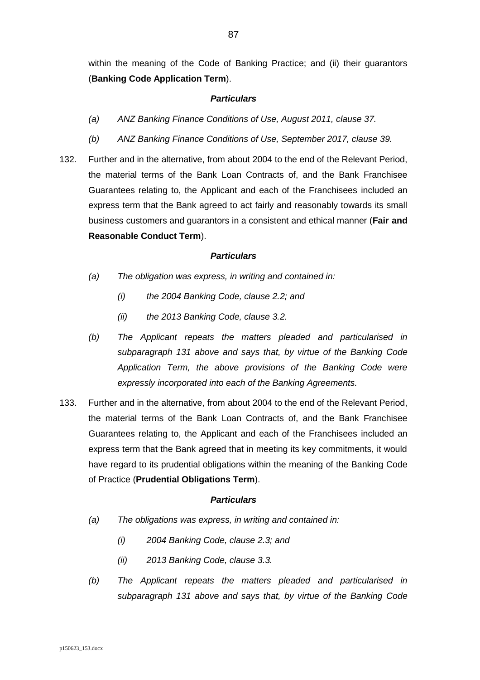within the meaning of the Code of Banking Practice; and (ii) their guarantors (**Banking Code Application Term**).

# <span id="page-86-0"></span>*Particulars*

- *(a) ANZ Banking Finance Conditions of Use, August 2011, clause 37.*
- *(b) ANZ Banking Finance Conditions of Use, September 2017, clause 39.*
- <span id="page-86-1"></span>132. Further and in the alternative, from about 2004 to the end of the Relevant Period, the material terms of the Bank Loan Contracts of, and the Bank Franchisee Guarantees relating to, the Applicant and each of the Franchisees included an express term that the Bank agreed to act fairly and reasonably towards its small business customers and guarantors in a consistent and ethical manner (**Fair and Reasonable Conduct Term**).

## *Particulars*

- *(a) The obligation was express, in writing and contained in:*
	- *(i) the 2004 Banking Code, clause 2.2; and*
	- *(ii) the 2013 Banking Code, clause 3.2.*
- *(b) The Applicant repeats the matters pleaded and particularised in subparagraph [131](#page-86-0) above and says that, by virtue of the Banking Code Application Term, the above provisions of the Banking Code were expressly incorporated into each of the Banking Agreements.*
- 133. Further and in the alternative, from about 2004 to the end of the Relevant Period, the material terms of the Bank Loan Contracts of, and the Bank Franchisee Guarantees relating to, the Applicant and each of the Franchisees included an express term that the Bank agreed that in meeting its key commitments, it would have regard to its prudential obligations within the meaning of the Banking Code of Practice (**Prudential Obligations Term**).

- <span id="page-86-2"></span>*(a) The obligations was express, in writing and contained in:*
	- *(i) 2004 Banking Code, clause 2.3; and*
	- *(ii) 2013 Banking Code, clause 3.3.*
- *(b) The Applicant repeats the matters pleaded and particularised in subparagraph [131](#page-86-0) above and says that, by virtue of the Banking Code*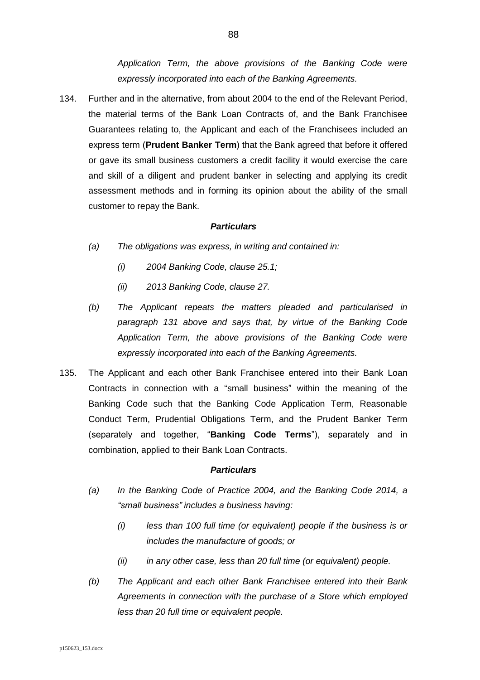*Application Term, the above provisions of the Banking Code were expressly incorporated into each of the Banking Agreements.*

134. Further and in the alternative, from about 2004 to the end of the Relevant Period, the material terms of the Bank Loan Contracts of, and the Bank Franchisee Guarantees relating to, the Applicant and each of the Franchisees included an express term (**Prudent Banker Term**) that the Bank agreed that before it offered or gave its small business customers a credit facility it would exercise the care and skill of a diligent and prudent banker in selecting and applying its credit assessment methods and in forming its opinion about the ability of the small customer to repay the Bank.

### <span id="page-87-0"></span>*Particulars*

- *(a) The obligations was express, in writing and contained in:*
	- *(i) 2004 Banking Code, clause 25.1;*
	- *(ii) 2013 Banking Code, clause 27.*
- *(b) The Applicant repeats the matters pleaded and particularised in paragraph [131](#page-85-0) above and says that, by virtue of the Banking Code Application Term, the above provisions of the Banking Code were expressly incorporated into each of the Banking Agreements.*
- <span id="page-87-1"></span>135. The Applicant and each other Bank Franchisee entered into their Bank Loan Contracts in connection with a "small business" within the meaning of the Banking Code such that the Banking Code Application Term, Reasonable Conduct Term, Prudential Obligations Term, and the Prudent Banker Term (separately and together, "**Banking Code Terms**"), separately and in combination, applied to their Bank Loan Contracts.

- *(a) In the Banking Code of Practice 2004, and the Banking Code 2014, a "small business" includes a business having:*
	- *(i) less than 100 full time (or equivalent) people if the business is or includes the manufacture of goods; or*
	- *(ii) in any other case, less than 20 full time (or equivalent) people.*
- *(b) The Applicant and each other Bank Franchisee entered into their Bank Agreements in connection with the purchase of a Store which employed less than 20 full time or equivalent people.*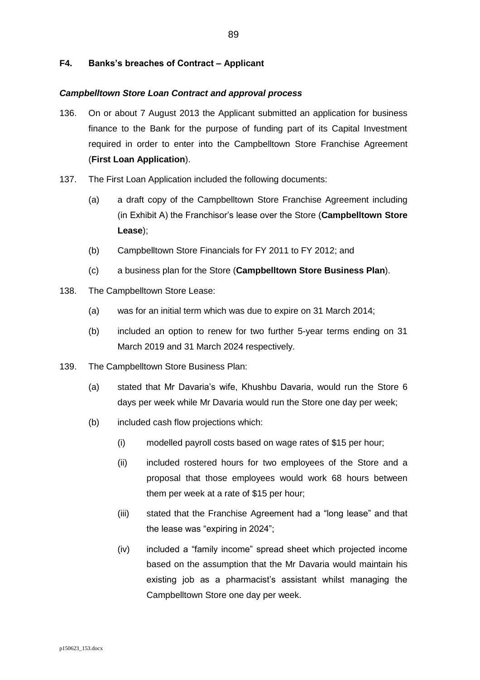# **F4. Banks's breaches of Contract – Applicant**

# *Campbelltown Store Loan Contract and approval process*

- <span id="page-88-0"></span>136. On or about 7 August 2013 the Applicant submitted an application for business finance to the Bank for the purpose of funding part of its Capital Investment required in order to enter into the Campbelltown Store Franchise Agreement (**First Loan Application**).
- <span id="page-88-2"></span>137. The First Loan Application included the following documents:
	- (a) a draft copy of the Campbelltown Store Franchise Agreement including (in Exhibit A) the Franchisor's lease over the Store (**Campbelltown Store Lease**);
	- (b) Campbelltown Store Financials for FY 2011 to FY 2012; and
	- (c) a business plan for the Store (**Campbelltown Store Business Plan**).
- <span id="page-88-1"></span>138. The Campbelltown Store Lease:
	- (a) was for an initial term which was due to expire on 31 March 2014;
	- (b) included an option to renew for two further 5-year terms ending on 31 March 2019 and 31 March 2024 respectively.
- 139. The Campbelltown Store Business Plan:
	- (a) stated that Mr Davaria's wife, Khushbu Davaria, would run the Store 6 days per week while Mr Davaria would run the Store one day per week;
	- (b) included cash flow projections which:
		- (i) modelled payroll costs based on wage rates of \$15 per hour;
		- (ii) included rostered hours for two employees of the Store and a proposal that those employees would work 68 hours between them per week at a rate of \$15 per hour;
		- (iii) stated that the Franchise Agreement had a "long lease" and that the lease was "expiring in 2024";
		- (iv) included a "family income" spread sheet which projected income based on the assumption that the Mr Davaria would maintain his existing job as a pharmacist's assistant whilst managing the Campbelltown Store one day per week.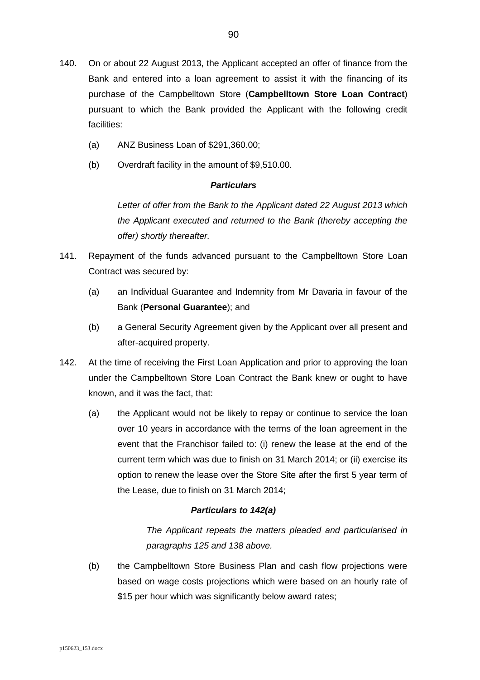- <span id="page-89-2"></span>140. On or about 22 August 2013, the Applicant accepted an offer of finance from the Bank and entered into a loan agreement to assist it with the financing of its purchase of the Campbelltown Store (**Campbelltown Store Loan Contract**) pursuant to which the Bank provided the Applicant with the following credit facilities:
	- (a) ANZ Business Loan of \$291,360.00;
	- (b) Overdraft facility in the amount of \$9,510.00.

*Letter of offer from the Bank to the Applicant dated 22 August 2013 which the Applicant executed and returned to the Bank (thereby accepting the offer) shortly thereafter.*

- <span id="page-89-0"></span>141. Repayment of the funds advanced pursuant to the Campbelltown Store Loan Contract was secured by:
	- (a) an Individual Guarantee and Indemnity from Mr Davaria in favour of the Bank (**Personal Guarantee**); and
	- (b) a General Security Agreement given by the Applicant over all present and after-acquired property.
- <span id="page-89-3"></span><span id="page-89-1"></span>142. At the time of receiving the First Loan Application and prior to approving the loan under the Campbelltown Store Loan Contract the Bank knew or ought to have known, and it was the fact, that:
	- (a) the Applicant would not be likely to repay or continue to service the loan over 10 years in accordance with the terms of the loan agreement in the event that the Franchisor failed to: (i) renew the lease at the end of the current term which was due to finish on 31 March 2014; or (ii) exercise its option to renew the lease over the Store Site after the first 5 year term of the Lease, due to finish on 31 March 2014;

# *Particulars to [142\(a\)](#page-89-1)*

*The Applicant repeats the matters pleaded and particularised in paragraphs [125](#page-81-0) and [138](#page-88-1) above.*

(b) the Campbelltown Store Business Plan and cash flow projections were based on wage costs projections which were based on an hourly rate of \$15 per hour which was significantly below award rates;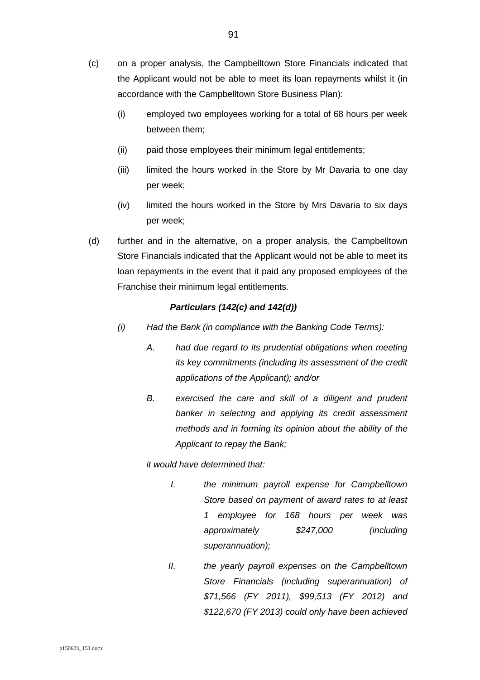- <span id="page-90-0"></span>(c) on a proper analysis, the Campbelltown Store Financials indicated that the Applicant would not be able to meet its loan repayments whilst it (in accordance with the Campbelltown Store Business Plan):
	- (i) employed two employees working for a total of 68 hours per week between them;
	- (ii) paid those employees their minimum legal entitlements;
	- (iii) limited the hours worked in the Store by Mr Davaria to one day per week;
	- (iv) limited the hours worked in the Store by Mrs Davaria to six days per week;
- <span id="page-90-1"></span>(d) further and in the alternative, on a proper analysis, the Campbelltown Store Financials indicated that the Applicant would not be able to meet its loan repayments in the event that it paid any proposed employees of the Franchise their minimum legal entitlements.

# *Particulars [\(142\(c\)](#page-90-0) and [142\(d\)\)](#page-90-1)*

- *(i) Had the Bank (in compliance with the Banking Code Terms):*
	- *A. had due regard to its prudential obligations when meeting its key commitments (including its assessment of the credit applications of the Applicant); and/or*
	- *B. exercised the care and skill of a diligent and prudent banker in selecting and applying its credit assessment methods and in forming its opinion about the ability of the Applicant to repay the Bank;*

*it would have determined that:*

- *I. the minimum payroll expense for Campbelltown Store based on payment of award rates to at least 1 employee for 168 hours per week was approximately \$247,000 (including superannuation);*
- *II. the yearly payroll expenses on the Campbelltown Store Financials (including superannuation) of \$71,566 (FY 2011), \$99,513 (FY 2012) and \$122,670 (FY 2013) could only have been achieved*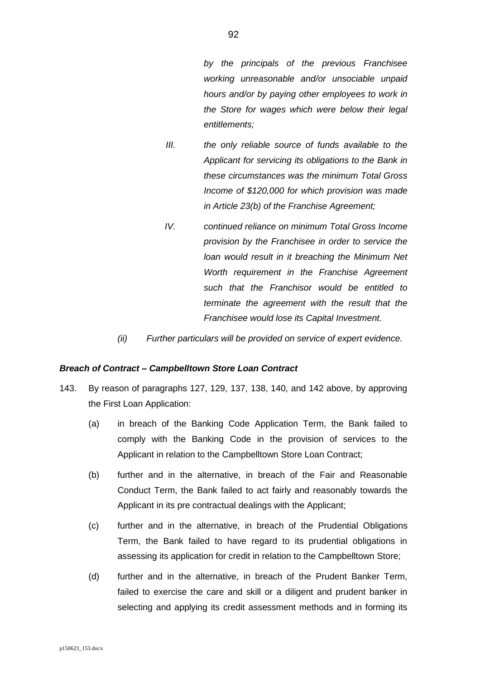*by the principals of the previous Franchisee working unreasonable and/or unsociable unpaid hours and/or by paying other employees to work in the Store for wages which were below their legal entitlements;*

- *III. the only reliable source of funds available to the Applicant for servicing its obligations to the Bank in these circumstances was the minimum Total Gross Income of \$120,000 for which provision was made in Article 23(b) of the Franchise Agreement;*
- *IV. continued reliance on minimum Total Gross Income provision by the Franchisee in order to service the loan would result in it breaching the Minimum Net Worth requirement in the Franchise Agreement such that the Franchisor would be entitled to terminate the agreement with the result that the Franchisee would lose its Capital Investment.*
- *(ii) Further particulars will be provided on service of expert evidence.*

### *Breach of Contract – Campbelltown Store Loan Contract*

- <span id="page-91-0"></span>143. By reason of paragraphs [127,](#page-82-0) [129,](#page-85-1) [137,](#page-88-2) [138,](#page-88-1) [140,](#page-89-2) and [142](#page-89-3) above, by approving the First Loan Application:
	- (a) in breach of the Banking Code Application Term, the Bank failed to comply with the Banking Code in the provision of services to the Applicant in relation to the Campbelltown Store Loan Contract;
	- (b) further and in the alternative, in breach of the Fair and Reasonable Conduct Term, the Bank failed to act fairly and reasonably towards the Applicant in its pre contractual dealings with the Applicant;
	- (c) further and in the alternative, in breach of the Prudential Obligations Term, the Bank failed to have regard to its prudential obligations in assessing its application for credit in relation to the Campbelltown Store;
	- (d) further and in the alternative, in breach of the Prudent Banker Term, failed to exercise the care and skill or a diligent and prudent banker in selecting and applying its credit assessment methods and in forming its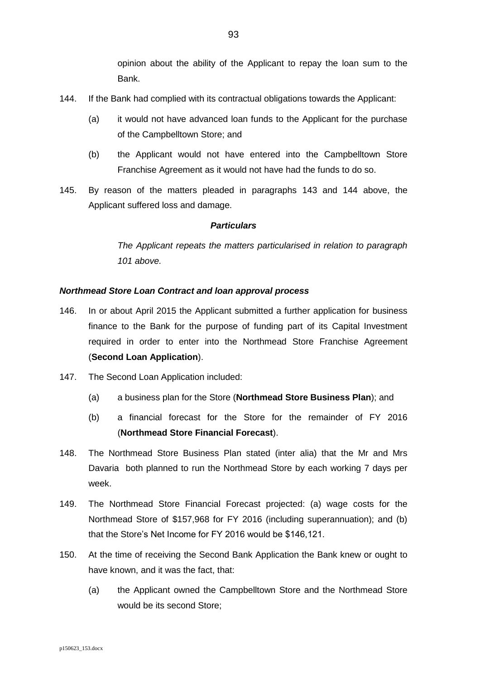opinion about the ability of the Applicant to repay the loan sum to the Bank.

- <span id="page-92-1"></span>144. If the Bank had complied with its contractual obligations towards the Applicant:
	- (a) it would not have advanced loan funds to the Applicant for the purchase of the Campbelltown Store; and
	- (b) the Applicant would not have entered into the Campbelltown Store Franchise Agreement as it would not have had the funds to do so.
- <span id="page-92-5"></span>145. By reason of the matters pleaded in paragraphs [143](#page-91-0) and [144](#page-92-1) above, the Applicant suffered loss and damage.

# *Particulars*

*The Applicant repeats the matters particularised in relation to paragraph [101](#page-62-0) above.* 

# *Northmead Store Loan Contract and loan approval process*

- <span id="page-92-0"></span>146. In or about April 2015 the Applicant submitted a further application for business finance to the Bank for the purpose of funding part of its Capital Investment required in order to enter into the Northmead Store Franchise Agreement (**Second Loan Application**).
- <span id="page-92-2"></span>147. The Second Loan Application included:
	- (a) a business plan for the Store (**Northmead Store Business Plan**); and
	- (b) a financial forecast for the Store for the remainder of FY 2016 (**Northmead Store Financial Forecast**).
- <span id="page-92-3"></span>148. The Northmead Store Business Plan stated (inter alia) that the Mr and Mrs Davaria both planned to run the Northmead Store by each working 7 days per week.
- 149. The Northmead Store Financial Forecast projected: (a) wage costs for the Northmead Store of \$157,968 for FY 2016 (including superannuation); and (b) that the Store's Net Income for FY 2016 would be \$146,121.
- <span id="page-92-4"></span>150. At the time of receiving the Second Bank Application the Bank knew or ought to have known, and it was the fact, that:
	- (a) the Applicant owned the Campbelltown Store and the Northmead Store would be its second Store;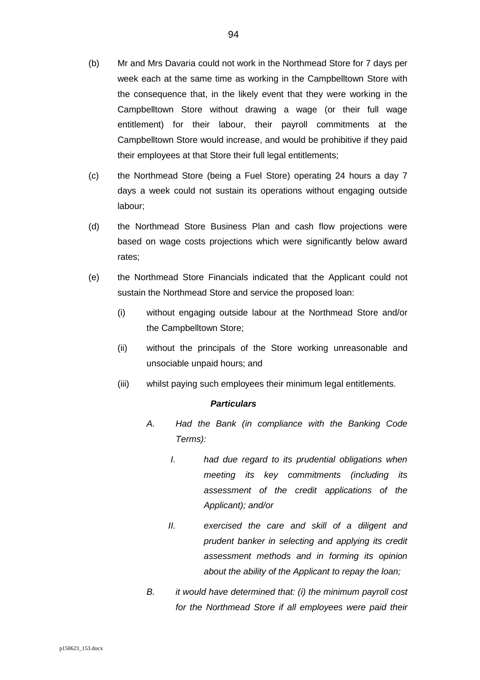- (b) Mr and Mrs Davaria could not work in the Northmead Store for 7 days per week each at the same time as working in the Campbelltown Store with the consequence that, in the likely event that they were working in the Campbelltown Store without drawing a wage (or their full wage entitlement) for their labour, their payroll commitments at the Campbelltown Store would increase, and would be prohibitive if they paid their employees at that Store their full legal entitlements;
- (c) the Northmead Store (being a Fuel Store) operating 24 hours a day 7 days a week could not sustain its operations without engaging outside labour;
- (d) the Northmead Store Business Plan and cash flow projections were based on wage costs projections which were significantly below award rates;
- (e) the Northmead Store Financials indicated that the Applicant could not sustain the Northmead Store and service the proposed loan:
	- (i) without engaging outside labour at the Northmead Store and/or the Campbelltown Store;
	- (ii) without the principals of the Store working unreasonable and unsociable unpaid hours; and
	- (iii) whilst paying such employees their minimum legal entitlements.

- *A. Had the Bank (in compliance with the Banking Code Terms):*
	- *I. had due regard to its prudential obligations when meeting its key commitments (including its assessment of the credit applications of the Applicant); and/or*
	- *II. exercised the care and skill of a diligent and prudent banker in selecting and applying its credit assessment methods and in forming its opinion about the ability of the Applicant to repay the loan;*
- *B. it would have determined that: (i) the minimum payroll cost for the Northmead Store if all employees were paid their*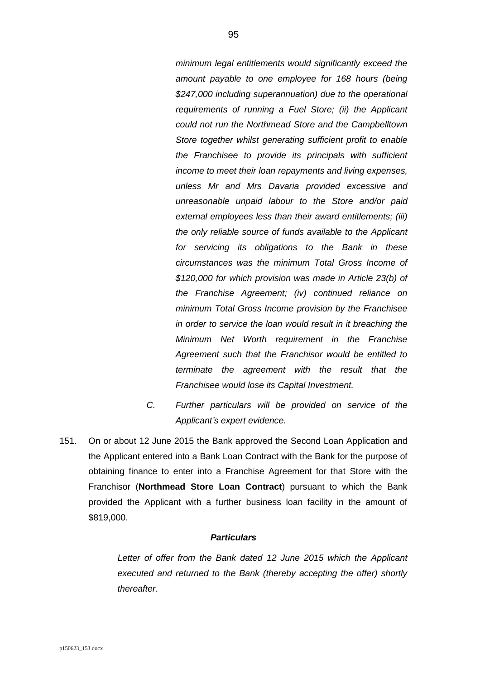*minimum legal entitlements would significantly exceed the amount payable to one employee for 168 hours (being \$247,000 including superannuation) due to the operational requirements of running a Fuel Store; (ii) the Applicant could not run the Northmead Store and the Campbelltown Store together whilst generating sufficient profit to enable the Franchisee to provide its principals with sufficient income to meet their loan repayments and living expenses, unless Mr and Mrs Davaria provided excessive and unreasonable unpaid labour to the Store and/or paid external employees less than their award entitlements; (iii) the only reliable source of funds available to the Applicant for servicing its obligations to the Bank in these circumstances was the minimum Total Gross Income of \$120,000 for which provision was made in Article 23(b) of the Franchise Agreement; (iv) continued reliance on minimum Total Gross Income provision by the Franchisee in order to service the loan would result in it breaching the Minimum Net Worth requirement in the Franchise Agreement such that the Franchisor would be entitled to terminate the agreement with the result that the Franchisee would lose its Capital Investment.*

- *C. Further particulars will be provided on service of the Applicant's expert evidence.*
- <span id="page-94-0"></span>151. On or about 12 June 2015 the Bank approved the Second Loan Application and the Applicant entered into a Bank Loan Contract with the Bank for the purpose of obtaining finance to enter into a Franchise Agreement for that Store with the Franchisor (**Northmead Store Loan Contract**) pursuant to which the Bank provided the Applicant with a further business loan facility in the amount of \$819,000.

## *Particulars*

*Letter of offer from the Bank dated 12 June 2015 which the Applicant executed and returned to the Bank (thereby accepting the offer) shortly thereafter.*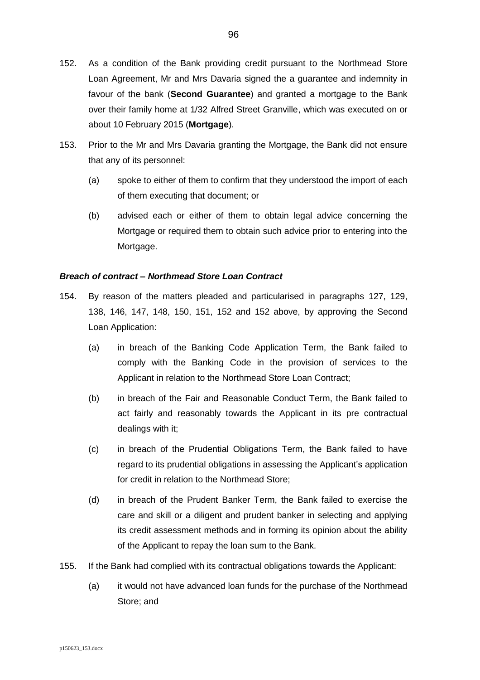- <span id="page-95-0"></span>152. As a condition of the Bank providing credit pursuant to the Northmead Store Loan Agreement, Mr and Mrs Davaria signed the a guarantee and indemnity in favour of the bank (**Second Guarantee**) and granted a mortgage to the Bank over their family home at 1/32 Alfred Street Granville, which was executed on or about 10 February 2015 (**Mortgage**).
- 153. Prior to the Mr and Mrs Davaria granting the Mortgage, the Bank did not ensure that any of its personnel:
	- (a) spoke to either of them to confirm that they understood the import of each of them executing that document; or
	- (b) advised each or either of them to obtain legal advice concerning the Mortgage or required them to obtain such advice prior to entering into the Mortgage.

# *Breach of contract – Northmead Store Loan Contract*

- <span id="page-95-1"></span>154. By reason of the matters pleaded and particularised in paragraphs [127,](#page-82-0) [129,](#page-85-1) [138,](#page-88-1) [146,](#page-92-0) [147,](#page-92-2) [148,](#page-92-3) [150,](#page-92-4) [151,](#page-94-0) [152](#page-95-0) and [152](#page-95-0) above, by approving the Second Loan Application:
	- (a) in breach of the Banking Code Application Term, the Bank failed to comply with the Banking Code in the provision of services to the Applicant in relation to the Northmead Store Loan Contract;
	- (b) in breach of the Fair and Reasonable Conduct Term, the Bank failed to act fairly and reasonably towards the Applicant in its pre contractual dealings with it;
	- (c) in breach of the Prudential Obligations Term, the Bank failed to have regard to its prudential obligations in assessing the Applicant's application for credit in relation to the Northmead Store;
	- (d) in breach of the Prudent Banker Term, the Bank failed to exercise the care and skill or a diligent and prudent banker in selecting and applying its credit assessment methods and in forming its opinion about the ability of the Applicant to repay the loan sum to the Bank.
- 155. If the Bank had complied with its contractual obligations towards the Applicant:
	- (a) it would not have advanced loan funds for the purchase of the Northmead Store; and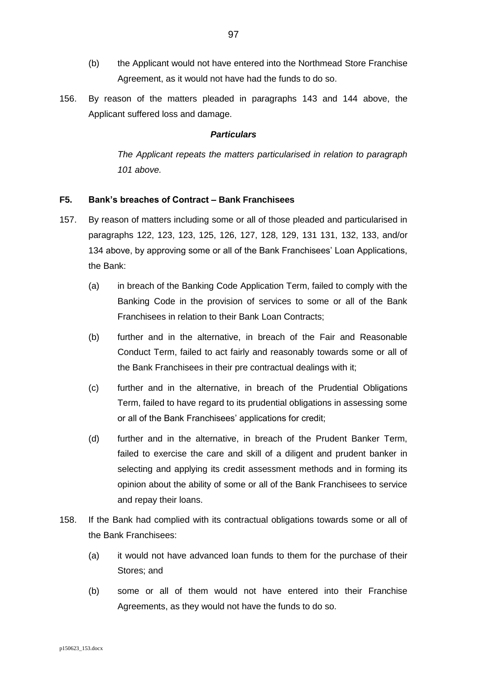- (b) the Applicant would not have entered into the Northmead Store Franchise Agreement, as it would not have had the funds to do so.
- <span id="page-96-2"></span>156. By reason of the matters pleaded in paragraphs [143](#page-91-0) and [144](#page-92-1) above, the Applicant suffered loss and damage.

*The Applicant repeats the matters particularised in relation to paragraph [101](#page-62-0) above.*

# **F5. Bank's breaches of Contract – Bank Franchisees**

- <span id="page-96-0"></span>157. By reason of matters including some or all of those pleaded and particularised in paragraphs [122,](#page-80-0) [123,](#page-80-1) [123,](#page-80-1) [125,](#page-81-0) [126,](#page-81-1) [127,](#page-82-0) [128,](#page-84-0) [129,](#page-85-1) [131](#page-85-0) [131,](#page-86-0) [132,](#page-86-1) [133,](#page-86-2) and/or [134](#page-87-0) above, by approving some or all of the Bank Franchisees' Loan Applications, the Bank:
	- (a) in breach of the Banking Code Application Term, failed to comply with the Banking Code in the provision of services to some or all of the Bank Franchisees in relation to their Bank Loan Contracts;
	- (b) further and in the alternative, in breach of the Fair and Reasonable Conduct Term, failed to act fairly and reasonably towards some or all of the Bank Franchisees in their pre contractual dealings with it;
	- (c) further and in the alternative, in breach of the Prudential Obligations Term, failed to have regard to its prudential obligations in assessing some or all of the Bank Franchisees' applications for credit;
	- (d) further and in the alternative, in breach of the Prudent Banker Term, failed to exercise the care and skill of a diligent and prudent banker in selecting and applying its credit assessment methods and in forming its opinion about the ability of some or all of the Bank Franchisees to service and repay their loans.
- <span id="page-96-1"></span>158. If the Bank had complied with its contractual obligations towards some or all of the Bank Franchisees:
	- (a) it would not have advanced loan funds to them for the purchase of their Stores; and
	- (b) some or all of them would not have entered into their Franchise Agreements, as they would not have the funds to do so.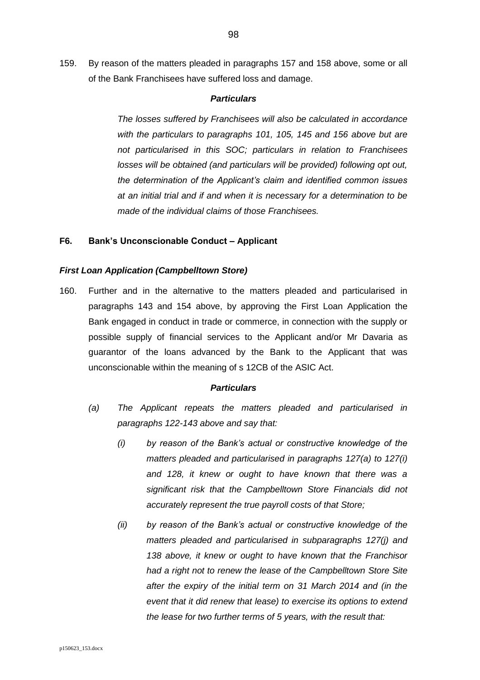159. By reason of the matters pleaded in paragraphs [157](#page-96-0) and [158](#page-96-1) above, some or all of the Bank Franchisees have suffered loss and damage.

### *Particulars*

*The losses suffered by Franchisees will also be calculated in accordance with the particulars to paragraphs [101,](#page-62-0) [105,](#page-63-0) [145](#page-92-5) and [156](#page-96-2) above but are not particularised in this SOC; particulars in relation to Franchisees losses will be obtained (and particulars will be provided) following opt out, the determination of the Applicant's claim and identified common issues at an initial trial and if and when it is necessary for a determination to be made of the individual claims of those Franchisees.*

# **F6. Bank's Unconscionable Conduct – Applicant**

### *First Loan Application (Campbelltown Store)*

<span id="page-97-0"></span>160. Further and in the alternative to the matters pleaded and particularised in paragraphs [143](#page-91-0) and [154](#page-95-1) above, by approving the First Loan Application the Bank engaged in conduct in trade or commerce, in connection with the supply or possible supply of financial services to the Applicant and/or Mr Davaria as guarantor of the loans advanced by the Bank to the Applicant that was unconscionable within the meaning of s 12CB of the ASIC Act.

- *(a) The Applicant repeats the matters pleaded and particularised in paragraphs [122](#page-80-0)[-143](#page-91-0) above and say that:*
	- *(i) by reason of the Bank's actual or constructive knowledge of the matters pleaded and particularised in paragraphs [127\(a\)](#page-82-1) to [127\(i\)](#page-83-0) and [128,](#page-84-0) it knew or ought to have known that there was a significant risk that the Campbelltown Store Financials did not accurately represent the true payroll costs of that Store;*
	- *(ii) by reason of the Bank's actual or constructive knowledge of the matters pleaded and particularised in subparagraphs [127\(j\)](#page-83-1) and [138](#page-88-1) above, it knew or ought to have known that the Franchisor had a right not to renew the lease of the Campbelltown Store Site after the expiry of the initial term on 31 March 2014 and (in the event that it did renew that lease) to exercise its options to extend the lease for two further terms of 5 years, with the result that:*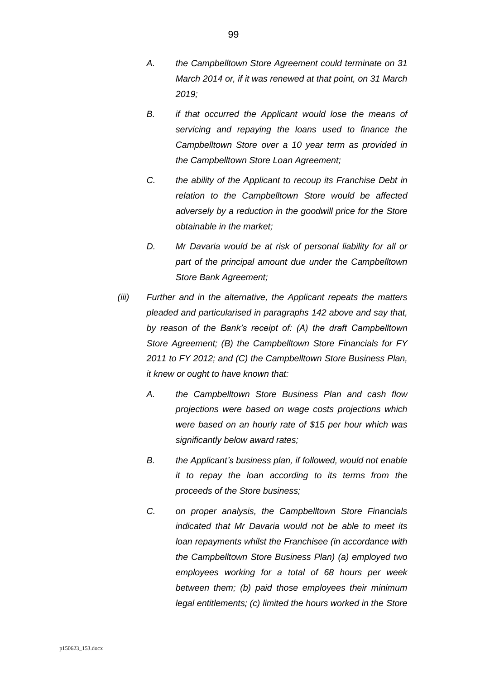- *A. the Campbelltown Store Agreement could terminate on 31 March 2014 or, if it was renewed at that point, on 31 March 2019;*
- *B. if that occurred the Applicant would lose the means of servicing and repaying the loans used to finance the Campbelltown Store over a 10 year term as provided in the Campbelltown Store Loan Agreement;*
- *C. the ability of the Applicant to recoup its Franchise Debt in relation to the Campbelltown Store would be affected adversely by a reduction in the goodwill price for the Store obtainable in the market;*
- *D. Mr Davaria would be at risk of personal liability for all or part of the principal amount due under the Campbelltown Store Bank Agreement;*
- *(iii) Further and in the alternative, the Applicant repeats the matters pleaded and particularised in paragraphs [142](#page-89-3) above and say that, by reason of the Bank's receipt of: (A) the draft Campbelltown Store Agreement; (B) the Campbelltown Store Financials for FY 2011 to FY 2012; and (C) the Campbelltown Store Business Plan, it knew or ought to have known that:*
	- *A. the Campbelltown Store Business Plan and cash flow projections were based on wage costs projections which were based on an hourly rate of \$15 per hour which was significantly below award rates;*
	- *B. the Applicant's business plan, if followed, would not enable it to repay the loan according to its terms from the proceeds of the Store business;*
	- *C. on proper analysis, the Campbelltown Store Financials indicated that Mr Davaria would not be able to meet its loan repayments whilst the Franchisee (in accordance with the Campbelltown Store Business Plan) (a) employed two employees working for a total of 68 hours per week between them; (b) paid those employees their minimum legal entitlements; (c) limited the hours worked in the Store*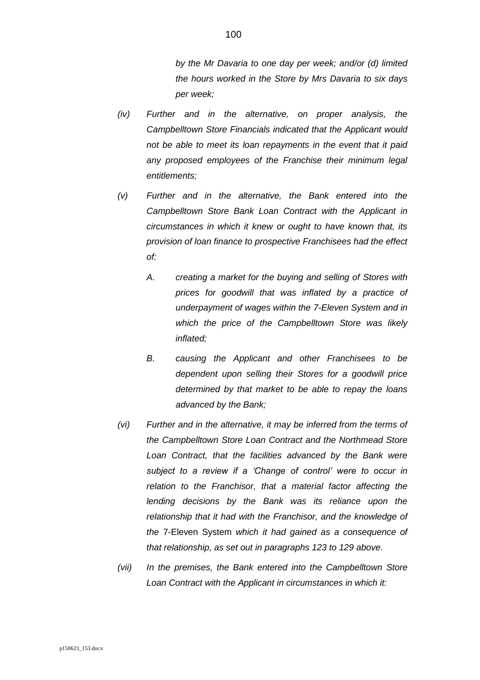*by the Mr Davaria to one day per week; and/or (d) limited the hours worked in the Store by Mrs Davaria to six days per week;*

- *(iv) Further and in the alternative, on proper analysis, the Campbelltown Store Financials indicated that the Applicant would not be able to meet its loan repayments in the event that it paid any proposed employees of the Franchise their minimum legal entitlements;*
- *(v) Further and in the alternative, the Bank entered into the Campbelltown Store Bank Loan Contract with the Applicant in circumstances in which it knew or ought to have known that, its provision of loan finance to prospective Franchisees had the effect of:*
	- *A. creating a market for the buying and selling of Stores with prices for goodwill that was inflated by a practice of underpayment of wages within the 7-Eleven System and in which the price of the Campbelltown Store was likely inflated;*
	- *B. causing the Applicant and other Franchisees to be dependent upon selling their Stores for a goodwill price determined by that market to be able to repay the loans advanced by the Bank;*
- *(vi) Further and in the alternative, it may be inferred from the terms of the Campbelltown Store Loan Contract and the Northmead Store*  Loan Contract, that the facilities advanced by the Bank were *subject to a review if a 'Change of control' were to occur in relation to the Franchisor, that a material factor affecting the lending decisions by the Bank was its reliance upon the relationship that it had with the Franchisor, and the knowledge of the* 7-Eleven System *which it had gained as a consequence of that relationship, as set out in paragraphs [123](#page-80-1) to [129](#page-85-1) above.*
- *(vii) In the premises, the Bank entered into the Campbelltown Store Loan Contract with the Applicant in circumstances in which it:*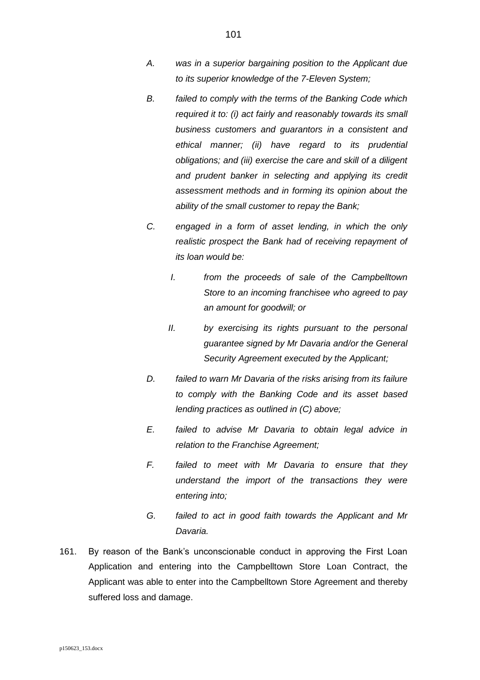- *A. was in a superior bargaining position to the Applicant due to its superior knowledge of the 7-Eleven System;*
- *B. failed to comply with the terms of the Banking Code which required it to: (i) act fairly and reasonably towards its small business customers and guarantors in a consistent and ethical manner; (ii) have regard to its prudential obligations; and (iii) exercise the care and skill of a diligent and prudent banker in selecting and applying its credit assessment methods and in forming its opinion about the ability of the small customer to repay the Bank;*
- <span id="page-100-0"></span>*C. engaged in a form of asset lending, in which the only realistic prospect the Bank had of receiving repayment of its loan would be:*
	- *I. from the proceeds of sale of the Campbelltown Store to an incoming franchisee who agreed to pay an amount for goodwill; or*
	- *II. by exercising its rights pursuant to the personal guarantee signed by Mr Davaria and/or the General Security Agreement executed by the Applicant;*
- *D. failed to warn Mr Davaria of the risks arising from its failure to comply with the Banking Code and its asset based lending practices as outlined in [\(C\)](#page-100-0) above;*
- *E. failed to advise Mr Davaria to obtain legal advice in relation to the Franchise Agreement;*
- *F. failed to meet with Mr Davaria to ensure that they understand the import of the transactions they were entering into;*
- *G. failed to act in good faith towards the Applicant and Mr Davaria.*
- <span id="page-100-1"></span>161. By reason of the Bank's unconscionable conduct in approving the First Loan Application and entering into the Campbelltown Store Loan Contract, the Applicant was able to enter into the Campbelltown Store Agreement and thereby suffered loss and damage.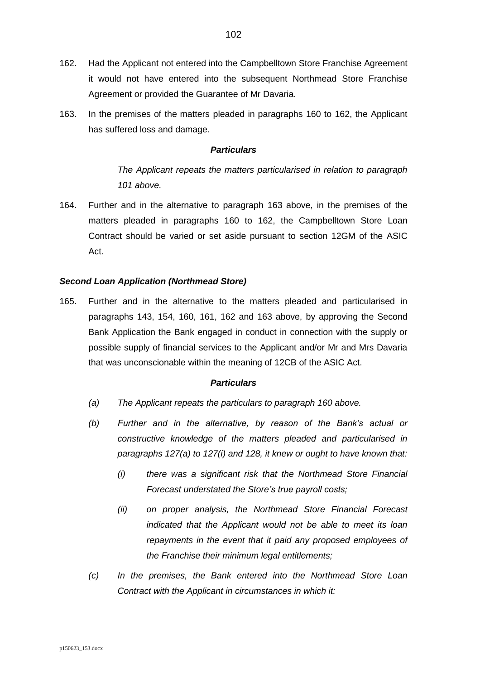- <span id="page-101-0"></span>162. Had the Applicant not entered into the Campbelltown Store Franchise Agreement it would not have entered into the subsequent Northmead Store Franchise Agreement or provided the Guarantee of Mr Davaria.
- <span id="page-101-1"></span>163. In the premises of the matters pleaded in paragraphs [160](#page-97-0) to [162,](#page-101-0) the Applicant has suffered loss and damage.

*The Applicant repeats the matters particularised in relation to paragraph [101](#page-62-0) above.*

164. Further and in the alternative to paragraph [163](#page-101-1) above, in the premises of the matters pleaded in paragraphs [160](#page-97-0) to [162,](#page-101-0) the Campbelltown Store Loan Contract should be varied or set aside pursuant to section 12GM of the ASIC Act.

# *Second Loan Application (Northmead Store)*

165. Further and in the alternative to the matters pleaded and particularised in paragraphs [143,](#page-91-0) [154,](#page-95-1) [160,](#page-97-0) [161,](#page-100-1) [162](#page-101-0) and [163](#page-101-1) above, by approving the Second Bank Application the Bank engaged in conduct in connection with the supply or possible supply of financial services to the Applicant and/or Mr and Mrs Davaria that was unconscionable within the meaning of 12CB of the ASIC Act.

- *(a) The Applicant repeats the particulars to paragraph [160](#page-97-0) above.*
- *(b) Further and in the alternative, by reason of the Bank's actual or constructive knowledge of the matters pleaded and particularised in paragraphs [127\(a\)](#page-82-1) to [127\(i\)](#page-83-0) and [128,](#page-84-0) it knew or ought to have known that:*
	- *(i) there was a significant risk that the Northmead Store Financial Forecast understated the Store's true payroll costs;*
	- *(ii) on proper analysis, the Northmead Store Financial Forecast indicated that the Applicant would not be able to meet its loan repayments in the event that it paid any proposed employees of the Franchise their minimum legal entitlements;*
- *(c) In the premises, the Bank entered into the Northmead Store Loan Contract with the Applicant in circumstances in which it:*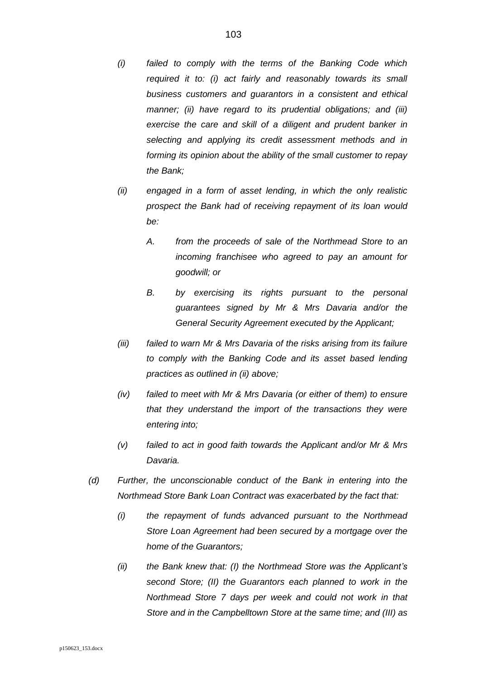- *(i) failed to comply with the terms of the Banking Code which required it to: (i) act fairly and reasonably towards its small business customers and guarantors in a consistent and ethical manner; (ii) have regard to its prudential obligations; and (iii) exercise the care and skill of a diligent and prudent banker in selecting and applying its credit assessment methods and in forming its opinion about the ability of the small customer to repay the Bank;*
- <span id="page-102-0"></span>*(ii) engaged in a form of asset lending, in which the only realistic prospect the Bank had of receiving repayment of its loan would be:*
	- *A. from the proceeds of sale of the Northmead Store to an incoming franchisee who agreed to pay an amount for goodwill; or*
	- *B. by exercising its rights pursuant to the personal guarantees signed by Mr & Mrs Davaria and/or the General Security Agreement executed by the Applicant;*
- *(iii) failed to warn Mr & Mrs Davaria of the risks arising from its failure to comply with the Banking Code and its asset based lending practices as outlined in [\(ii\)](#page-102-0) above;*
- *(iv) failed to meet with Mr & Mrs Davaria (or either of them) to ensure that they understand the import of the transactions they were entering into;*
- *(v) failed to act in good faith towards the Applicant and/or Mr & Mrs Davaria.*
- *(d) Further, the unconscionable conduct of the Bank in entering into the Northmead Store Bank Loan Contract was exacerbated by the fact that:*
	- *(i) the repayment of funds advanced pursuant to the Northmead Store Loan Agreement had been secured by a mortgage over the home of the Guarantors;*
	- *(ii) the Bank knew that: (I) the Northmead Store was the Applicant's second Store; (II) the Guarantors each planned to work in the Northmead Store 7 days per week and could not work in that Store and in the Campbelltown Store at the same time; and (III) as*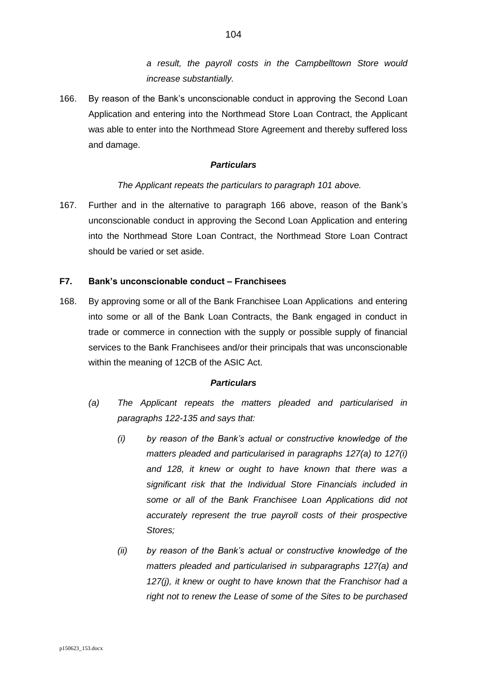*a result, the payroll costs in the Campbelltown Store would increase substantially.*

<span id="page-103-0"></span>166. By reason of the Bank's unconscionable conduct in approving the Second Loan Application and entering into the Northmead Store Loan Contract, the Applicant was able to enter into the Northmead Store Agreement and thereby suffered loss and damage.

# *Particulars*

# *The Applicant repeats the particulars to paragraph [101](#page-62-0) above.*

167. Further and in the alternative to paragraph [166](#page-103-0) above, reason of the Bank's unconscionable conduct in approving the Second Loan Application and entering into the Northmead Store Loan Contract, the Northmead Store Loan Contract should be varied or set aside.

# **F7. Bank's unconscionable conduct – Franchisees**

<span id="page-103-1"></span>168. By approving some or all of the Bank Franchisee Loan Applications and entering into some or all of the Bank Loan Contracts, the Bank engaged in conduct in trade or commerce in connection with the supply or possible supply of financial services to the Bank Franchisees and/or their principals that was unconscionable within the meaning of 12CB of the ASIC Act.

- *(a) The Applicant repeats the matters pleaded and particularised in paragraphs [122](#page-80-0)[-135](#page-87-1) and says that:*
	- *(i) by reason of the Bank's actual or constructive knowledge of the matters pleaded and particularised in paragraphs [127\(a\)](#page-82-1) to [127\(i\)](#page-83-0) and [128,](#page-84-0) it knew or ought to have known that there was a significant risk that the Individual Store Financials included in some or all of the Bank Franchisee Loan Applications did not accurately represent the true payroll costs of their prospective Stores;*
	- *(ii) by reason of the Bank's actual or constructive knowledge of the matters pleaded and particularised in subparagraphs [127\(a\)](#page-82-1) and [127\(j\),](#page-83-1) it knew or ought to have known that the Franchisor had a right not to renew the Lease of some of the Sites to be purchased*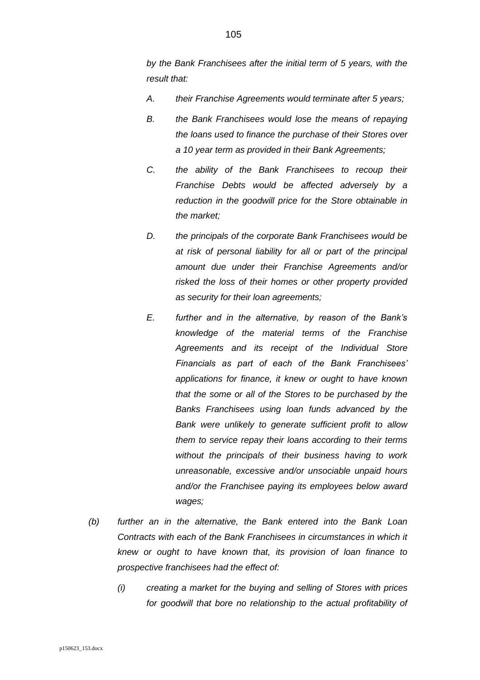*by the Bank Franchisees after the initial term of 5 years, with the result that:*

- *A. their Franchise Agreements would terminate after 5 years;*
- *B. the Bank Franchisees would lose the means of repaying the loans used to finance the purchase of their Stores over a 10 year term as provided in their Bank Agreements;*
- *C. the ability of the Bank Franchisees to recoup their Franchise Debts would be affected adversely by a reduction in the goodwill price for the Store obtainable in the market;*
- *D. the principals of the corporate Bank Franchisees would be at risk of personal liability for all or part of the principal amount due under their Franchise Agreements and/or risked the loss of their homes or other property provided as security for their loan agreements;*
- *E. further and in the alternative, by reason of the Bank's knowledge of the material terms of the Franchise Agreements and its receipt of the Individual Store Financials as part of each of the Bank Franchisees' applications for finance, it knew or ought to have known that the some or all of the Stores to be purchased by the Banks Franchisees using loan funds advanced by the Bank were unlikely to generate sufficient profit to allow them to service repay their loans according to their terms without the principals of their business having to work unreasonable, excessive and/or unsociable unpaid hours and/or the Franchisee paying its employees below award wages;*
- *(b) further an in the alternative, the Bank entered into the Bank Loan Contracts with each of the Bank Franchisees in circumstances in which it knew or ought to have known that, its provision of loan finance to prospective franchisees had the effect of:*
	- *(i) creating a market for the buying and selling of Stores with prices for goodwill that bore no relationship to the actual profitability of*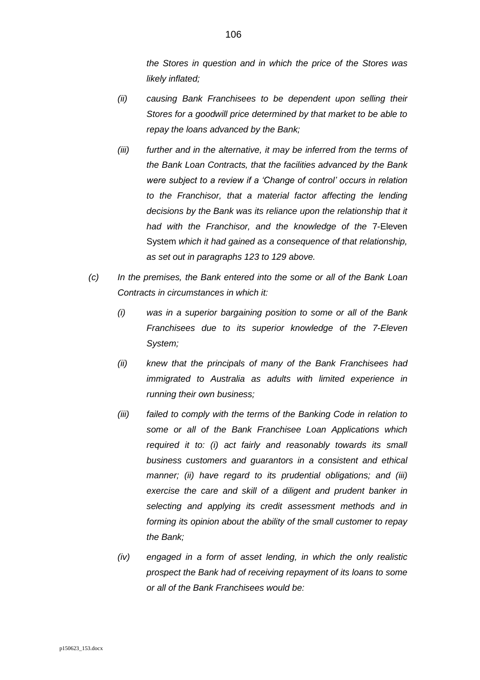*the Stores in question and in which the price of the Stores was likely inflated;*

- *(ii) causing Bank Franchisees to be dependent upon selling their Stores for a goodwill price determined by that market to be able to repay the loans advanced by the Bank;*
- *(iii) further and in the alternative, it may be inferred from the terms of the Bank Loan Contracts, that the facilities advanced by the Bank were subject to a review if a 'Change of control' occurs in relation to the Franchisor, that a material factor affecting the lending decisions by the Bank was its reliance upon the relationship that it had with the Franchisor, and the knowledge of the* 7-Eleven System *which it had gained as a consequence of that relationship, as set out in paragraphs [123](#page-80-1) to [129](#page-85-1) above.*
- *(c) In the premises, the Bank entered into the some or all of the Bank Loan Contracts in circumstances in which it:*
	- *(i) was in a superior bargaining position to some or all of the Bank Franchisees due to its superior knowledge of the 7-Eleven System;*
	- *(ii) knew that the principals of many of the Bank Franchisees had immigrated to Australia as adults with limited experience in running their own business;*
	- *(iii) failed to comply with the terms of the Banking Code in relation to some or all of the Bank Franchisee Loan Applications which required it to: (i) act fairly and reasonably towards its small business customers and guarantors in a consistent and ethical manner; (ii) have regard to its prudential obligations; and (iii) exercise the care and skill of a diligent and prudent banker in selecting and applying its credit assessment methods and in forming its opinion about the ability of the small customer to repay the Bank;*
	- *(iv) engaged in a form of asset lending, in which the only realistic prospect the Bank had of receiving repayment of its loans to some or all of the Bank Franchisees would be:*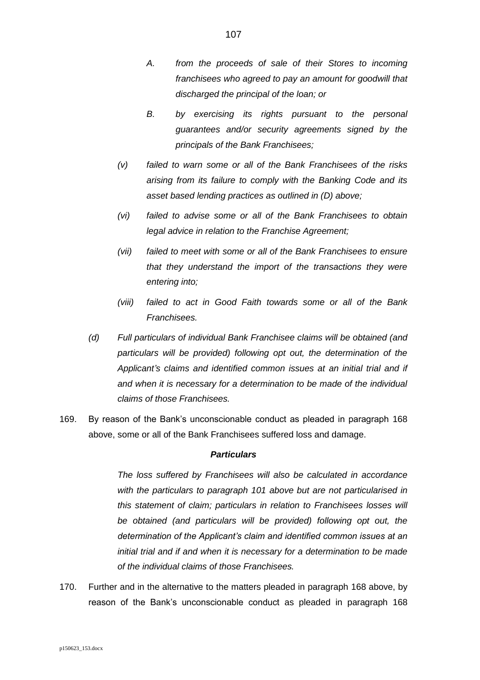- *A. from the proceeds of sale of their Stores to incoming franchisees who agreed to pay an amount for goodwill that discharged the principal of the loan; or*
- *B. by exercising its rights pursuant to the personal guarantees and/or security agreements signed by the principals of the Bank Franchisees;*
- *(v) failed to warn some or all of the Bank Franchisees of the risks arising from its failure to comply with the Banking Code and its asset based lending practices as outlined in (D) above;*
- *(vi) failed to advise some or all of the Bank Franchisees to obtain legal advice in relation to the Franchise Agreement;*
- *(vii) failed to meet with some or all of the Bank Franchisees to ensure that they understand the import of the transactions they were entering into;*
- *(viii) failed to act in Good Faith towards some or all of the Bank Franchisees.*
- *(d) Full particulars of individual Bank Franchisee claims will be obtained (and particulars will be provided) following opt out, the determination of the Applicant's claims and identified common issues at an initial trial and if and when it is necessary for a determination to be made of the individual claims of those Franchisees.*
- 169. By reason of the Bank's unconscionable conduct as pleaded in paragraph [168](#page-103-1) above, some or all of the Bank Franchisees suffered loss and damage.

*The loss suffered by Franchisees will also be calculated in accordance with the particulars to paragraph [101](#page-62-0) above but are not particularised in this statement of claim; particulars in relation to Franchisees losses will be obtained (and particulars will be provided) following opt out, the determination of the Applicant's claim and identified common issues at an initial trial and if and when it is necessary for a determination to be made of the individual claims of those Franchisees.*

170. Further and in the alternative to the matters pleaded in paragraph [168](#page-103-1) above, by reason of the Bank's unconscionable conduct as pleaded in paragraph [168](#page-103-1)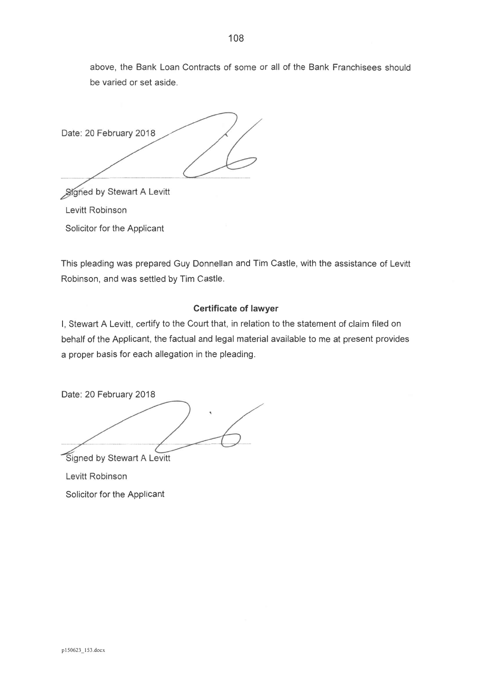above, the Bank Loan Contracts of some or all of the Bank Franchisees should be varied or set aside.

Date: 20 February 2018

Signed by Stewart A Levitt

Levitt Robinson

Solicitor for the Applicant

This pleading was prepared Guy Donnellan and Tim Castle, with the assistance of Levitt Robinson, and was settled by Tim Castle.

# **Certificate of lawyer**

I, Stewart A Levitt, certify to the Court that, in relation to the statement of claim filed on behalf of the Applicant, the factual and legal material available to me at present provides a proper basis for each allegation in the pleading.

Date: 20 February 2018 Signed by Stewart A Levitt

Levitt Robinson

Solicitor for the Applicant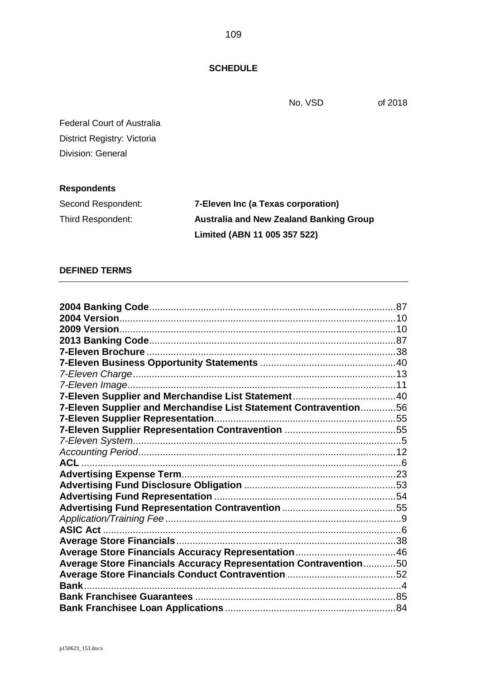No. VSD of 2018

Federal Court of Australia District Registry: Victoria Division: General

## **Respondents**

| Second Respondent: | 7-Eleven Inc (a Texas corporation)             |
|--------------------|------------------------------------------------|
| Third Respondent:  | <b>Australia and New Zealand Banking Group</b> |
|                    | Limited (ABN 11 005 357 522)                   |

## **DEFINED TERMS**

| 7-Eleven Supplier and Merchandise List Statement Contravention56 |  |
|------------------------------------------------------------------|--|
|                                                                  |  |
|                                                                  |  |
|                                                                  |  |
|                                                                  |  |
|                                                                  |  |
|                                                                  |  |
|                                                                  |  |
|                                                                  |  |
|                                                                  |  |
|                                                                  |  |
|                                                                  |  |
|                                                                  |  |
|                                                                  |  |
| Average Store Financials Accuracy Representation Contravention50 |  |
|                                                                  |  |
|                                                                  |  |
|                                                                  |  |
|                                                                  |  |

**SCHEDULE**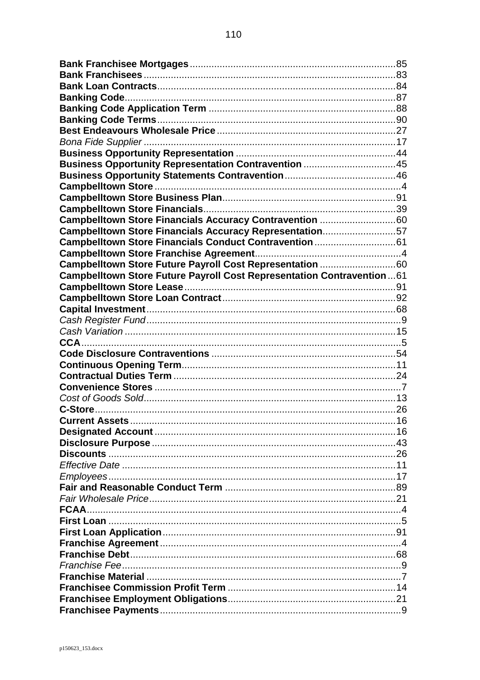| Business Opportunity Representation Contravention 45                  |  |
|-----------------------------------------------------------------------|--|
|                                                                       |  |
|                                                                       |  |
|                                                                       |  |
|                                                                       |  |
| Campbelltown Store Financials Accuracy Contravention 60               |  |
| Campbelltown Store Financials Accuracy Representation57               |  |
|                                                                       |  |
|                                                                       |  |
| Campbelltown Store Future Payroll Cost Representation 60              |  |
| Campbelltown Store Future Payroll Cost Representation Contravention61 |  |
|                                                                       |  |
|                                                                       |  |
|                                                                       |  |
|                                                                       |  |
|                                                                       |  |
|                                                                       |  |
|                                                                       |  |
|                                                                       |  |
|                                                                       |  |
|                                                                       |  |
|                                                                       |  |
|                                                                       |  |
|                                                                       |  |
|                                                                       |  |
|                                                                       |  |
|                                                                       |  |
|                                                                       |  |
|                                                                       |  |
|                                                                       |  |
|                                                                       |  |
|                                                                       |  |
|                                                                       |  |
|                                                                       |  |
|                                                                       |  |
|                                                                       |  |
|                                                                       |  |
|                                                                       |  |
|                                                                       |  |
|                                                                       |  |
|                                                                       |  |
|                                                                       |  |